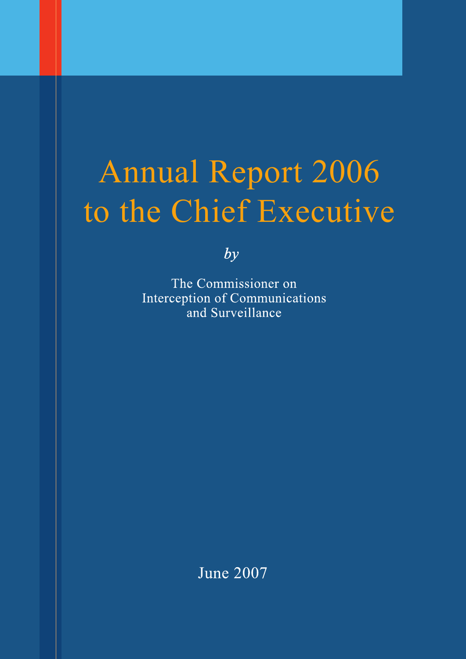# Annual Report 2006 to the Chief Executive

 $by$ 

The Commissioner on Interception of Communications and Surveillance

**June 2007**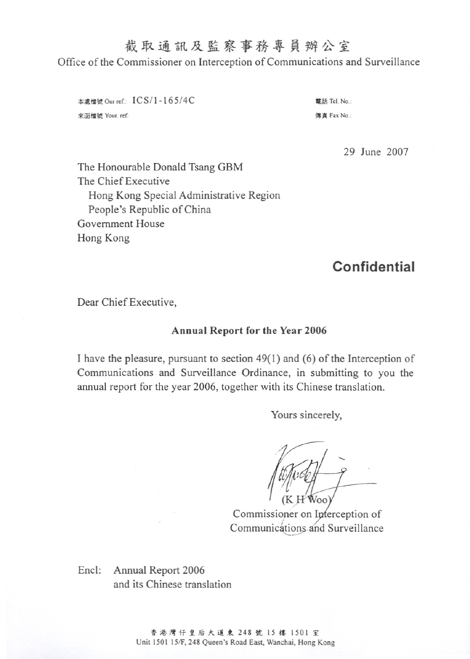# 截取通訊及監察事務專員辦公室

Office of the Commissioner on Interception of Communications and Surveillance

本處檔號 Our ref : ICS/1-165/4C 來函檔號 Your. ref:

電話 Tel. No.: 值直 Fax No:

29 June 2007

The Honourable Donald Tsang GBM The Chief Executive Hong Kong Special Administrative Region People's Republic of China Government House Hong Kong

# **Confidential**

Dear Chief Executive,

#### **Annual Report for the Year 2006**

I have the pleasure, pursuant to section  $49(1)$  and (6) of the Interception of Communications and Surveillance Ordinance, in submitting to you the annual report for the year 2006, together with its Chinese translation.

Yours sincerely,

Commissioner on Interception of Communications and Surveillance

Encl: Annual Report 2006 and its Chinese translation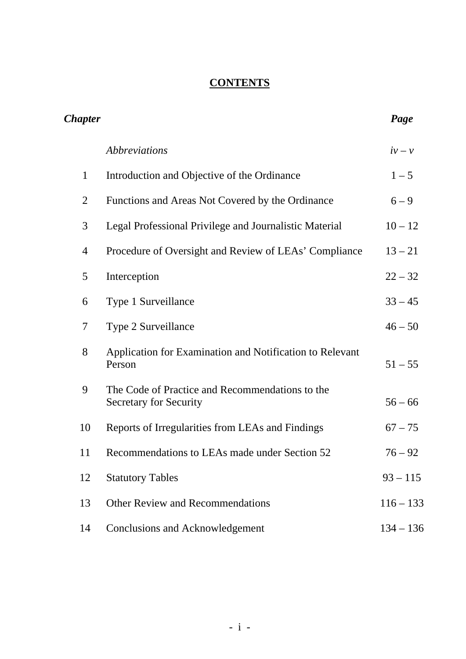# **CONTENTS**

| <b>Chapter</b> |                                                                                  | Page        |
|----------------|----------------------------------------------------------------------------------|-------------|
|                | <i><b>Abbreviations</b></i>                                                      | $iv-v$      |
| $\mathbf{1}$   | Introduction and Objective of the Ordinance                                      | $1 - 5$     |
| $\overline{2}$ | Functions and Areas Not Covered by the Ordinance                                 | $6 - 9$     |
| 3              | Legal Professional Privilege and Journalistic Material                           | $10 - 12$   |
| 4              | Procedure of Oversight and Review of LEAs' Compliance                            | $13 - 21$   |
| 5              | Interception                                                                     | $22 - 32$   |
| 6              | Type 1 Surveillance                                                              | $33 - 45$   |
| 7              | Type 2 Surveillance                                                              | $46 - 50$   |
| 8              | Application for Examination and Notification to Relevant<br>Person               | $51 - 55$   |
| 9              | The Code of Practice and Recommendations to the<br><b>Secretary for Security</b> | $56 - 66$   |
| 10             | Reports of Irregularities from LEAs and Findings                                 | $67 - 75$   |
| 11             | Recommendations to LEAs made under Section 52                                    | $76 - 92$   |
| 12             | <b>Statutory Tables</b>                                                          | $93 - 115$  |
| 13             | <b>Other Review and Recommendations</b>                                          | $116 - 133$ |
| 14             | <b>Conclusions and Acknowledgement</b>                                           | $134 - 136$ |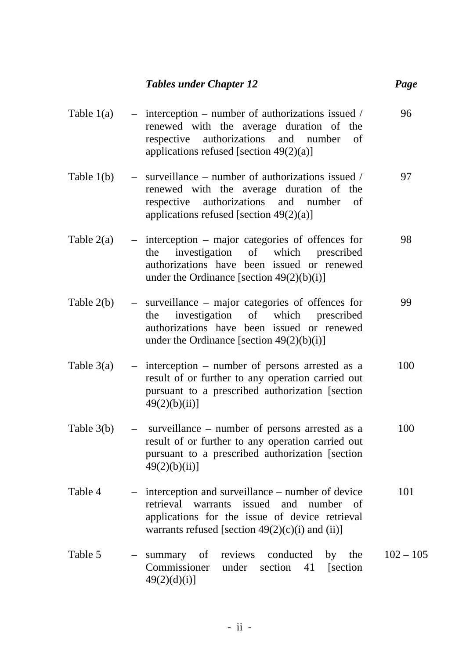#### *Tables under Chapter 12* Page

- Table  $1(a)$  interception number of authorizations issued / renewed with the average duration of the respective authorizations and number of applications refused [section 49(2)(a)] 96 Table 1(b) – surveillance – number of authorizations issued / renewed with the average duration of the respective authorizations and number of applications refused [section 49(2)(a)] 97 Table  $2(a)$  – interception – major categories of offences for the investigation of which prescribed authorizations have been issued or renewed under the Ordinance [section  $49(2)(b)(i)$ ] 98 Table 2(b) – surveillance – major categories of offences for the investigation of which prescribed authorizations have been issued or renewed under the Ordinance [section  $49(2)(b)(i)$ ] 99 Table  $3(a)$  – interception – number of persons arrested as a result of or further to any operation carried out pursuant to a prescribed authorization [section  $49(2)(b)(ii)$ ] 100 Table 3(b) – surveillance – number of persons arrested as a result of or further to any operation carried out pursuant to a prescribed authorization [section  $49(2)(b)(ii)$ ] 100 Table 4 – interception and surveillance – number of device 101
- retrieval warrants issued and number of applications for the issue of device retrieval warrants refused [section  $49(2)(c)(i)$  and (ii)]
- Table 5 summary of reviews conducted by the Commissioner under section 41 [section  $49(2)(d)(i)$ ]  $102 - 105$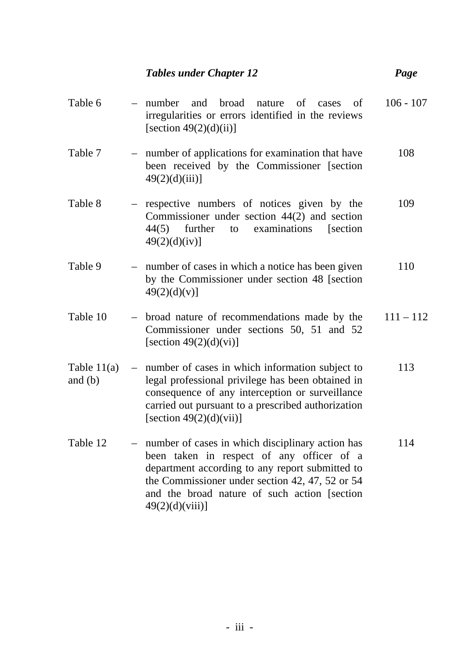|                            |                          | <b>Tables under Chapter 12</b>                                                                                                                                                                                                                                             | Page        |
|----------------------------|--------------------------|----------------------------------------------------------------------------------------------------------------------------------------------------------------------------------------------------------------------------------------------------------------------------|-------------|
| Table 6                    |                          | broad<br>number<br>and<br>nature of<br>of<br>cases<br>irregularities or errors identified in the reviews<br>[section $49(2)(d)(ii)$ ]                                                                                                                                      | $106 - 107$ |
| Table 7                    | $\overline{\phantom{m}}$ | number of applications for examination that have<br>been received by the Commissioner [section<br>$49(2)(d)(iii)$ ]                                                                                                                                                        | 108         |
| Table 8                    |                          | - respective numbers of notices given by the<br>Commissioner under section $44(2)$ and section<br>examinations<br>44(5)<br>further<br>to<br>[section]<br>49(2)(d)(iv)]                                                                                                     | 109         |
| Table 9                    |                          | number of cases in which a notice has been given<br>by the Commissioner under section 48 [section<br>49(2)(d)(v)]                                                                                                                                                          | 110         |
| Table 10                   |                          | - broad nature of recommendations made by the<br>Commissioner under sections 50, 51 and 52<br>[section $49(2)(d)(vi)$ ]                                                                                                                                                    | $111 - 112$ |
| Table $11(a)$<br>and $(b)$ |                          | - number of cases in which information subject to<br>legal professional privilege has been obtained in<br>consequence of any interception or surveillance<br>carried out pursuant to a prescribed authorization<br>[section $49(2)(d)(vii)$ ]                              | 113         |
| Table 12                   | $\overline{\phantom{m}}$ | number of cases in which disciplinary action has<br>been taken in respect of any officer of a<br>department according to any report submitted to<br>the Commissioner under section 42, 47, 52 or 54<br>and the broad nature of such action [section]<br>$49(2)(d)(viii)$ ] | 114         |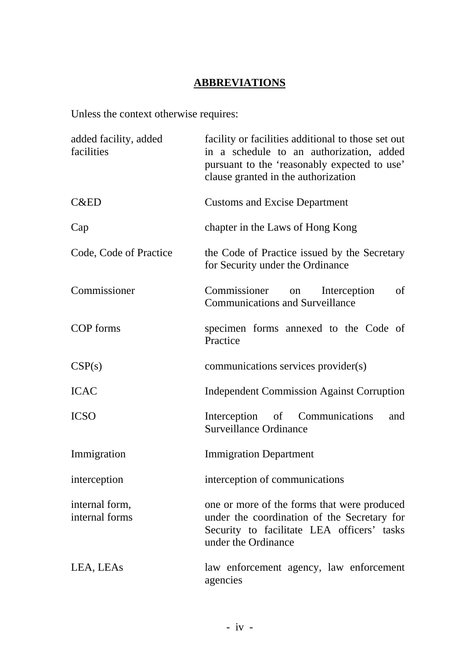# **ABBREVIATIONS**

Unless the context otherwise requires:

| added facility, added<br>facilities | facility or facilities additional to those set out<br>in a schedule to an authorization, added<br>pursuant to the 'reasonably expected to use'<br>clause granted in the authorization |
|-------------------------------------|---------------------------------------------------------------------------------------------------------------------------------------------------------------------------------------|
| <b>C&amp;ED</b>                     | <b>Customs and Excise Department</b>                                                                                                                                                  |
| Cap                                 | chapter in the Laws of Hong Kong                                                                                                                                                      |
| Code, Code of Practice              | the Code of Practice issued by the Secretary<br>for Security under the Ordinance                                                                                                      |
| Commissioner                        | of<br>Commissioner<br>Interception<br>on<br><b>Communications and Surveillance</b>                                                                                                    |
| COP forms                           | specimen forms annexed to the Code of<br>Practice                                                                                                                                     |
| CSP(s)                              | communications services provider(s)                                                                                                                                                   |
| <b>ICAC</b>                         | <b>Independent Commission Against Corruption</b>                                                                                                                                      |
| <b>ICSO</b>                         | Interception of Communications<br>and<br><b>Surveillance Ordinance</b>                                                                                                                |
| Immigration                         | <b>Immigration Department</b>                                                                                                                                                         |
| interception                        | interception of communications                                                                                                                                                        |
| internal form,<br>internal forms    | one or more of the forms that were produced<br>under the coordination of the Secretary for<br>Security to facilitate LEA officers' tasks<br>under the Ordinance                       |
| LEA, LEAs                           | law enforcement agency, law enforcement<br>agencies                                                                                                                                   |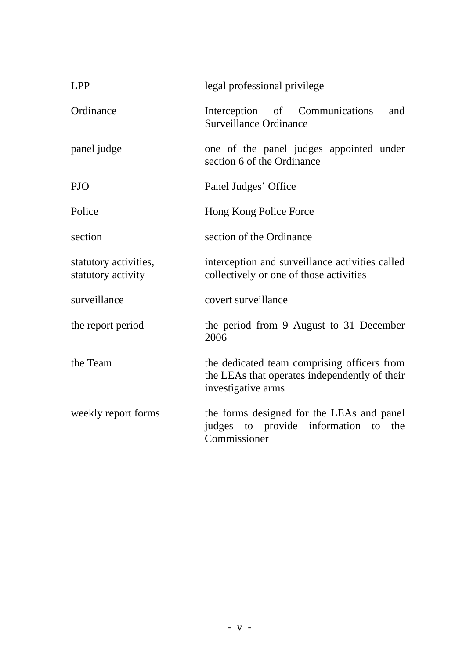| <b>LPP</b>                                  | legal professional privilege                                                                                       |
|---------------------------------------------|--------------------------------------------------------------------------------------------------------------------|
| Ordinance                                   | Interception of Communications<br>and<br><b>Surveillance Ordinance</b>                                             |
| panel judge                                 | one of the panel judges appointed under<br>section 6 of the Ordinance                                              |
| <b>PJO</b>                                  | Panel Judges' Office                                                                                               |
| Police                                      | Hong Kong Police Force                                                                                             |
| section                                     | section of the Ordinance                                                                                           |
| statutory activities,<br>statutory activity | interception and surveillance activities called<br>collectively or one of those activities                         |
| surveillance                                | covert surveillance                                                                                                |
| the report period                           | the period from 9 August to 31 December<br>2006                                                                    |
| the Team                                    | the dedicated team comprising officers from<br>the LEAs that operates independently of their<br>investigative arms |
| weekly report forms                         | the forms designed for the LEAs and panel<br>judges to provide information<br>the<br>to<br>Commissioner            |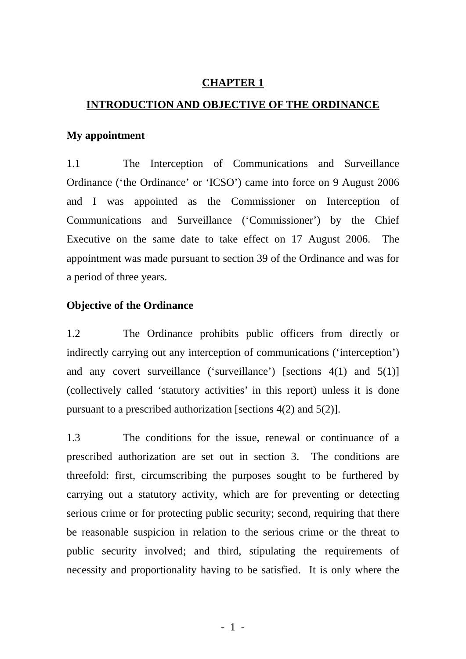#### **CHAPTER 1**

#### **INTRODUCTION AND OBJECTIVE OF THE ORDINANCE**

#### **My appointment**

1.1 The Interception of Communications and Surveillance Ordinance ('the Ordinance' or 'ICSO') came into force on 9 August 2006 and I was appointed as the Commissioner on Interception of Communications and Surveillance ('Commissioner') by the Chief Executive on the same date to take effect on 17 August 2006. The appointment was made pursuant to section 39 of the Ordinance and was for a period of three years.

#### **Objective of the Ordinance**

1.2 The Ordinance prohibits public officers from directly or indirectly carrying out any interception of communications ('interception') and any covert surveillance ('surveillance') [sections 4(1) and 5(1)] (collectively called 'statutory activities' in this report) unless it is done pursuant to a prescribed authorization [sections 4(2) and 5(2)].

1.3 The conditions for the issue, renewal or continuance of a prescribed authorization are set out in section 3. The conditions are threefold: first, circumscribing the purposes sought to be furthered by carrying out a statutory activity, which are for preventing or detecting serious crime or for protecting public security; second, requiring that there be reasonable suspicion in relation to the serious crime or the threat to public security involved; and third, stipulating the requirements of necessity and proportionality having to be satisfied. It is only where the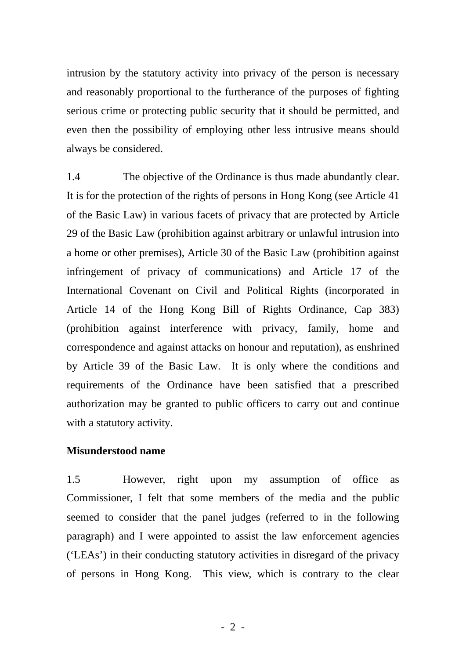intrusion by the statutory activity into privacy of the person is necessary and reasonably proportional to the furtherance of the purposes of fighting serious crime or protecting public security that it should be permitted, and even then the possibility of employing other less intrusive means should always be considered.

1.4 The objective of the Ordinance is thus made abundantly clear. It is for the protection of the rights of persons in Hong Kong (see Article 41 of the Basic Law) in various facets of privacy that are protected by Article 29 of the Basic Law (prohibition against arbitrary or unlawful intrusion into a home or other premises), Article 30 of the Basic Law (prohibition against infringement of privacy of communications) and Article 17 of the International Covenant on Civil and Political Rights (incorporated in Article 14 of the Hong Kong Bill of Rights Ordinance, Cap 383) (prohibition against interference with privacy, family, home and correspondence and against attacks on honour and reputation), as enshrined by Article 39 of the Basic Law. It is only where the conditions and requirements of the Ordinance have been satisfied that a prescribed authorization may be granted to public officers to carry out and continue with a statutory activity.

#### **Misunderstood name**

1.5 However, right upon my assumption of office as Commissioner, I felt that some members of the media and the public seemed to consider that the panel judges (referred to in the following paragraph) and I were appointed to assist the law enforcement agencies ('LEAs') in their conducting statutory activities in disregard of the privacy of persons in Hong Kong. This view, which is contrary to the clear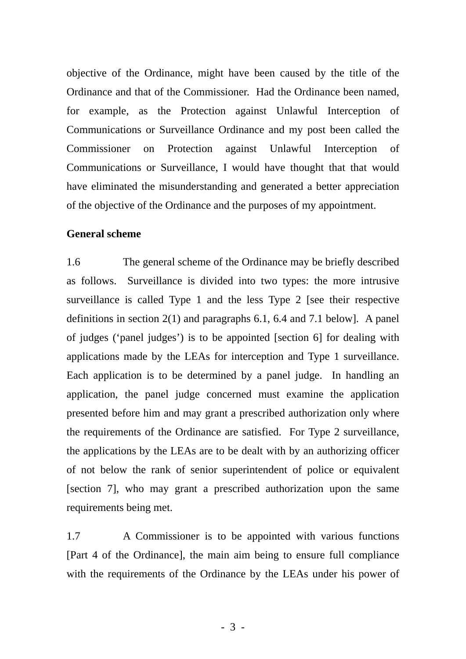objective of the Ordinance, might have been caused by the title of the Ordinance and that of the Commissioner. Had the Ordinance been named, for example, as the Protection against Unlawful Interception of Communications or Surveillance Ordinance and my post been called the Commissioner on Protection against Unlawful Interception of Communications or Surveillance, I would have thought that that would have eliminated the misunderstanding and generated a better appreciation of the objective of the Ordinance and the purposes of my appointment.

#### **General scheme**

1.6 The general scheme of the Ordinance may be briefly described as follows. Surveillance is divided into two types: the more intrusive surveillance is called Type 1 and the less Type 2 [see their respective definitions in section 2(1) and paragraphs 6.1, 6.4 and 7.1 below]. A panel of judges ('panel judges') is to be appointed [section 6] for dealing with applications made by the LEAs for interception and Type 1 surveillance. Each application is to be determined by a panel judge. In handling an application, the panel judge concerned must examine the application presented before him and may grant a prescribed authorization only where the requirements of the Ordinance are satisfied. For Type 2 surveillance, the applications by the LEAs are to be dealt with by an authorizing officer of not below the rank of senior superintendent of police or equivalent [section 7], who may grant a prescribed authorization upon the same requirements being met.

1.7 A Commissioner is to be appointed with various functions [Part 4 of the Ordinance], the main aim being to ensure full compliance with the requirements of the Ordinance by the LEAs under his power of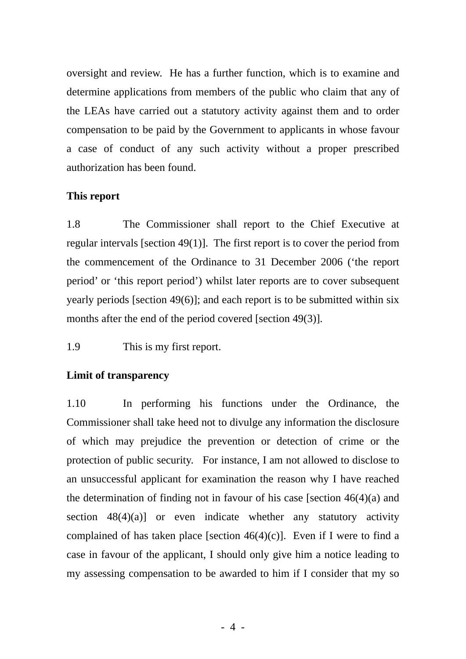oversight and review. He has a further function, which is to examine and determine applications from members of the public who claim that any of the LEAs have carried out a statutory activity against them and to order compensation to be paid by the Government to applicants in whose favour a case of conduct of any such activity without a proper prescribed authorization has been found.

#### **This report**

1.8 The Commissioner shall report to the Chief Executive at regular intervals [section 49(1)]. The first report is to cover the period from the commencement of the Ordinance to 31 December 2006 ('the report period' or 'this report period') whilst later reports are to cover subsequent yearly periods [section 49(6)]; and each report is to be submitted within six months after the end of the period covered [section 49(3)].

1.9 This is my first report.

# **Limit of transparency**

1.10 In performing his functions under the Ordinance, the Commissioner shall take heed not to divulge any information the disclosure of which may prejudice the prevention or detection of crime or the protection of public security. For instance, I am not allowed to disclose to an unsuccessful applicant for examination the reason why I have reached the determination of finding not in favour of his case [section  $46(4)(a)$  and section  $48(4)(a)$  or even indicate whether any statutory activity complained of has taken place [section  $46(4)(c)$ ]. Even if I were to find a case in favour of the applicant, I should only give him a notice leading to my assessing compensation to be awarded to him if I consider that my so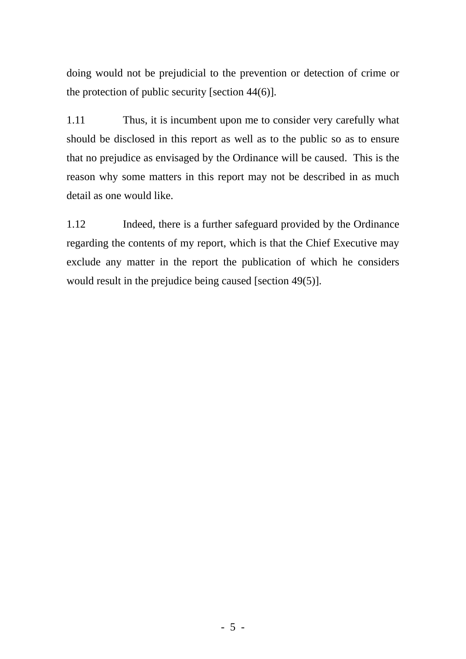doing would not be prejudicial to the prevention or detection of crime or the protection of public security [section 44(6)].

1.11 Thus, it is incumbent upon me to consider very carefully what should be disclosed in this report as well as to the public so as to ensure that no prejudice as envisaged by the Ordinance will be caused. This is the reason why some matters in this report may not be described in as much detail as one would like.

1.12 Indeed, there is a further safeguard provided by the Ordinance regarding the contents of my report, which is that the Chief Executive may exclude any matter in the report the publication of which he considers would result in the prejudice being caused [section 49(5)].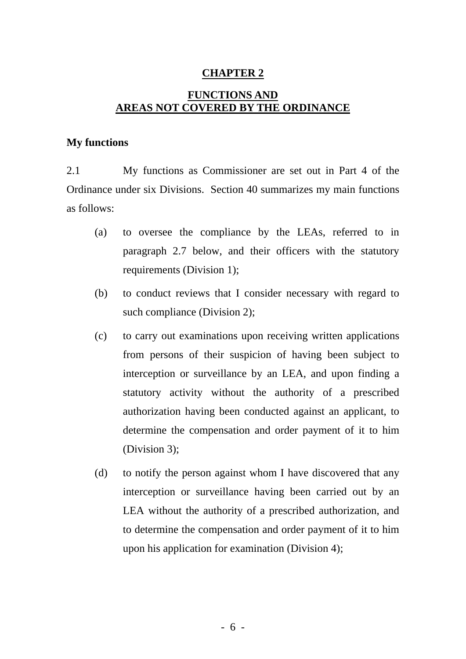#### **CHAPTER 2**

# **FUNCTIONS AND AREAS NOT COVERED BY THE ORDINANCE**

#### **My functions**

2.1 My functions as Commissioner are set out in Part 4 of the Ordinance under six Divisions. Section 40 summarizes my main functions as follows:

- paragraph 2.7 below, and their officers with the statutory requirements (Division 1); (a) to oversee the compliance by the LEAs, referred to in
- (b) to conduct reviews that I consider necessary with regard to such compliance (Division 2);
- (c) to carry out examinations upon receiving written applications from persons of their suspicion of having been subject to statutory activity without the authority of a prescribed authorization having been conducted against an applicant, to determine the compensation and order payment of it to him (Division 3); interception or surveillance by an LEA, and upon finding a
- (d) to notify the person against whom I have discovered that any interception or surveillance having been carried out by an to determine the compensation and order payment of it to him upon his application for examination (Division 4); LEA without the authority of a prescribed authorization, and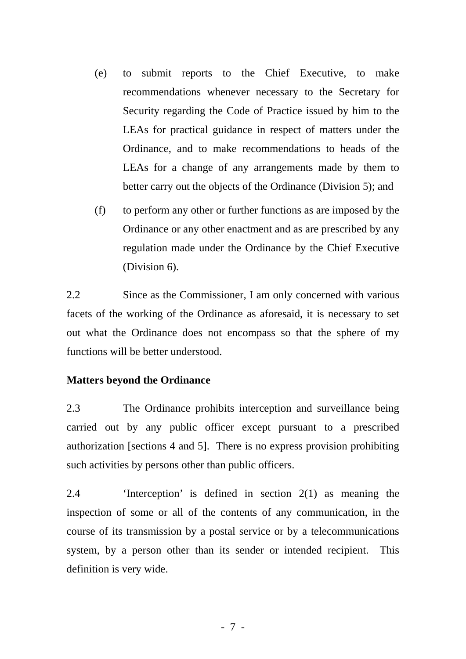- (e) to submit reports to the Chief Executive, to make recommendations whenever necessary to the Secretary for Security regarding the Code of Practice issued by him to the LEAs for practical guidance in respect of matters under the Ordinance, and to make recommendations to heads of the LEAs for a change of any arrangements made by them to better carry out the objects of the Ordinance (Division 5); and
- (f) to perform any other or further functions as are imposed by the Ordinance or any other enactment and as are prescribed by any regulation made under the Ordinance by the Chief Executive (Division 6).

2.2 Since as the Commissioner, I am only concerned with various facets of the working of the Ordinance as aforesaid, it is necessary to set out what the Ordinance does not encompass so that the sphere of my functions will be better understood.

#### **Matters beyond the Ordinance**

2.3 The Ordinance prohibits interception and surveillance being carried out by any public officer except pursuant to a prescribed authorization [sections 4 and 5]. There is no express provision prohibiting such activities by persons other than public officers.

2.4 'Interception' is defined in section 2(1) as meaning the inspection of some or all of the contents of any communication, in the course of its transmission by a postal service or by a telecommunications system, by a person other than its sender or intended recipient. This definition is very wide.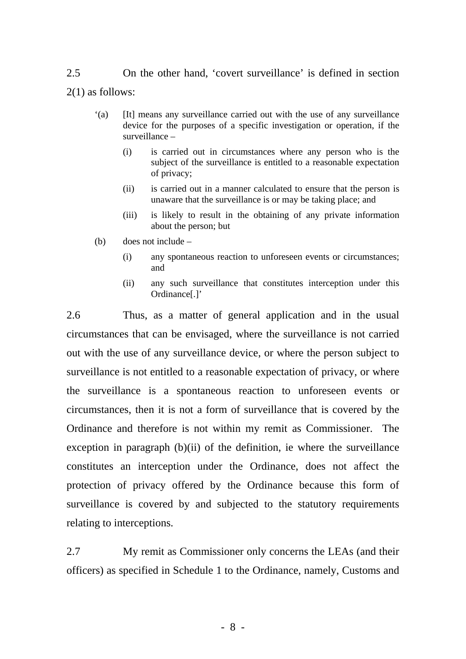2.5 On the other hand, 'covert surveillance' is defined in section 2(1) as follows:

- '(a) [It] means any surveillance carried out with the use of any surveillance device for the purposes of a specific investigation or operation, if the surveillance –
	- (i) is carried out in circumstances where any person who is the subject of the surveillance is entitled to a reasonable expectation of privacy;
	- (ii) is carried out in a manner calculated to ensure that the person is unaware that the surveillance is or may be taking place; and
	- (iii) is likely to result in the obtaining of any private information about the person; but
- (b) does not include
	- (i) any spontaneous reaction to unforeseen events or circumstances; and
	- (ii) any such surveillance that constitutes interception under this Ordinance[.]'

2.6 Thus, as a matter of general application and in the usual circumstances that can be envisaged, where the surveillance is not carried out with the use of any surveillance device, or where the person subject to surveillance is not entitled to a reasonable expectation of privacy, or where the surveillance is a spontaneous reaction to unforeseen events or circumstances, then it is not a form of surveillance that is covered by the Ordinance and therefore is not within my remit as Commissioner. The exception in paragraph (b)(ii) of the definition, ie where the surveillance constitutes an interception under the Ordinance, does not affect the protection of privacy offered by the Ordinance because this form of surveillance is covered by and subjected to the statutory requirements relating to interceptions.

2.7 My remit as Commissioner only concerns the LEAs (and their officers) as specified in Schedule 1 to the Ordinance, namely, Customs and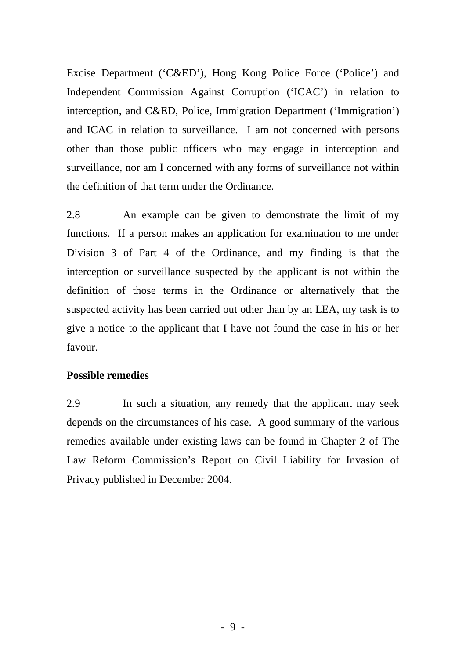Excise Department ('C&ED'), Hong Kong Police Force ('Police') and Independent Commission Against Corruption ('ICAC') in relation to interception, and C&ED, Police, Immigration Department ('Immigration') and ICAC in relation to surveillance. I am not concerned with persons other than those public officers who may engage in interception and surveillance, nor am I concerned with any forms of surveillance not within the definition of that term under the Ordinance.

2.8 An example can be given to demonstrate the limit of my functions. If a person makes an application for examination to me under Division 3 of Part 4 of the Ordinance, and my finding is that the interception or surveillance suspected by the applicant is not within the definition of those terms in the Ordinance or alternatively that the suspected activity has been carried out other than by an LEA, my task is to give a notice to the applicant that I have not found the case in his or her favour.

## **Possible remedies**

2.9 In such a situation, any remedy that the applicant may seek depends on the circumstances of his case. A good summary of the various remedies available under existing laws can be found in Chapter 2 of The Law Reform Commission's Report on Civil Liability for Invasion of Privacy published in December 2004.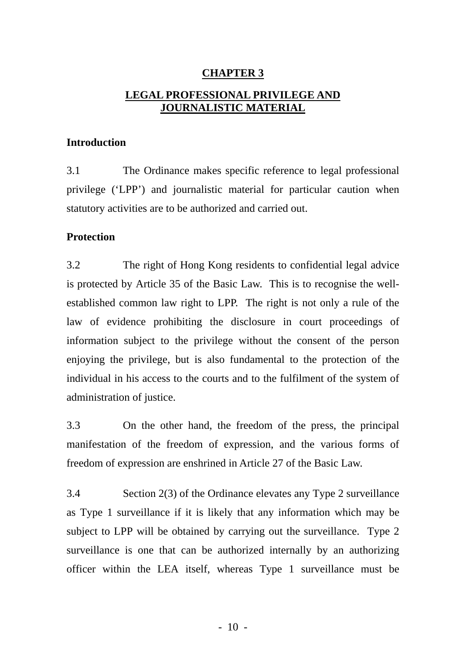# **CHAPTER 3 LEGAL PROFESSIONAL PRIVILEGE AND JOURNALISTIC MATERIAL**

## **Introduction**

3.1 The Ordinance makes specific reference to legal professional privilege ('LPP') and journalistic material for particular caution when statutory activities are to be authorized and carried out.

# **Protection**

3.2 The right of Hong Kong residents to confidential legal advice is protected by Article 35 of the Basic Law. This is to recognise the wellestablished common law right to LPP. The right is not only a rule of the law of evidence prohibiting the disclosure in court proceedings of information subject to the privilege without the consent of the person enjoying the privilege, but is also fundamental to the protection of the administration of justice. individual in his access to the courts and to the fulfilment of the system of

3.3 On the other hand, the freedom of the press, the principal manifestation of the freedom of expression, and the various forms of freedom of expression are enshrined in Article 27 of the Basic Law.

3.4 Section 2(3) of the Ordinance elevates any Type 2 surveillance as Type 1 surveillance if it is likely that any information which may be subject to LPP will be obtained by carrying out the surveillance. Type 2 surveillance is one that can be authorized internally by an authorizing officer within the LEA itself, whereas Type 1 surveillance must be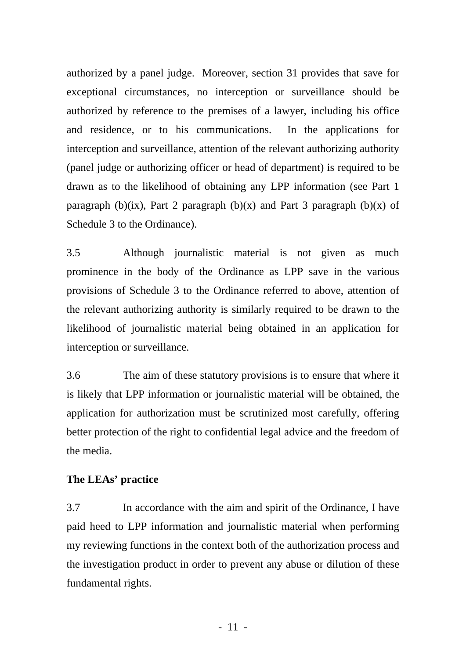authorized by a panel judge. Moreover, section 31 provides that save for exceptional circumstances, no interception or surveillance should be authorized by reference to the premises of a lawyer, including his office and residence, or to his communications. In the applications for interception and surveillance, attention of the relevant authorizing authority (panel judge or authorizing officer or head of department) is required to be drawn as to the likelihood of obtaining any LPP information (see Part 1 paragraph (b)(ix), Part 2 paragraph (b)(x) and Part 3 paragraph (b)(x) of Schedule 3 to the Ordinance).

3.5 Although journalistic material is not given as much prominence in the body of the Ordinance as LPP save in the various provisions of Schedule 3 to the Ordinance referred to above, attention of the relevant authorizing authority is similarly required to be drawn to the likelihood of journalistic material being obtained in an application for interception or surveillance.

3.6 The aim of these statutory provisions is to ensure that where it is likely that LPP information or journalistic material will be obtained, the application for authorization must be scrutinized most carefully, offering better protection of the right to confidential legal advice and the freedom of the media.

## **The LEAs' practice**

3.7 In accordance with the aim and spirit of the Ordinance, I have paid heed to LPP information and journalistic material when performing my reviewing functions in the context both of the authorization process and the investigation product in order to prevent any abuse or dilution of these fundamental rights.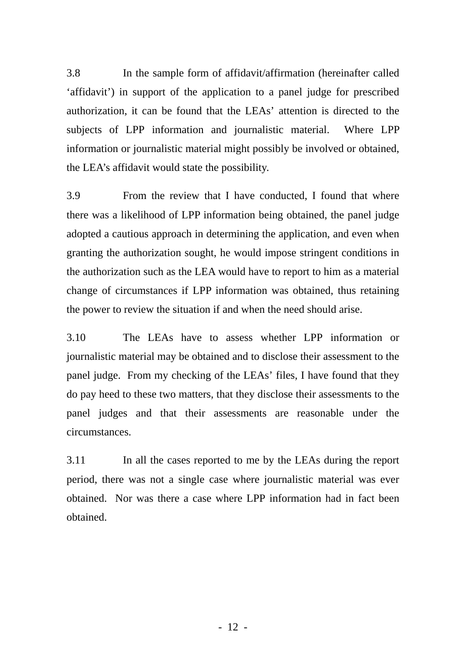3.8 In the sample form of affidavit/affirmation (hereinafter called 'affidavit') in support of the application to a panel judge for prescribed authorization, it can be found that the LEAs' attention is directed to the subjects of LPP information and journalistic material. Where LPP information or journalistic material might possibly be involved or obtained, the LEA's affidavit would state the possibility.

3.9 From the review that I have conducted, I found that where there was a likelihood of LPP information being obtained, the panel judge adopted a cautious approach in determining the application, and even when granting the authorization sought, he would impose stringent conditions in the authorization such as the LEA would have to report to him as a material change of circumstances if LPP information was obtained, thus retaining the power to review the situation if and when the need should arise.

3.10 The LEAs have to assess whether LPP information or journalistic material may be obtained and to disclose their assessment to the panel judge. From my checking of the LEAs' files, I have found that they do pay heed to these two matters, that they disclose their assessments to the panel judges and that their assessments are reasonable under the circumstances.

3.11 In all the cases reported to me by the LEAs during the report period, there was not a single case where journalistic material was ever obtained. Nor was there a case where LPP information had in fact been obtained.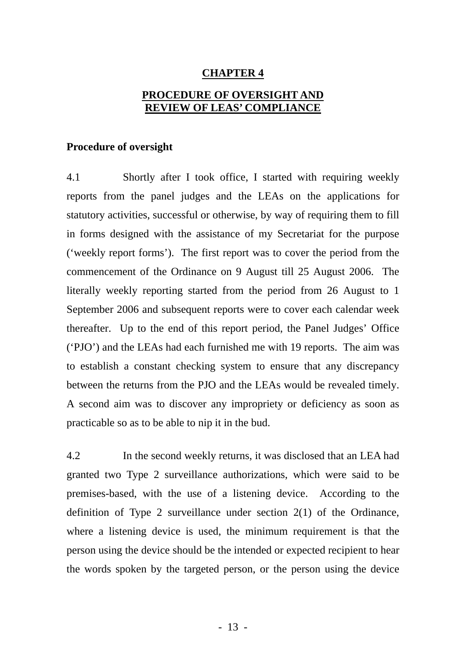#### **CHAPTER 4**

# **PROCEDURE OF OVERSIGHT AND REVIEW OF LEAS' COMPLIANCE**

#### **Procedure of oversight**

4.1 Shortly after I took office, I started with requiring weekly statutory activities, successful or otherwise, by way of requiring them to fill in forms designed with the assistance of my Secretariat for the purpose ('weekly report forms'). The first report was to cover the period from the commencement of the Ordinance on 9 August till 25 August 2006. The literally weekly reporting started from the period from 26 August to 1 thereafter. Up to the end of this report period, the Panel Judges' Office ('PJO') and the LEAs had each furnished me with 19 reports. The aim was to establish a constant checking system to ensure that any discrepancy between the returns from the PJO and the LEAs would be revealed timely. A second aim was to discover any impropriety or deficiency as soon as practicable so as to be able to nip it in the bud. reports from the panel judges and the LEAs on the applications for September 2006 and subsequent reports were to cover each calendar week

granted two Type 2 surveillance authorizations, which were said to be premises-based, with the use of a listening device. According to the definition of Type 2 surveillance under section 2(1) of the Ordinance, where a listening device is used, the minimum requirement is that the person using the device should be the intended or expected recipient to hear the words spoken by the targeted person, or the person using the device 4.2 In the second weekly returns, it was disclosed that an LEA had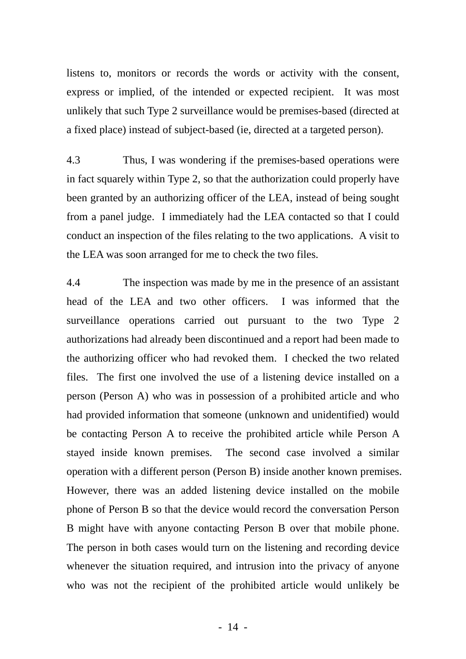listens to, monitors or records the words or activity with the consent, express or implied, of the intended or expected recipient. It was most unlikely that such Type 2 surveillance would be premises-based (directed at a fixed place) instead of subject-based (ie, directed at a targeted person).

4.3 Thus, I was wondering if the premises-based operations were in fact squarely within Type 2, so that the authorization could properly have been granted by an authorizing officer of the LEA, instead of being sought from a panel judge. I immediately had the LEA contacted so that I could conduct an inspection of the files relating to the two applications. A visit to the LEA was soon arranged for me to check the two files.

4.4 The inspection was made by me in the presence of an assistant head of the LEA and two other officers. I was informed that the surveillance operations carried out pursuant to the two Type 2 authorizations had already been discontinued and a report had been made to the authorizing officer who had revoked them. I checked the two related files. The first one involved the use of a listening device installed on a person (Person A) who was in possession of a prohibited article and who had provided information that someone (unknown and unidentified) would be contacting Person A to receive the prohibited article while Person A stayed inside known premises. The second case involved a similar operation with a different person (Person B) inside another known premises. However, there was an added listening device installed on the mobile phone of Person B so that the device would record the conversation Person B might have with anyone contacting Person B over that mobile phone. The person in both cases would turn on the listening and recording device whenever the situation required, and intrusion into the privacy of anyone who was not the recipient of the prohibited article would unlikely be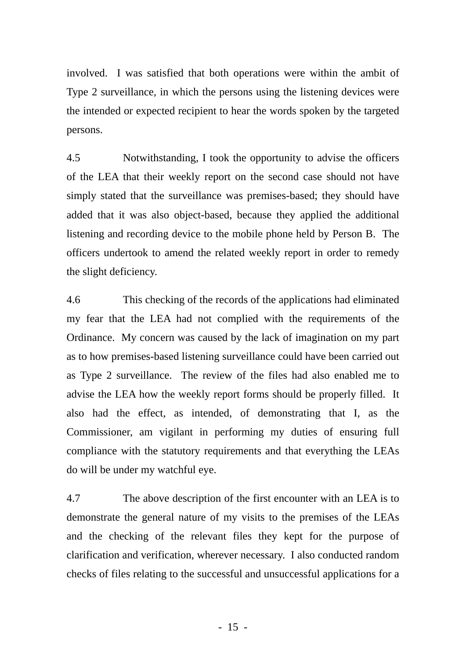involved. I was satisfied that both operations were within the ambit of Type 2 surveillance, in which the persons using the listening devices were the intended or expected recipient to hear the words spoken by the targeted persons.

4.5 Notwithstanding, I took the opportunity to advise the officers of the LEA that their weekly report on the second case should not have simply stated that the surveillance was premises-based; they should have added that it was also object-based, because they applied the additional listening and recording device to the mobile phone held by Person B. The officers undertook to amend the related weekly report in order to remedy the slight deficiency.

4.6 This checking of the records of the applications had eliminated my fear that the LEA had not complied with the requirements of the Ordinance. My concern was caused by the lack of imagination on my part as to how premises-based listening surveillance could have been carried out as Type 2 surveillance. The review of the files had also enabled me to advise the LEA how the weekly report forms should be properly filled. It also had the effect, as intended, of demonstrating that I, as the Commissioner, am vigilant in performing my duties of ensuring full compliance with the statutory requirements and that everything the LEAs do will be under my watchful eye.

4.7 The above description of the first encounter with an LEA is to demonstrate the general nature of my visits to the premises of the LEAs and the checking of the relevant files they kept for the purpose of clarification and verification, wherever necessary. I also conducted random checks of files relating to the successful and unsuccessful applications for a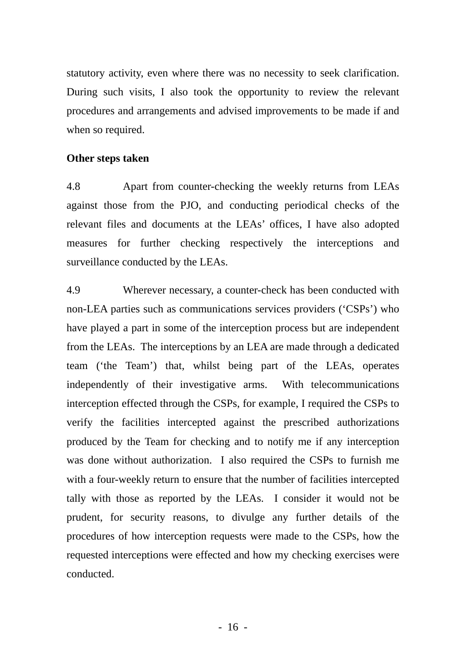statutory activity, even where there was no necessity to seek clarification. During such visits, I also took the opportunity to review the relevant procedures and arrangements and advised improvements to be made if and when so required.

## **Other steps taken**

4.8 Apart from counter-checking the weekly returns from LEAs against those from the PJO, and conducting periodical checks of the relevant files and documents at the LEAs' offices, I have also adopted measures for further checking respectively the interceptions and surveillance conducted by the LEAs.

4.9 Wherever necessary, a counter-check has been conducted with non-LEA parties such as communications services providers ('CSPs') who have played a part in some of the interception process but are independent from the LEAs. The interceptions by an LEA are made through a dedicated team ('the Team') that, whilst being part of the LEAs, operates independently of their investigative arms. With telecommunications interception effected through the CSPs, for example, I required the CSPs to verify the facilities intercepted against the prescribed authorizations produced by the Team for checking and to notify me if any interception was done without authorization. I also required the CSPs to furnish me with a four-weekly return to ensure that the number of facilities intercepted tally with those as reported by the LEAs. I consider it would not be prudent, for security reasons, to divulge any further details of the procedures of how interception requests were made to the CSPs, how the requested interceptions were effected and how my checking exercises were conducted.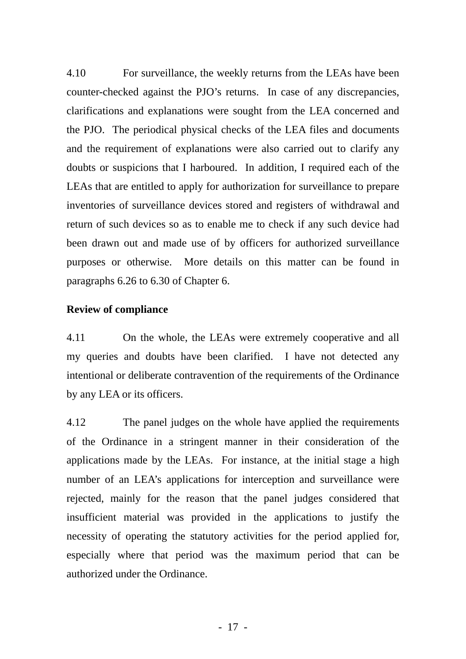4.10 For surveillance, the weekly returns from the LEAs have been counter-checked against the PJO's returns. In case of any discrepancies, clarifications and explanations were sought from the LEA concerned and the PJO. The periodical physical checks of the LEA files and documents and the requirement of explanations were also carried out to clarify any doubts or suspicions that I harboured. In addition, I required each of the LEAs that are entitled to apply for authorization for surveillance to prepare inventories of surveillance devices stored and registers of withdrawal and return of such devices so as to enable me to check if any such device had been drawn out and made use of by officers for authorized surveillance purposes or otherwise. More details on this matter can be found in paragraphs 6.26 to 6.30 of Chapter 6.

## **Review of compliance**

4.11 On the whole, the LEAs were extremely cooperative and all my queries and doubts have been clarified. I have not detected any intentional or deliberate contravention of the requirements of the Ordinance by any LEA or its officers.

4.12 The panel judges on the whole have applied the requirements of the Ordinance in a stringent manner in their consideration of the applications made by the LEAs. For instance, at the initial stage a high number of an LEA's applications for interception and surveillance were rejected, mainly for the reason that the panel judges considered that insufficient material was provided in the applications to justify the necessity of operating the statutory activities for the period applied for, especially where that period was the maximum period that can be authorized under the Ordinance.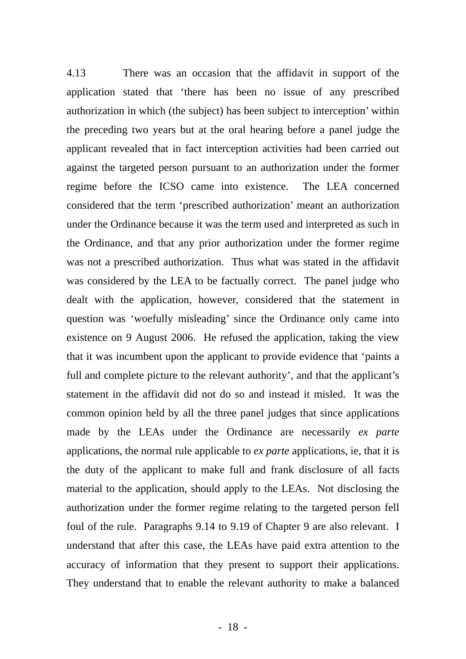4.13 There was an occasion that the affidavit in support of the application stated that 'there has been no issue of any prescribed authorization in which (the subject) has been subject to interception' within the preceding two years but at the oral hearing before a panel judge the applicant revealed that in fact interception activities had been carried out against the targeted person pursuant to an authorization under the former regime before the ICSO came into existence. The LEA concerned considered that the term 'prescribed authorization' meant an authorization under the Ordinance because it was the term used and interpreted as such in the Ordinance, and that any prior authorization under the former regime was not a prescribed authorization. Thus what was stated in the affidavit was considered by the LEA to be factually correct. The panel judge who dealt with the application, however, considered that the statement in question was 'woefully misleading' since the Ordinance only came into existence on 9 August 2006. He refused the application, taking the view that it was incumbent upon the applicant to provide evidence that 'paints a full and complete picture to the relevant authority', and that the applicant's statement in the affidavit did not do so and instead it misled. It was the common opinion held by all the three panel judges that since applications made by the LEAs under the Ordinance are necessarily *ex parte* applications, the normal rule applicable to *ex parte* applications, ie, that it is the duty of the applicant to make full and frank disclosure of all facts material to the application, should apply to the LEAs. Not disclosing the authorization under the former regime relating to the targeted person fell foul of the rule. Paragraphs 9.14 to 9.19 of Chapter 9 are also relevant. I understand that after this case, the LEAs have paid extra attention to the accuracy of information that they present to support their applications. They understand that to enable the relevant authority to make a balanced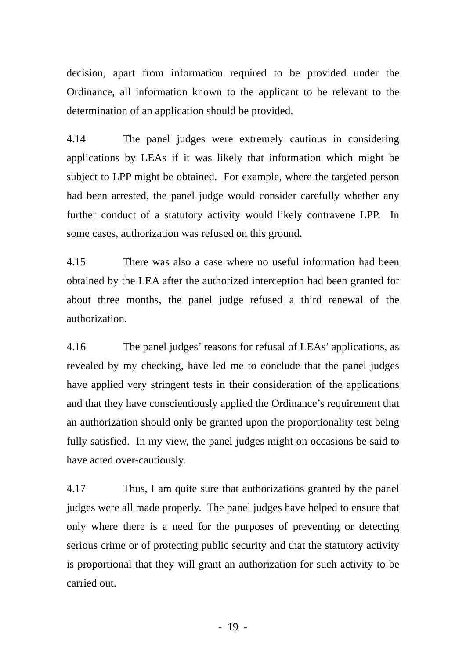decision, apart from information required to be provided under the Ordinance, all information known to the applicant to be relevant to the determination of an application should be provided.

4.14 The panel judges were extremely cautious in considering applications by LEAs if it was likely that information which might be subject to LPP might be obtained. For example, where the targeted person had been arrested, the panel judge would consider carefully whether any further conduct of a statutory activity would likely contravene LPP. In some cases, authorization was refused on this ground.

4.15 There was also a case where no useful information had been obtained by the LEA after the authorized interception had been granted for about three months, the panel judge refused a third renewal of the authorization.

4.16 The panel judges' reasons for refusal of LEAs' applications, as revealed by my checking, have led me to conclude that the panel judges have applied very stringent tests in their consideration of the applications and that they have conscientiously applied the Ordinance's requirement that an authorization should only be granted upon the proportionality test being fully satisfied. In my view, the panel judges might on occasions be said to have acted over-cautiously.

4.17 Thus, I am quite sure that authorizations granted by the panel judges were all made properly. The panel judges have helped to ensure that only where there is a need for the purposes of preventing or detecting serious crime or of protecting public security and that the statutory activity is proportional that they will grant an authorization for such activity to be carried out.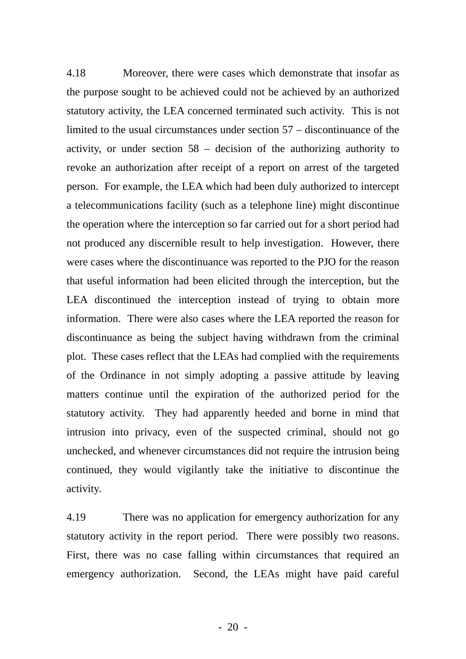4.18 Moreover, there were cases which demonstrate that insofar as the purpose sought to be achieved could not be achieved by an authorized statutory activity, the LEA concerned terminated such activity. This is not limited to the usual circumstances under section 57 – discontinuance of the activity, or under section  $58$  – decision of the authorizing authority to revoke an authorization after receipt of a report on arrest of the targeted person. For example, the LEA which had been duly authorized to intercept a telecommunications facility (such as a telephone line) might discontinue the operation where the interception so far carried out for a short period had not produced any discernible result to help investigation. However, there were cases where the discontinuance was reported to the PJO for the reason that useful information had been elicited through the interception, but the LEA discontinued the interception instead of trying to obtain more information. There were also cases where the LEA reported the reason for discontinuance as being the subject having withdrawn from the criminal plot. These cases reflect that the LEAs had complied with the requirements of the Ordinance in not simply adopting a passive attitude by leaving matters continue until the expiration of the authorized period for the statutory activity. They had apparently heeded and borne in mind that intrusion into privacy, even of the suspected criminal, should not go unchecked, and whenever circumstances did not require the intrusion being continued, they would vigilantly take the initiative to discontinue the activity.

4.19 There was no application for emergency authorization for any statutory activity in the report period. There were possibly two reasons. First, there was no case falling within circumstances that required an emergency authorization. Second, the LEAs might have paid careful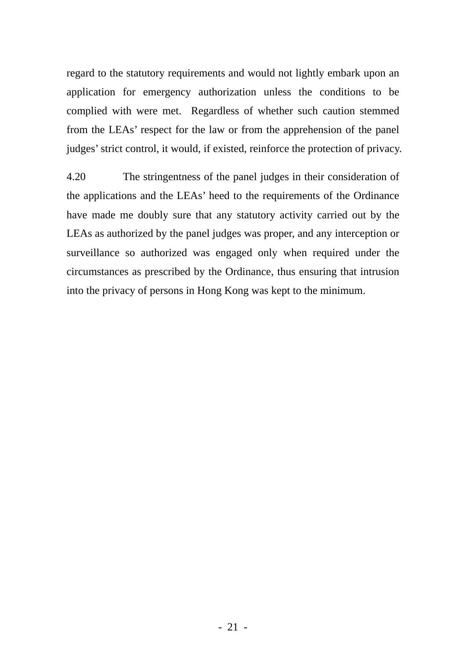regard to the statutory requirements and would not lightly embark upon an application for emergency authorization unless the conditions to be complied with were met. Regardless of whether such caution stemmed from the LEAs' respect for the law or from the apprehension of the panel judges' strict control, it would, if existed, reinforce the protection of privacy.

4.20 The stringentness of the panel judges in their consideration of the applications and the LEAs' heed to the requirements of the Ordinance have made me doubly sure that any statutory activity carried out by the LEAs as authorized by the panel judges was proper, and any interception or surveillance so authorized was engaged only when required under the circumstances as prescribed by the Ordinance, thus ensuring that intrusion into the privacy of persons in Hong Kong was kept to the minimum.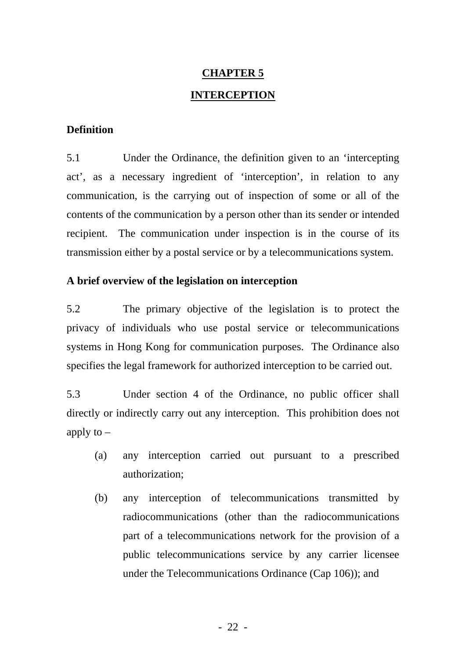# **CHAPTER 5 INTERCEPTION**

## **Definition**

5.1 Under the Ordinance, the definition given to an 'intercepting act', as a necessary ingredient of 'interception', in relation to any communication, is the carrying out of inspection of some or all of the contents of the communication by a person other than its sender or intended transmission either by a postal service or by a telecommunications system. recipient. The communication under inspection is in the course of its

# **A brief overview of the legislation on interception**

5.2 The primary objective of the legislation is to protect the privacy of individuals who use postal service or telecommunications systems in Hong Kong for communication purposes. The Ordinance also specifies the legal framework for authorized interception to be carried out.

directly or indirectly carry out any interception. This prohibition does not apply to  $-$ 5.3 Under section 4 of the Ordinance, no public officer shall

- (a) any interception carried out pursuant to a prescribed authorization;
- (b) any interception of telecommunications transmitted by public telecommunications service by any carrier licensee under the Telecommunications Ordinance (Cap 106)); and radiocommunications (other than the radiocommunications part of a telecommunications network for the provision of a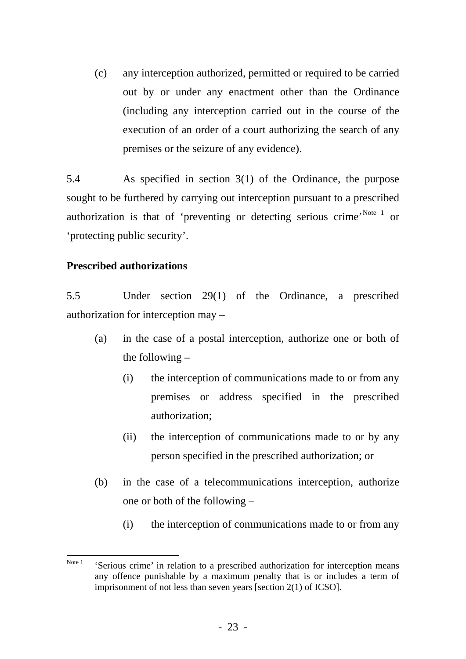(c) any interception authorized, permitted or required to be carried out by or under any enactment other than the Ordinance (including any interception carried out in the course of the execution of an order of a court authorizing the search of any premises or the seizure of any evidence).

5.4 As specified in section 3(1) of the Ordinance, the purpose sought to be furthered by carrying out interception pursuant to a prescribed authorization is that of 'preventing or detecting serious crime'.<sup>[Note 1](#page-29-0)</sup> or 'protecting public security'.

## **Prescribed authorizations**

5.5 Under section 29(1) of the Ordinance, a prescribed authorization for interception may –

- (a) in the case of a postal interception, authorize one or both of the following –
	- (i) the interception of communications made to or from any premises or address specified in the prescribed authorization;
	- (ii) the interception of communications made to or by any person specified in the prescribed authorization; or
- (b) in the case of a telecommunications interception, authorize one or both of the following –
	- (i) the interception of communications made to or from any

<span id="page-29-0"></span>Note 1 'Serious crime' in relation to a prescribed authorization for interception means any offence punishable by a maximum penalty that is or includes a term of imprisonment of not less than seven years [section 2(1) of ICSO].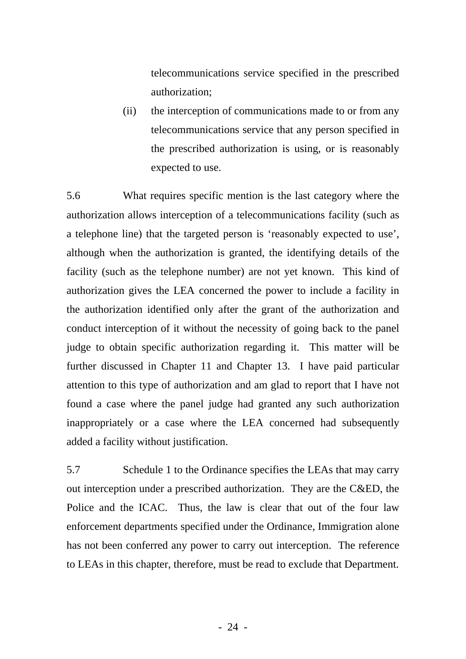telecommunications service specified in the prescribed authorization;

(ii) the interception of communications made to or from any telecommunications service that any person specified in the prescribed authorization is using, or is reasonably expected to use.

5.6 What requires specific mention is the last category where the authorization allows interception of a telecommunications facility (such as a telephone line) that the targeted person is 'reasonably expected to use', although when the authorization is granted, the identifying details of the facility (such as the telephone number) are not yet known. This kind of authorization gives the LEA concerned the power to include a facility in the authorization identified only after the grant of the authorization and conduct interception of it without the necessity of going back to the panel judge to obtain specific authorization regarding it. This matter will be further discussed in Chapter 11 and Chapter 13. I have paid particular attention to this type of authorization and am glad to report that I have not found a case where the panel judge had granted any such authorization inappropriately or a case where the LEA concerned had subsequently added a facility without justification.

5.7 Schedule 1 to the Ordinance specifies the LEAs that may carry out interception under a prescribed authorization. They are the C&ED, the Police and the ICAC. Thus, the law is clear that out of the four law enforcement departments specified under the Ordinance, Immigration alone has not been conferred any power to carry out interception. The reference to LEAs in this chapter, therefore, must be read to exclude that Department.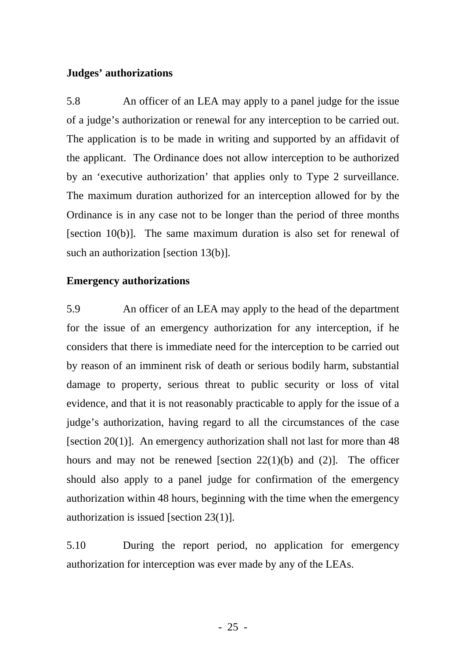#### **Judges' authorizations**

5.8 An officer of an LEA may apply to a panel judge for the issue of a judge's authorization or renewal for any interception to be carried out. The application is to be made in writing and supported by an affidavit of the applicant. The Ordinance does not allow interception to be authorized by an 'executive authorization' that applies only to Type 2 surveillance. The maximum duration authorized for an interception allowed for by the Ordinance is in any case not to be longer than the period of three months [section 10(b)]. The same maximum duration is also set for renewal of such an authorization [section 13(b)].

#### **Emergency authorizations**

5.9 An officer of an LEA may apply to the head of the department for the issue of an emergency authorization for any interception, if he considers that there is immediate need for the interception to be carried out by reason of an imminent risk of death or serious bodily harm, substantial damage to property, serious threat to public security or loss of vital evidence, and that it is not reasonably practicable to apply for the issue of a judge's authorization, having regard to all the circumstances of the case [section 20(1)]. An emergency authorization shall not last for more than  $48$ hours and may not be renewed [section 22(1)(b) and (2)]. The officer should also apply to a panel judge for confirmation of the emergency authorization within 48 hours, beginning with the time when the emergency authorization is issued [section 23(1)].

5.10 During the report period, no application for emergency authorization for interception was ever made by any of the LEAs.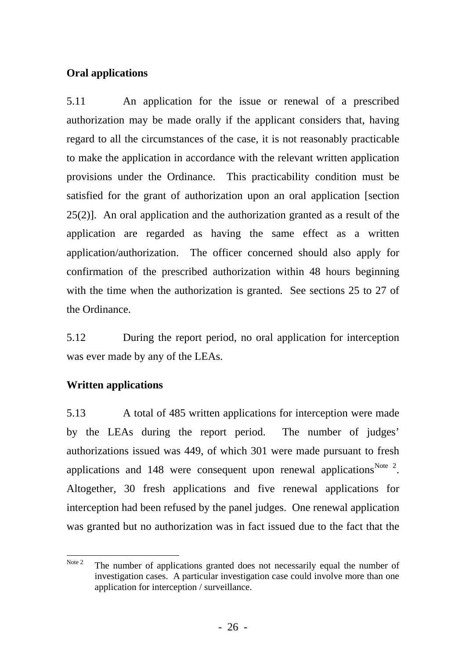# **Oral applications**

5.11 An application for the issue or renewal of a prescribed authorization may be made orally if the applicant considers that, having regard to all the circumstances of the case, it is not reasonably practicable to make the application in accordance with the relevant written application provisions under the Ordinance. This practicability condition must be satisfied for the grant of authorization upon an oral application [section 25(2)]. An oral application and the authorization granted as a result of the application are regarded as having the same effect as a written application/authorization. The officer concerned should also apply for confirmation of the prescribed authorization within 48 hours beginning with the time when the authorization is granted. See sections 25 to 27 of the Ordinance.

5.12 During the report period, no oral application for interception was ever made by any of the LEAs.

# **Written applications**

5.13 A total of 485 written applications for interception were made by the LEAs during the report period. The number of judges' authorizations issued was 449, of which 301 were made pursuant to fresh applications and 148 were consequent upon renewal applications<sup>[Note 2](#page-32-0)</sup>. Altogether, 30 fresh applications and five renewal applications for interception had been refused by the panel judges. One renewal application was granted but no authorization was in fact issued due to the fact that the

<span id="page-32-0"></span>Note 2 The number of applications granted does not necessarily equal the number of investigation cases. A particular investigation case could involve more than one application for interception / surveillance.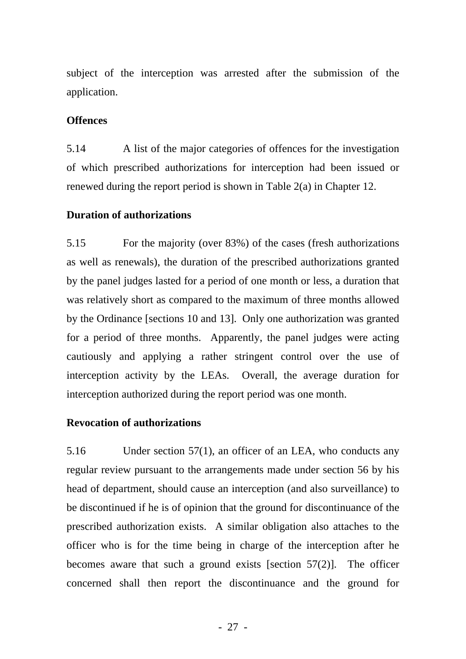subject of the interception was arrested after the submission of the application.

# **Offences**

5.14 A list of the major categories of offences for the investigation of which prescribed authorizations for interception had been issued or renewed during the report period is shown in Table 2(a) in Chapter 12.

# **Duration of authorizations**

5.15 For the majority (over 83%) of the cases (fresh authorizations as well as renewals), the duration of the prescribed authorizations granted by the panel judges lasted for a period of one month or less, a duration that was relatively short as compared to the maximum of three months allowed by the Ordinance [sections 10 and 13]. Only one authorization was granted for a period of three months. Apparently, the panel judges were acting cautiously and applying a rather stringent control over the use of interception activity by the LEAs. Overall, the average duration for interception authorized during the report period was one month.

# **Revocation of authorizations**

5.16 Under section 57(1), an officer of an LEA, who conducts any regular review pursuant to the arrangements made under section 56 by his head of department, should cause an interception (and also surveillance) to be discontinued if he is of opinion that the ground for discontinuance of the prescribed authorization exists. A similar obligation also attaches to the officer who is for the time being in charge of the interception after he becomes aware that such a ground exists [section 57(2)]. The officer concerned shall then report the discontinuance and the ground for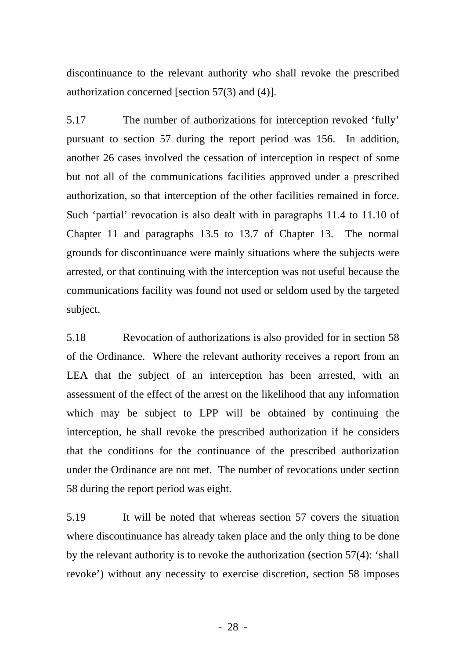discontinuance to the relevant authority who shall revoke the prescribed authorization concerned [section 57(3) and (4)].

5.17 The number of authorizations for interception revoked 'fully' pursuant to section 57 during the report period was 156. In addition, another 26 cases involved the cessation of interception in respect of some but not all of the communications facilities approved under a prescribed authorization, so that interception of the other facilities remained in force. Such 'partial' revocation is also dealt with in paragraphs 11.4 to 11.10 of Chapter 11 and paragraphs 13.5 to 13.7 of Chapter 13. The normal grounds for discontinuance were mainly situations where the subjects were arrested, or that continuing with the interception was not useful because the communications facility was found not used or seldom used by the targeted subject.

5.18 Revocation of authorizations is also provided for in section 58 of the Ordinance. Where the relevant authority receives a report from an LEA that the subject of an interception has been arrested, with an assessment of the effect of the arrest on the likelihood that any information which may be subject to LPP will be obtained by continuing the interception, he shall revoke the prescribed authorization if he considers that the conditions for the continuance of the prescribed authorization under the Ordinance are not met. The number of revocations under section 58 during the report period was eight.

5.19 It will be noted that whereas section 57 covers the situation where discontinuance has already taken place and the only thing to be done by the relevant authority is to revoke the authorization (section 57(4): 'shall revoke') without any necessity to exercise discretion, section 58 imposes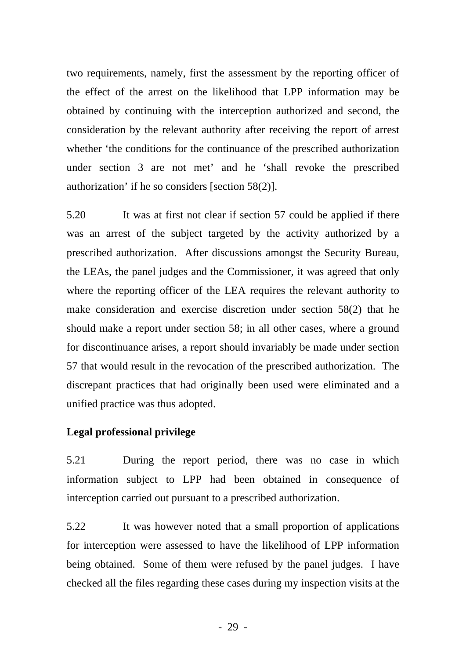two requirements, namely, first the assessment by the reporting officer of the effect of the arrest on the likelihood that LPP information may be obtained by continuing with the interception authorized and second, the consideration by the relevant authority after receiving the report of arrest whether 'the conditions for the continuance of the prescribed authorization under section 3 are not met' and he 'shall revoke the prescribed authorization' if he so considers [section 58(2)].

5.20 It was at first not clear if section 57 could be applied if there was an arrest of the subject targeted by the activity authorized by a prescribed authorization. After discussions amongst the Security Bureau, the LEAs, the panel judges and the Commissioner, it was agreed that only where the reporting officer of the LEA requires the relevant authority to make consideration and exercise discretion under section 58(2) that he should make a report under section 58; in all other cases, where a ground for discontinuance arises, a report should invariably be made under section 57 that would result in the revocation of the prescribed authorization. The discrepant practices that had originally been used were eliminated and a unified practice was thus adopted.

## **Legal professional privilege**

5.21 During the report period, there was no case in which information subject to LPP had been obtained in consequence of interception carried out pursuant to a prescribed authorization.

5.22 It was however noted that a small proportion of applications for interception were assessed to have the likelihood of LPP information being obtained. Some of them were refused by the panel judges. I have checked all the files regarding these cases during my inspection visits at the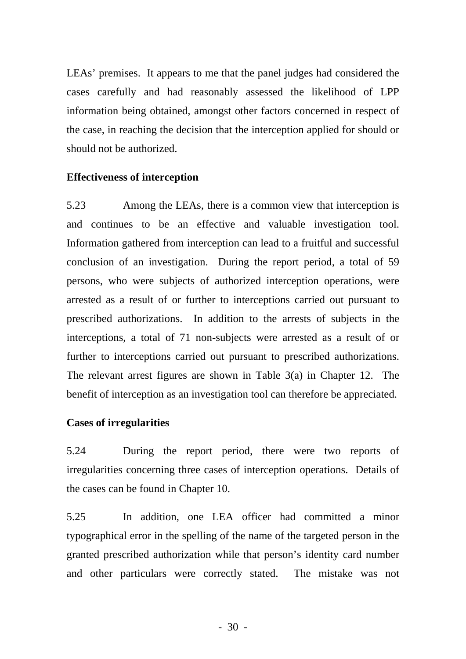LEAs' premises. It appears to me that the panel judges had considered the cases carefully and had reasonably assessed the likelihood of LPP information being obtained, amongst other factors concerned in respect of the case, in reaching the decision that the interception applied for should or should not be authorized.

### **Effectiveness of interception**

5.23 Among the LEAs, there is a common view that interception is and continues to be an effective and valuable investigation tool. Information gathered from interception can lead to a fruitful and successful conclusion of an investigation. During the report period, a total of 59 persons, who were subjects of authorized interception operations, were arrested as a result of or further to interceptions carried out pursuant to prescribed authorizations. In addition to the arrests of subjects in the interceptions, a total of 71 non-subjects were arrested as a result of or further to interceptions carried out pursuant to prescribed authorizations. The relevant arrest figures are shown in Table 3(a) in Chapter 12. The benefit of interception as an investigation tool can therefore be appreciated.

### **Cases of irregularities**

5.24 During the report period, there were two reports of irregularities concerning three cases of interception operations. Details of the cases can be found in Chapter 10.

5.25 In addition, one LEA officer had committed a minor typographical error in the spelling of the name of the targeted person in the granted prescribed authorization while that person's identity card number and other particulars were correctly stated. The mistake was not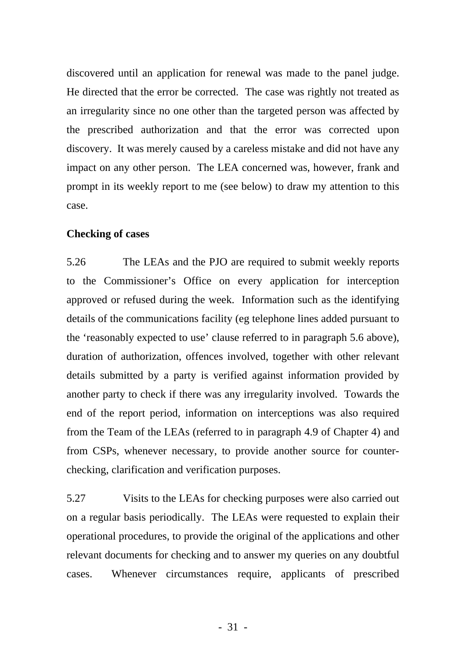discovered until an application for renewal was made to the panel judge. He directed that the error be corrected. The case was rightly not treated as an irregularity since no one other than the targeted person was affected by the prescribed authorization and that the error was corrected upon discovery. It was merely caused by a careless mistake and did not have any impact on any other person. The LEA concerned was, however, frank and prompt in its weekly report to me (see below) to draw my attention to this case.

#### **Checking of cases**

5.26 The LEAs and the PJO are required to submit weekly reports to the Commissioner's Office on every application for interception approved or refused during the week. Information such as the identifying details of the communications facility (eg telephone lines added pursuant to the 'reasonably expected to use' clause referred to in paragraph 5.6 above), duration of authorization, offences involved, together with other relevant details submitted by a party is verified against information provided by another party to check if there was any irregularity involved. Towards the end of the report period, information on interceptions was also required from the Team of the LEAs (referred to in paragraph 4.9 of Chapter 4) and from CSPs, whenever necessary, to provide another source for counterchecking, clarification and verification purposes.

5.27 Visits to the LEAs for checking purposes were also carried out on a regular basis periodically. The LEAs were requested to explain their operational procedures, to provide the original of the applications and other relevant documents for checking and to answer my queries on any doubtful cases. Whenever circumstances require, applicants of prescribed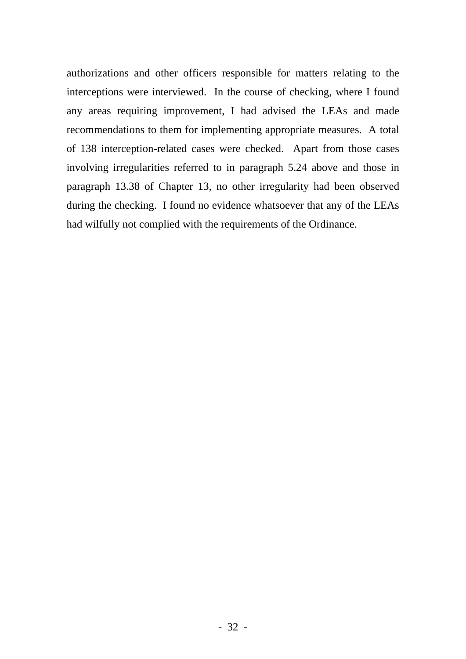authorizations and other officers responsible for matters relating to the interceptions were interviewed. In the course of checking, where I found any areas requiring improvement, I had advised the LEAs and made recommendations to them for implementing appropriate measures. A total of 138 interception-related cases were checked. Apart from those cases involving irregularities referred to in paragraph 5.24 above and those in paragraph 13.38 of Chapter 13, no other irregularity had been observed during the checking. I found no evidence whatsoever that any of the LEAs had wilfully not complied with the requirements of the Ordinance.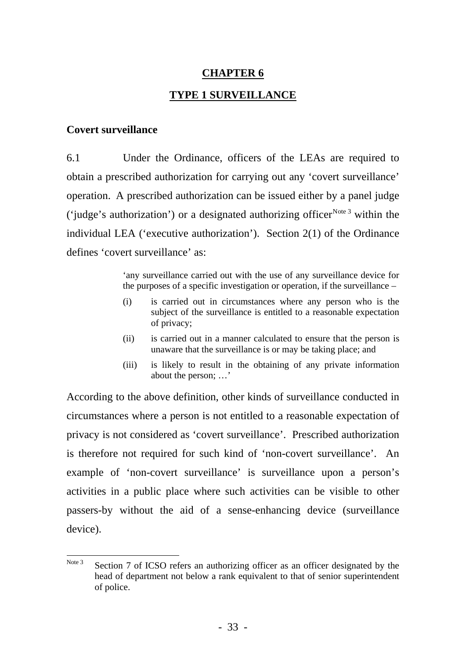# **CHAPTER 6 TYPE 1 SURVEILLANCE**

#### **Covert surveillance**

6.1 Under the Ordinance, officers of the LEAs are required to obtain a prescribed authorization for carrying out any 'covert surveillance' operation. A prescribed authorization can be issued either by a panel judge ('judge's authorization') or a designated authorizing officer<sup>[N](#page-39-0)ote 3</sup> within the defines 'covert surveillance' as: individual LEA ('executive authorization'). Section 2(1) of the Ordinance

> 'any surveillance carried out with the use of any surveillance device for the purposes of a specific investigation or operation, if the surveillance –

- (i) is carried out in circumstances where any person who is the subject of the surveillance is entitled to a reasonable expectation of privacy;
- (ii) is carried out in a manner calculated to ensure that the person is unaware that the surveillance is or may be taking place; and
- (iii) is likely to result in the obtaining of any private information about the person; …'

According to the above definition, other kinds of surveillance conducted in circumstances where a person is not entitled to a reasonable expectation of privacy is not considered as 'covert surveillance'. Prescribed authorization activities in a public place where such activities can be visible to other passers-by without the aid of a sense-enhancing device (surveillance device). is therefore not required for such kind of 'non-covert surveillance'. An example of 'non-covert surveillance' is surveillance upon a person's

<span id="page-39-0"></span>Note 3 Section 7 of ICSO refers an authorizing officer as an officer designated by the head of department not below a rank equivalent to that of senior superintendent of police.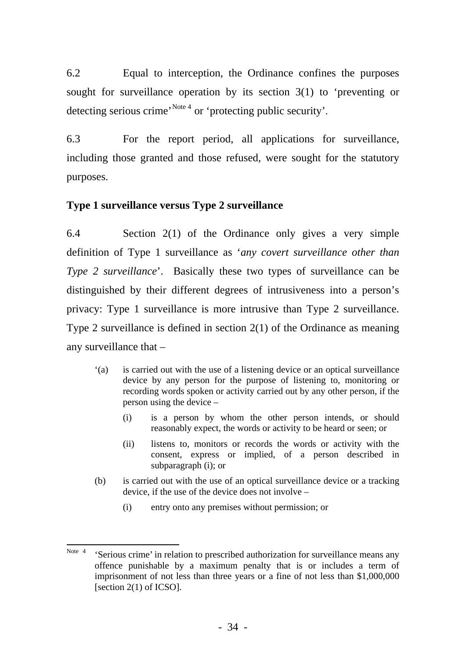6.2 Equal to interception, the Ordinance confines the purposes sought for surveillance operation by its section 3(1) to 'preventing or detecting serious crime<sup>, [Note 4](#page-40-0)</sup> or 'protecting public security'.

6.3 For the report period, all applications for surveillance, including those granted and those refused, were sought for the statutory purposes.

# **Type 1 surveillance versus Type 2 surveillance**

6.4 Section 2(1) of the Ordinance only gives a very simple definition of Type 1 surveillance as '*any covert surveillance other than Type 2 surveillance*'. Basically these two types of surveillance can be distinguished by their different degrees of intrusiveness into a person's privacy: Type 1 surveillance is more intrusive than Type 2 surveillance. Type 2 surveillance is defined in section 2(1) of the Ordinance as meaning any surveillance that –

- '(a) is carried out with the use of a listening device or an optical surveillance device by any person for the purpose of listening to, monitoring or recording words spoken or activity carried out by any other person, if the person using the device –
	- (i) is a person by whom the other person intends, or should reasonably expect, the words or activity to be heard or seen; or
	- (ii) listens to, monitors or records the words or activity with the consent, express or implied, of a person described in subparagraph (i); or
- (b) is carried out with the use of an optical surveillance device or a tracking device, if the use of the device does not involve –
	- (i) entry onto any premises without permission; or

<span id="page-40-0"></span> Note 4 'Serious crime' in relation to prescribed authorization for surveillance means any offence punishable by a maximum penalty that is or includes a term of imprisonment of not less than three years or a fine of not less than \$1,000,000 [section 2(1) of ICSO].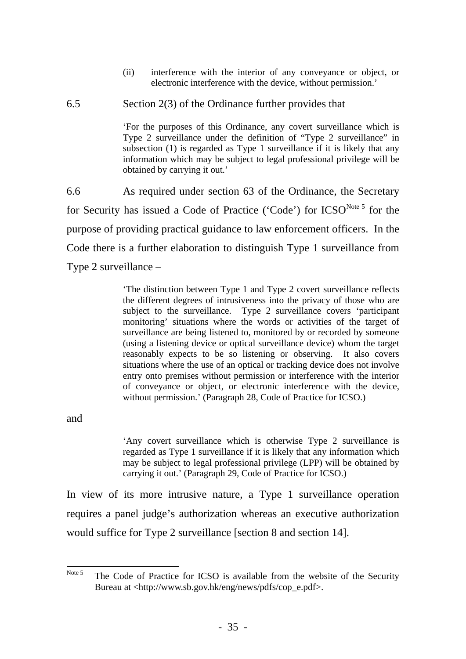(ii) interference with the interior of any conveyance or object, or electronic interference with the device, without permission.'

#### 6.5 Section 2(3) of the Ordinance further provides that

'For the purposes of this Ordinance, any covert surveillance which is Type 2 surveillance under the definition of "Type 2 surveillance" in subsection (1) is regarded as Type 1 surveillance if it is likely that any information which may be subject to legal professional privilege will be obtained by carrying it out.'

6.6 As required under section 63 of the Ordinance, the Secretary for Security has issued a Code of Practice ('Code') for ICSO<sup>[Note 5](#page-41-0)</sup> for the purpose of providing practical guidance to law enforcement officers. In the Code there is a further elaboration to distinguish Type 1 surveillance from Type 2 surveillance –

> 'The distinction between Type 1 and Type 2 covert surveillance reflects the different degrees of intrusiveness into the privacy of those who are subject to the surveillance. Type 2 surveillance covers 'participant monitoring' situations where the words or activities of the target of surveillance are being listened to, monitored by or recorded by someone (using a listening device or optical surveillance device) whom the target reasonably expects to be so listening or observing. It also covers situations where the use of an optical or tracking device does not involve entry onto premises without permission or interference with the interior of conveyance or object, or electronic interference with the device, without permission.' (Paragraph 28, Code of Practice for ICSO.)

and

'Any covert surveillance which is otherwise Type 2 surveillance is regarded as Type 1 surveillance if it is likely that any information which may be subject to legal professional privilege (LPP) will be obtained by carrying it out.' (Paragraph 29, Code of Practice for ICSO.)

In view of its more intrusive nature, a Type 1 surveillance operation requires a panel judge's authorization whereas an executive authorization would suffice for Type 2 surveillance [section 8 and section 14].

<span id="page-41-0"></span>Note 5 The Code of Practice for ICSO is available from the website of the Security Bureau at <http://www.sb.gov.hk/eng/news/pdfs/cop\_e.pdf>.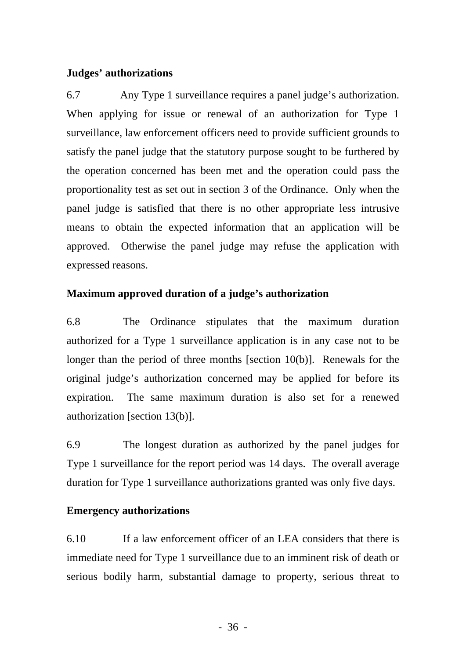### **Judges' authorizations**

6.7 Any Type 1 surveillance requires a panel judge's authorization. When applying for issue or renewal of an authorization for Type 1 surveillance, law enforcement officers need to provide sufficient grounds to satisfy the panel judge that the statutory purpose sought to be furthered by the operation concerned has been met and the operation could pass the proportionality test as set out in section 3 of the Ordinance. Only when the panel judge is satisfied that there is no other appropriate less intrusive means to obtain the expected information that an application will be approved. Otherwise the panel judge may refuse the application with expressed reasons.

# **Maximum approved duration of a judge's authorization**

6.8 The Ordinance stipulates that the maximum duration authorized for a Type 1 surveillance application is in any case not to be longer than the period of three months [section 10(b)]. Renewals for the original judge's authorization concerned may be applied for before its expiration. The same maximum duration is also set for a renewed authorization [section 13(b)].

6.9 The longest duration as authorized by the panel judges for Type 1 surveillance for the report period was 14 days. The overall average duration for Type 1 surveillance authorizations granted was only five days.

# **Emergency authorizations**

6.10 If a law enforcement officer of an LEA considers that there is immediate need for Type 1 surveillance due to an imminent risk of death or serious bodily harm, substantial damage to property, serious threat to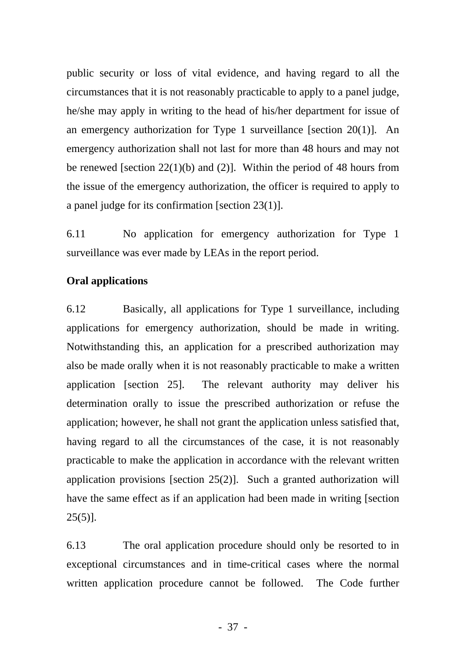public security or loss of vital evidence, and having regard to all the circumstances that it is not reasonably practicable to apply to a panel judge, he/she may apply in writing to the head of his/her department for issue of an emergency authorization for Type 1 surveillance [section 20(1)]. An emergency authorization shall not last for more than 48 hours and may not be renewed [section 22(1)(b) and (2)]. Within the period of 48 hours from the issue of the emergency authorization, the officer is required to apply to a panel judge for its confirmation [section 23(1)].

6.11 No application for emergency authorization for Type 1 surveillance was ever made by LEAs in the report period.

### **Oral applications**

6.12 Basically, all applications for Type 1 surveillance, including applications for emergency authorization, should be made in writing. Notwithstanding this, an application for a prescribed authorization may also be made orally when it is not reasonably practicable to make a written application [section 25]. The relevant authority may deliver his determination orally to issue the prescribed authorization or refuse the application; however, he shall not grant the application unless satisfied that, having regard to all the circumstances of the case, it is not reasonably practicable to make the application in accordance with the relevant written application provisions [section 25(2)]. Such a granted authorization will have the same effect as if an application had been made in writing [section  $25(5)$ ].

6.13 The oral application procedure should only be resorted to in exceptional circumstances and in time-critical cases where the normal written application procedure cannot be followed. The Code further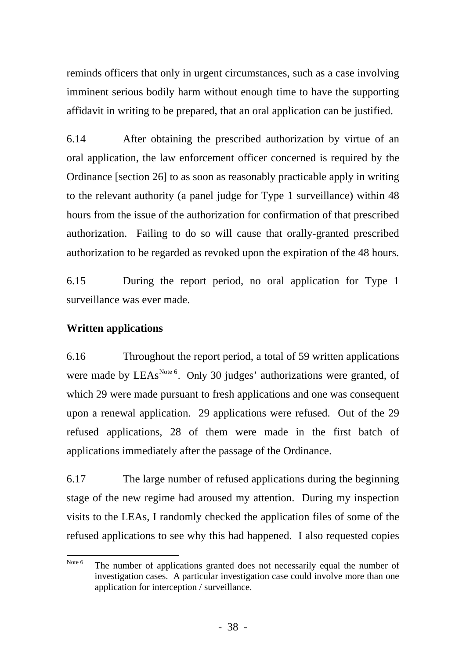reminds officers that only in urgent circumstances, such as a case involving imminent serious bodily harm without enough time to have the supporting affidavit in writing to be prepared, that an oral application can be justified.

6.14 After obtaining the prescribed authorization by virtue of an oral application, the law enforcement officer concerned is required by the Ordinance [section 26] to as soon as reasonably practicable apply in writing to the relevant authority (a panel judge for Type 1 surveillance) within 48 hours from the issue of the authorization for confirmation of that prescribed authorization. Failing to do so will cause that orally-granted prescribed authorization to be regarded as revoked upon the expiration of the 48 hours.

6.15 During the report period, no oral application for Type 1 surveillance was ever made.

# **Written applications**

6.16 Throughout the report period, a total of 59 written applications were made by  $LEAs<sup>Note 6</sup>$  $LEAs<sup>Note 6</sup>$  $LEAs<sup>Note 6</sup>$ . Only 30 judges' authorizations were granted, of which 29 were made pursuant to fresh applications and one was consequent upon a renewal application. 29 applications were refused. Out of the 29 refused applications, 28 of them were made in the first batch of applications immediately after the passage of the Ordinance.

6.17 The large number of refused applications during the beginning stage of the new regime had aroused my attention. During my inspection visits to the LEAs, I randomly checked the application files of some of the refused applications to see why this had happened. I also requested copies

<span id="page-44-0"></span>Note 6 The number of applications granted does not necessarily equal the number of investigation cases. A particular investigation case could involve more than one application for interception / surveillance.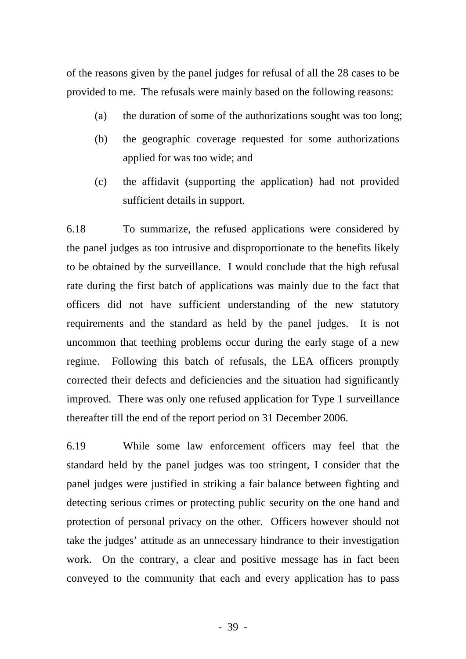of the reasons given by the panel judges for refusal of all the 28 cases to be provided to me. The refusals were mainly based on the following reasons:

- (a) the duration of some of the authorizations sought was too long;
- (b) the geographic coverage requested for some authorizations applied for was too wide; and
- (c) the affidavit (supporting the application) had not provided sufficient details in support.

6.18 To summarize, the refused applications were considered by the panel judges as too intrusive and disproportionate to the benefits likely to be obtained by the surveillance. I would conclude that the high refusal rate during the first batch of applications was mainly due to the fact that officers did not have sufficient understanding of the new statutory requirements and the standard as held by the panel judges. It is not uncommon that teething problems occur during the early stage of a new regime. Following this batch of refusals, the LEA officers promptly corrected their defects and deficiencies and the situation had significantly improved. There was only one refused application for Type 1 surveillance thereafter till the end of the report period on 31 December 2006.

6.19 While some law enforcement officers may feel that the standard held by the panel judges was too stringent, I consider that the panel judges were justified in striking a fair balance between fighting and detecting serious crimes or protecting public security on the one hand and protection of personal privacy on the other. Officers however should not take the judges' attitude as an unnecessary hindrance to their investigation work. On the contrary, a clear and positive message has in fact been conveyed to the community that each and every application has to pass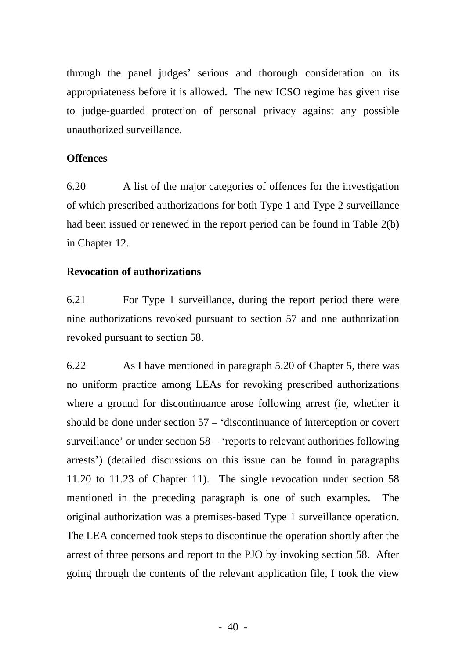through the panel judges' serious and thorough consideration on its appropriateness before it is allowed. The new ICSO regime has given rise to judge-guarded protection of personal privacy against any possible unauthorized surveillance.

# **Offences**

6.20 A list of the major categories of offences for the investigation of which prescribed authorizations for both Type 1 and Type 2 surveillance had been issued or renewed in the report period can be found in Table 2(b) in Chapter 12.

# **Revocation of authorizations**

6.21 For Type 1 surveillance, during the report period there were nine authorizations revoked pursuant to section 57 and one authorization revoked pursuant to section 58.

6.22 As I have mentioned in paragraph 5.20 of Chapter 5, there was no uniform practice among LEAs for revoking prescribed authorizations where a ground for discontinuance arose following arrest (ie, whether it should be done under section 57 – 'discontinuance of interception or covert surveillance' or under section 58 – 'reports to relevant authorities following arrests') (detailed discussions on this issue can be found in paragraphs 11.20 to 11.23 of Chapter 11). The single revocation under section 58 mentioned in the preceding paragraph is one of such examples. The original authorization was a premises-based Type 1 surveillance operation. The LEA concerned took steps to discontinue the operation shortly after the arrest of three persons and report to the PJO by invoking section 58. After going through the contents of the relevant application file, I took the view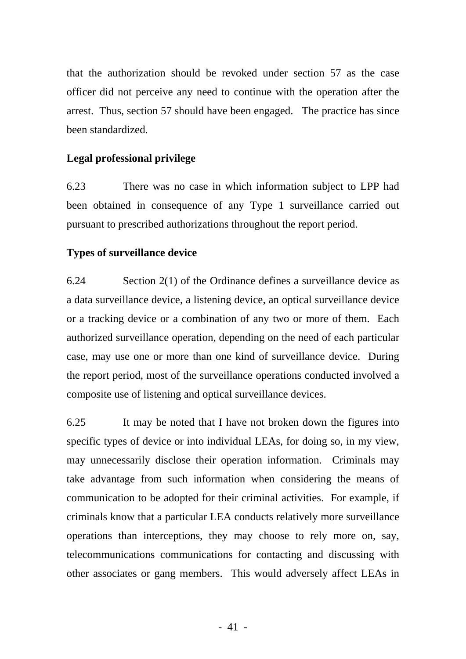that the authorization should be revoked under section 57 as the case officer did not perceive any need to continue with the operation after the arrest. Thus, section 57 should have been engaged. The practice has since been standardized.

# **Legal professional privilege**

6.23 There was no case in which information subject to LPP had been obtained in consequence of any Type 1 surveillance carried out pursuant to prescribed authorizations throughout the report period.

### **Types of surveillance device**

6.24 Section 2(1) of the Ordinance defines a surveillance device as a data surveillance device, a listening device, an optical surveillance device or a tracking device or a combination of any two or more of them. Each authorized surveillance operation, depending on the need of each particular case, may use one or more than one kind of surveillance device. During the report period, most of the surveillance operations conducted involved a composite use of listening and optical surveillance devices.

6.25 It may be noted that I have not broken down the figures into specific types of device or into individual LEAs, for doing so, in my view, may unnecessarily disclose their operation information. Criminals may take advantage from such information when considering the means of communication to be adopted for their criminal activities. For example, if criminals know that a particular LEA conducts relatively more surveillance operations than interceptions, they may choose to rely more on, say, telecommunications communications for contacting and discussing with other associates or gang members. This would adversely affect LEAs in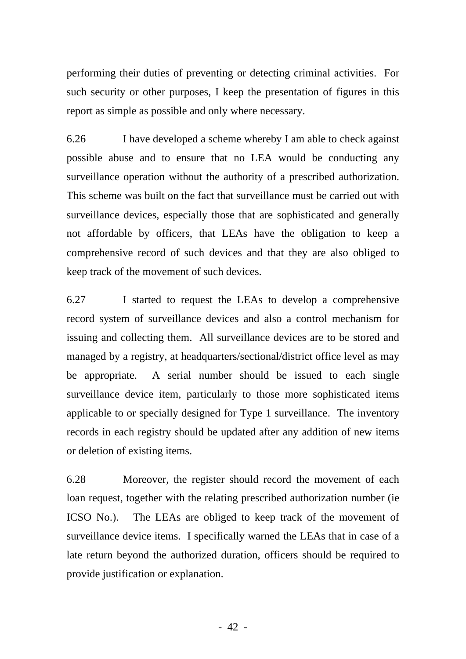performing their duties of preventing or detecting criminal activities. For such security or other purposes, I keep the presentation of figures in this report as simple as possible and only where necessary.

6.26 I have developed a scheme whereby I am able to check against possible abuse and to ensure that no LEA would be conducting any surveillance operation without the authority of a prescribed authorization. This scheme was built on the fact that surveillance must be carried out with surveillance devices, especially those that are sophisticated and generally not affordable by officers, that LEAs have the obligation to keep a comprehensive record of such devices and that they are also obliged to keep track of the movement of such devices.

6.27 I started to request the LEAs to develop a comprehensive record system of surveillance devices and also a control mechanism for issuing and collecting them. All surveillance devices are to be stored and managed by a registry, at headquarters/sectional/district office level as may be appropriate. A serial number should be issued to each single surveillance device item, particularly to those more sophisticated items applicable to or specially designed for Type 1 surveillance. The inventory records in each registry should be updated after any addition of new items or deletion of existing items.

6.28 Moreover, the register should record the movement of each loan request, together with the relating prescribed authorization number (ie ICSO No.). The LEAs are obliged to keep track of the movement of surveillance device items. I specifically warned the LEAs that in case of a late return beyond the authorized duration, officers should be required to provide justification or explanation.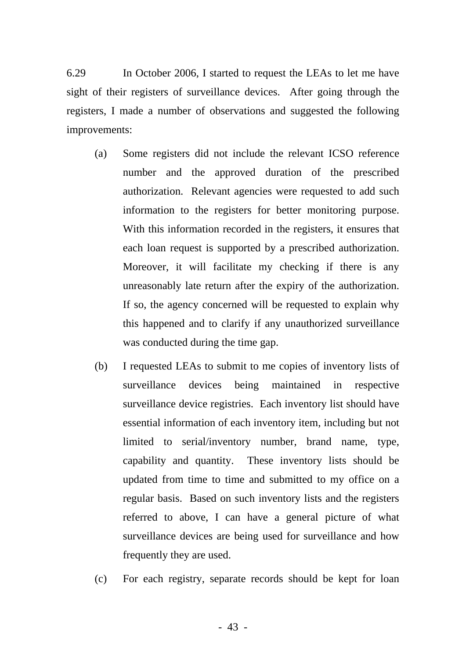6.29 In October 2006, I started to request the LEAs to let me have sight of their registers of surveillance devices. After going through the registers, I made a number of observations and suggested the following improvements:

- (a) Some registers did not include the relevant ICSO reference number and the approved duration of the prescribed authorization. Relevant agencies were requested to add such information to the registers for better monitoring purpose. With this information recorded in the registers, it ensures that each loan request is supported by a prescribed authorization. Moreover, it will facilitate my checking if there is any unreasonably late return after the expiry of the authorization. If so, the agency concerned will be requested to explain why this happened and to clarify if any unauthorized surveillance was conducted during the time gap.
- (b) I requested LEAs to submit to me copies of inventory lists of surveillance devices being maintained in respective surveillance device registries. Each inventory list should have essential information of each inventory item, including but not limited to serial/inventory number, brand name, type, capability and quantity. These inventory lists should be updated from time to time and submitted to my office on a regular basis. Based on such inventory lists and the registers referred to above, I can have a general picture of what surveillance devices are being used for surveillance and how frequently they are used.
- (c) For each registry, separate records should be kept for loan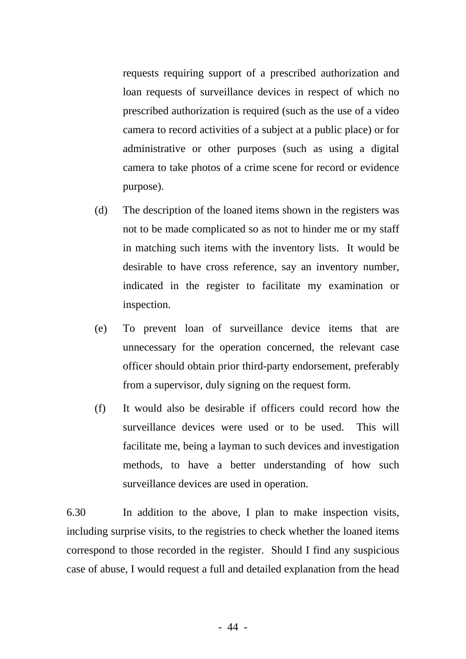requests requiring support of a prescribed authorization and loan requests of surveillance devices in respect of which no prescribed authorization is required (such as the use of a video camera to record activities of a subject at a public place) or for administrative or other purposes (such as using a digital camera to take photos of a crime scene for record or evidence purpose).

- (d) The description of the loaned items shown in the registers was not to be made complicated so as not to hinder me or my staff in matching such items with the inventory lists. It would be desirable to have cross reference, say an inventory number, indicated in the register to facilitate my examination or inspection.
- (e) To prevent loan of surveillance device items that are unnecessary for the operation concerned, the relevant case officer should obtain prior third-party endorsement, preferably from a supervisor, duly signing on the request form.
- (f) It would also be desirable if officers could record how the surveillance devices were used or to be used. This will facilitate me, being a layman to such devices and investigation methods, to have a better understanding of how such surveillance devices are used in operation.

6.30 In addition to the above, I plan to make inspection visits, including surprise visits, to the registries to check whether the loaned items correspond to those recorded in the register. Should I find any suspicious case of abuse, I would request a full and detailed explanation from the head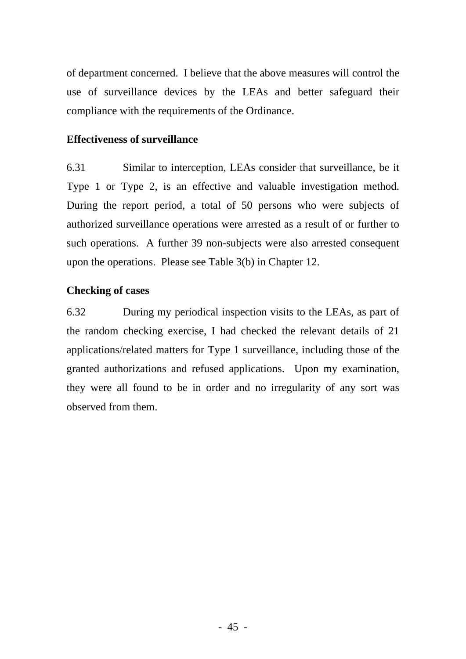of department concerned. I believe that the above measures will control the use of surveillance devices by the LEAs and better safeguard their compliance with the requirements of the Ordinance.

### **Effectiveness of surveillance**

6.31 Similar to interception, LEAs consider that surveillance, be it Type 1 or Type 2, is an effective and valuable investigation method. During the report period, a total of 50 persons who were subjects of authorized surveillance operations were arrested as a result of or further to such operations. A further 39 non-subjects were also arrested consequent upon the operations. Please see Table 3(b) in Chapter 12.

# **Checking of cases**

6.32 During my periodical inspection visits to the LEAs, as part of the random checking exercise, I had checked the relevant details of 21 applications/related matters for Type 1 surveillance, including those of the granted authorizations and refused applications. Upon my examination, they were all found to be in order and no irregularity of any sort was observed from them.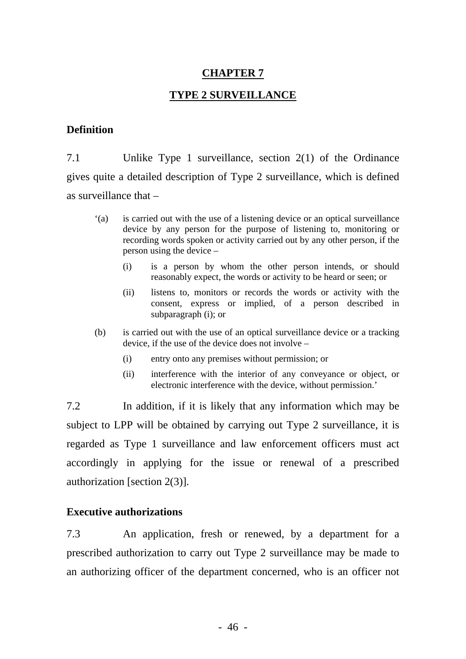### **CHAPTER 7**

### **TYPE 2 SURVEILLANCE**

#### **Definition**

7.1 Unlike Type 1 surveillance, section 2(1) of the Ordinance gives quite a detailed description of Type 2 surveillance, which is defined as surveillance that –

- '(a) is carried out with the use of a listening device or an optical surveillance device by any person for the purpose of listening to, monitoring or recording words spoken or activity carried out by any other person, if the person using the device –
	- (i) is a person by whom the other person intends, or should reasonably expect, the words or activity to be heard or seen; or
	- (ii) listens to, monitors or records the words or activity with the consent, express or implied, of a person described in subparagraph (i); or
- (b) is carried out with the use of an optical surveillance device or a tracking device, if the use of the device does not involve –
	- (i) entry onto any premises without permission; or
	- (ii) interference with the interior of any conveyance or object, or electronic interference with the device, without permission.'

7.2 In addition, if it is likely that any information which may be subject to LPP will be obtained by carrying out Type 2 surveillance, it is authorization [section 2(3)]. regarded as Type 1 surveillance and law enforcement officers must act accordingly in applying for the issue or renewal of a prescribed

#### **Executive authorizations**

7.3 An application, fresh or renewed, by a department for a an authorizing officer of the department concerned, who is an officer not prescribed authorization to carry out Type 2 surveillance may be made to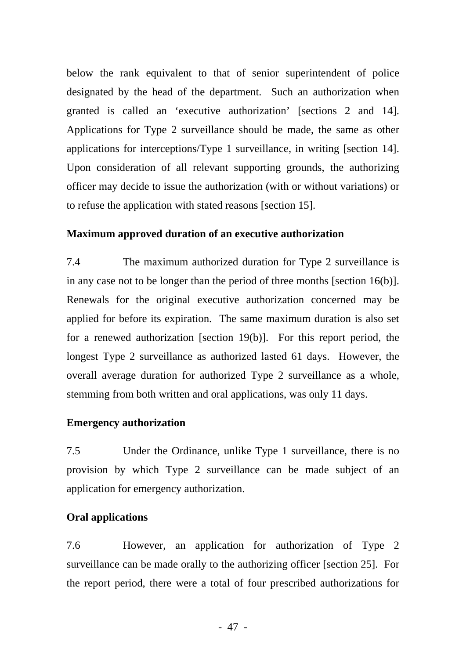below the rank equivalent to that of senior superintendent of police designated by the head of the department. Such an authorization when granted is called an 'executive authorization' [sections 2 and 14]. Applications for Type 2 surveillance should be made, the same as other applications for interceptions/Type 1 surveillance, in writing [section 14]. Upon consideration of all relevant supporting grounds, the authorizing officer may decide to issue the authorization (with or without variations) or to refuse the application with stated reasons [section 15].

### **Maximum approved duration of an executive authorization**

7.4 The maximum authorized duration for Type 2 surveillance is in any case not to be longer than the period of three months [section 16(b)]. Renewals for the original executive authorization concerned may be applied for before its expiration. The same maximum duration is also set for a renewed authorization [section 19(b)]. For this report period, the longest Type 2 surveillance as authorized lasted 61 days. However, the overall average duration for authorized Type 2 surveillance as a whole, stemming from both written and oral applications, was only 11 days.

### **Emergency authorization**

7.5 Under the Ordinance, unlike Type 1 surveillance, there is no provision by which Type 2 surveillance can be made subject of an application for emergency authorization.

# **Oral applications**

7.6 However, an application for authorization of Type 2 surveillance can be made orally to the authorizing officer [section 25]. For the report period, there were a total of four prescribed authorizations for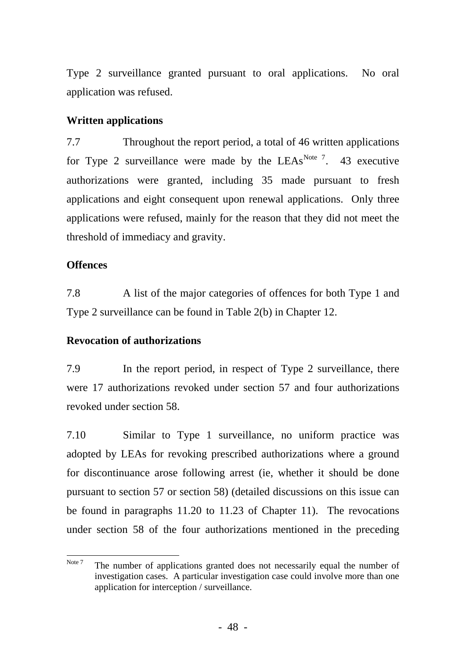Type 2 surveillance granted pursuant to oral applications. No oral application was refused.

# **Written applications**

7.7 Throughout the report period, a total of 46 written applications for Type 2 surveillance were made by the  $LEAs<sup>Note 7</sup>$  $LEAs<sup>Note 7</sup>$  $LEAs<sup>Note 7</sup>$ . 43 executive authorizations were granted, including 35 made pursuant to fresh applications and eight consequent upon renewal applications. Only three applications were refused, mainly for the reason that they did not meet the threshold of immediacy and gravity.

# **Offences**

7.8 A list of the major categories of offences for both Type 1 and Type 2 surveillance can be found in Table 2(b) in Chapter 12.

# **Revocation of authorizations**

7.9 In the report period, in respect of Type 2 surveillance, there were 17 authorizations revoked under section 57 and four authorizations revoked under section 58.

7.10 Similar to Type 1 surveillance, no uniform practice was adopted by LEAs for revoking prescribed authorizations where a ground for discontinuance arose following arrest (ie, whether it should be done pursuant to section 57 or section 58) (detailed discussions on this issue can be found in paragraphs 11.20 to 11.23 of Chapter 11). The revocations under section 58 of the four authorizations mentioned in the preceding

<span id="page-54-0"></span>Note 7 The number of applications granted does not necessarily equal the number of investigation cases. A particular investigation case could involve more than one application for interception / surveillance.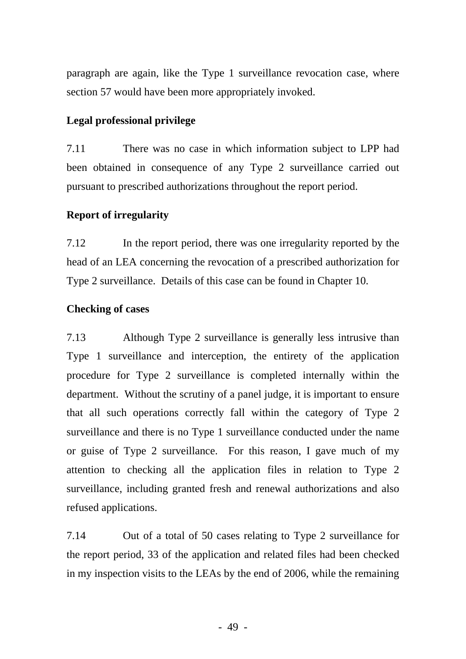paragraph are again, like the Type 1 surveillance revocation case, where section 57 would have been more appropriately invoked.

# **Legal professional privilege**

7.11 There was no case in which information subject to LPP had been obtained in consequence of any Type 2 surveillance carried out pursuant to prescribed authorizations throughout the report period.

# **Report of irregularity**

7.12 In the report period, there was one irregularity reported by the head of an LEA concerning the revocation of a prescribed authorization for Type 2 surveillance. Details of this case can be found in Chapter 10.

# **Checking of cases**

7.13 Although Type 2 surveillance is generally less intrusive than Type 1 surveillance and interception, the entirety of the application procedure for Type 2 surveillance is completed internally within the department. Without the scrutiny of a panel judge, it is important to ensure that all such operations correctly fall within the category of Type 2 surveillance and there is no Type 1 surveillance conducted under the name or guise of Type 2 surveillance. For this reason, I gave much of my attention to checking all the application files in relation to Type 2 surveillance, including granted fresh and renewal authorizations and also refused applications.

7.14 Out of a total of 50 cases relating to Type 2 surveillance for the report period, 33 of the application and related files had been checked in my inspection visits to the LEAs by the end of 2006, while the remaining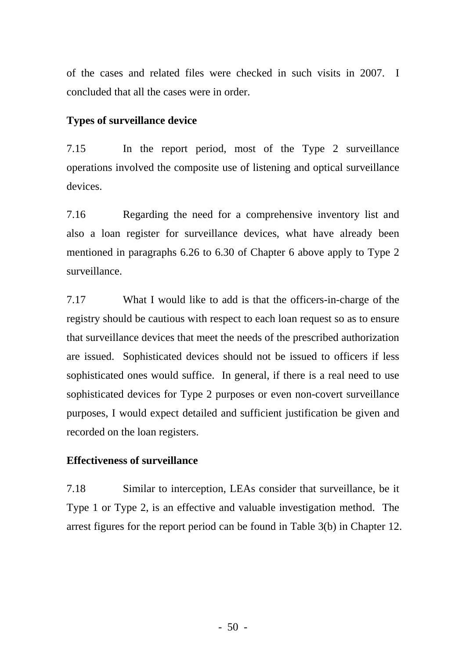of the cases and related files were checked in such visits in 2007. I concluded that all the cases were in order.

# **Types of surveillance device**

7.15 In the report period, most of the Type 2 surveillance operations involved the composite use of listening and optical surveillance devices.

7.16 Regarding the need for a comprehensive inventory list and also a loan register for surveillance devices, what have already been mentioned in paragraphs 6.26 to 6.30 of Chapter 6 above apply to Type 2 surveillance.

7.17 What I would like to add is that the officers-in-charge of the registry should be cautious with respect to each loan request so as to ensure that surveillance devices that meet the needs of the prescribed authorization are issued. Sophisticated devices should not be issued to officers if less sophisticated ones would suffice. In general, if there is a real need to use sophisticated devices for Type 2 purposes or even non-covert surveillance purposes, I would expect detailed and sufficient justification be given and recorded on the loan registers.

# **Effectiveness of surveillance**

7.18 Similar to interception, LEAs consider that surveillance, be it Type 1 or Type 2, is an effective and valuable investigation method. The arrest figures for the report period can be found in Table 3(b) in Chapter 12.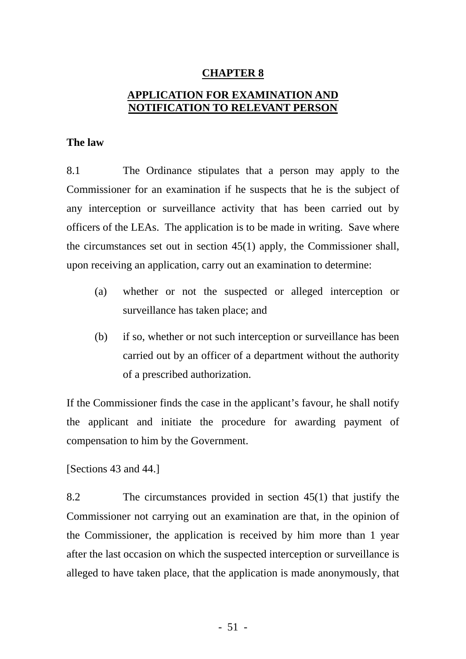#### **CHAPTER 8**

# **APPLICATION FOR EXAMINATION AND NOTIFICATION TO RELEVANT PERSON**

#### **The law**

8.1 The Ordinance stipulates that a person may apply to the Commissioner for an examination if he suspects that he is the subject of any interception or surveillance activity that has been carried out by the circumstances set out in section 45(1) apply, the Commissioner shall, upon receiving an application, carry out an examination to determine: officers of the LEAs. The application is to be made in writing. Save where

- surveillance has taken place; and (a) whether or not the suspected or alleged interception or
- (b) if so, whether or not such interception or surveillance has been of a prescribed authorization. carried out by an officer of a department without the authority

If the Commissioner finds the case in the applicant's favour, he shall notify the applicant and initiate the procedure for awarding payment of compensation to him by the Government.

[Sections 43 and 44.]

the Commissioner, the application is received by him more than 1 year after the last occasion on which the suspected interception or surveillance is alleged to have taken place, that the application is made anonymously, that 8.2 The circumstances provided in section 45(1) that justify the Commissioner not carrying out an examination are that, in the opinion of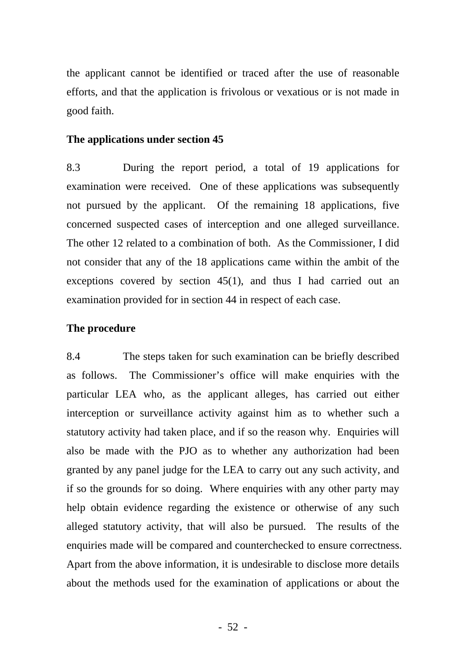the applicant cannot be identified or traced after the use of reasonable efforts, and that the application is frivolous or vexatious or is not made in good faith.

#### **The applications under section 45**

8.3 During the report period, a total of 19 applications for examination were received. One of these applications was subsequently not pursued by the applicant. Of the remaining 18 applications, five concerned suspected cases of interception and one alleged surveillance. The other 12 related to a combination of both. As the Commissioner, I did not consider that any of the 18 applications came within the ambit of the exceptions covered by section 45(1), and thus I had carried out an examination provided for in section 44 in respect of each case.

#### **The procedure**

8.4 The steps taken for such examination can be briefly described as follows. The Commissioner's office will make enquiries with the particular LEA who, as the applicant alleges, has carried out either interception or surveillance activity against him as to whether such a statutory activity had taken place, and if so the reason why. Enquiries will also be made with the PJO as to whether any authorization had been granted by any panel judge for the LEA to carry out any such activity, and if so the grounds for so doing. Where enquiries with any other party may help obtain evidence regarding the existence or otherwise of any such alleged statutory activity, that will also be pursued. The results of the enquiries made will be compared and counterchecked to ensure correctness. Apart from the above information, it is undesirable to disclose more details about the methods used for the examination of applications or about the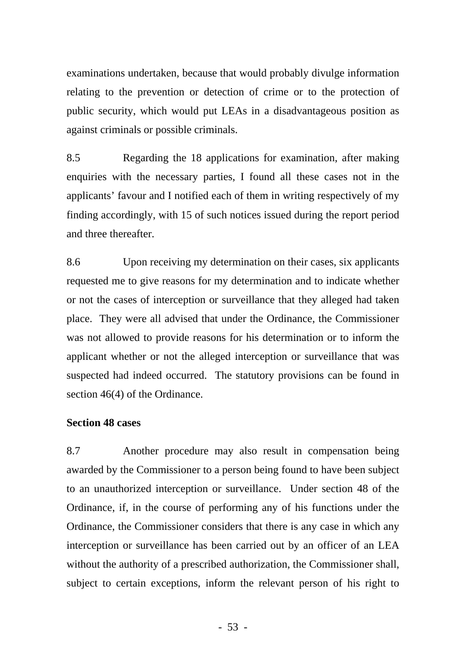examinations undertaken, because that would probably divulge information relating to the prevention or detection of crime or to the protection of public security, which would put LEAs in a disadvantageous position as against criminals or possible criminals.

8.5 Regarding the 18 applications for examination, after making enquiries with the necessary parties, I found all these cases not in the applicants' favour and I notified each of them in writing respectively of my finding accordingly, with 15 of such notices issued during the report period and three thereafter.

8.6 Upon receiving my determination on their cases, six applicants requested me to give reasons for my determination and to indicate whether or not the cases of interception or surveillance that they alleged had taken place. They were all advised that under the Ordinance, the Commissioner was not allowed to provide reasons for his determination or to inform the applicant whether or not the alleged interception or surveillance that was suspected had indeed occurred. The statutory provisions can be found in section 46(4) of the Ordinance.

### **Section 48 cases**

8.7 Another procedure may also result in compensation being awarded by the Commissioner to a person being found to have been subject to an unauthorized interception or surveillance. Under section 48 of the Ordinance, if, in the course of performing any of his functions under the Ordinance, the Commissioner considers that there is any case in which any interception or surveillance has been carried out by an officer of an LEA without the authority of a prescribed authorization, the Commissioner shall, subject to certain exceptions, inform the relevant person of his right to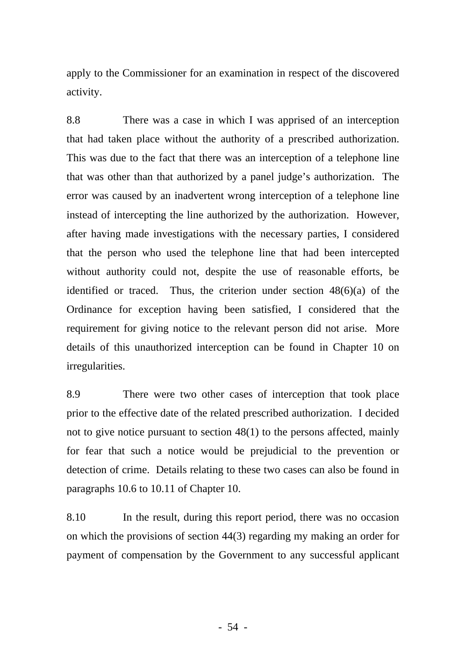apply to the Commissioner for an examination in respect of the discovered activity.

8.8 There was a case in which I was apprised of an interception that had taken place without the authority of a prescribed authorization. This was due to the fact that there was an interception of a telephone line that was other than that authorized by a panel judge's authorization. The error was caused by an inadvertent wrong interception of a telephone line instead of intercepting the line authorized by the authorization. However, after having made investigations with the necessary parties, I considered that the person who used the telephone line that had been intercepted without authority could not, despite the use of reasonable efforts, be identified or traced. Thus, the criterion under section 48(6)(a) of the Ordinance for exception having been satisfied, I considered that the requirement for giving notice to the relevant person did not arise. More details of this unauthorized interception can be found in Chapter 10 on irregularities.

8.9 There were two other cases of interception that took place prior to the effective date of the related prescribed authorization. I decided not to give notice pursuant to section 48(1) to the persons affected, mainly for fear that such a notice would be prejudicial to the prevention or detection of crime. Details relating to these two cases can also be found in paragraphs 10.6 to 10.11 of Chapter 10.

8.10 In the result, during this report period, there was no occasion on which the provisions of section 44(3) regarding my making an order for payment of compensation by the Government to any successful applicant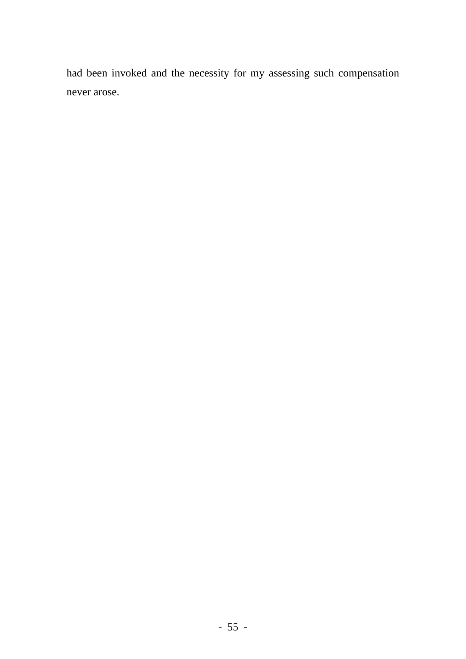had been invoked and the necessity for my assessing such compensation never arose.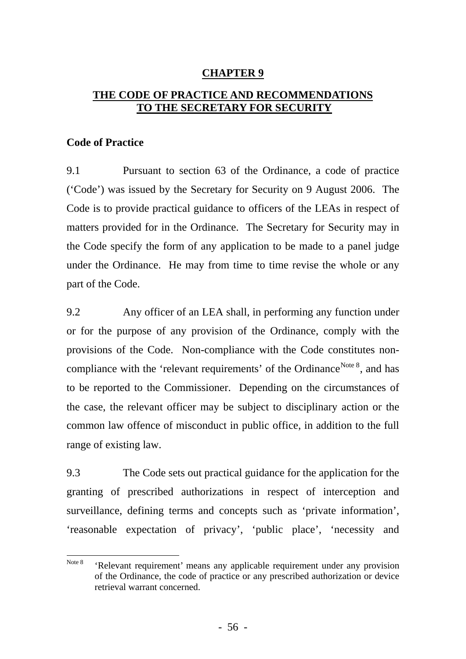# **CHAPTER 9**

# **THE CODE OF PRACTICE AND RECOMMENDATIONS TO THE SECRETARY FOR SECURITY**

#### **Code of Practice**

9.1 Pursuant to section 63 of the Ordinance, a code of practice ('Code') was issued by the Secretary for Security on 9 August 2006. The Code is to provide practical guidance to officers of the LEAs in respect of the Code specify the form of any application to be made to a panel judge under the Ordinance. He may from time to time revise the whole or any part of the Code. matters provided for in the Ordinance. The Secretary for Security may in

9.2 Any officer of an LEA shall, in performing any function under or for the purpose of any provision of the Ordinance, comply with the provisions of the Code. Non-compliance with the Code constitutes nonto be reported to the Commissioner. Depending on the circumstances of the case, the relevant officer may be subject to disciplinary action or the common law offence of misconduct in public office, in addition to the full range of existing law. compliance with the 'relevant requirements' of the Ordinance<sup>[Note 8](#page-62-0)</sup>, and has

9.3 The Code sets out practical guidance for the application for the granting of prescribed authorizations in respect of interception and 'reasonable expectation of privacy', 'public place', 'necessity and surveillance, defining terms and concepts such as 'private information',

<span id="page-62-0"></span>Note 8 'Relevant requirement' means any applicable requirement under any provision of the Ordinance, the code of practice or any prescribed authorization or device retrieval warrant concerned.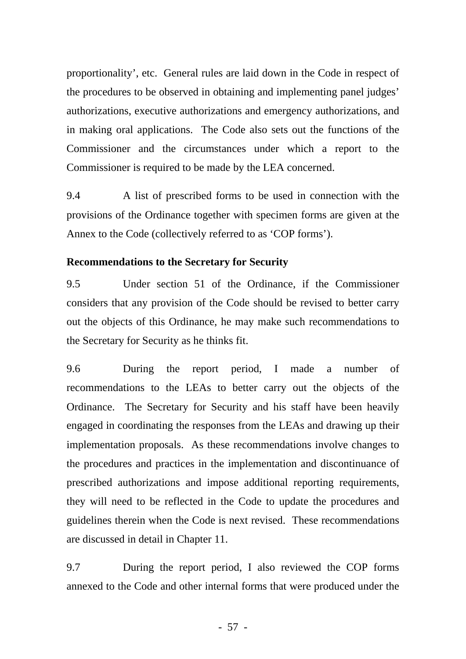proportionality', etc. General rules are laid down in the Code in respect of the procedures to be observed in obtaining and implementing panel judges' authorizations, executive authorizations and emergency authorizations, and in making oral applications. The Code also sets out the functions of the Commissioner and the circumstances under which a report to the Commissioner is required to be made by the LEA concerned.

9.4 A list of prescribed forms to be used in connection with the provisions of the Ordinance together with specimen forms are given at the Annex to the Code (collectively referred to as 'COP forms').

### **Recommendations to the Secretary for Security**

9.5 Under section 51 of the Ordinance, if the Commissioner considers that any provision of the Code should be revised to better carry out the objects of this Ordinance, he may make such recommendations to the Secretary for Security as he thinks fit.

9.6 During the report period, I made a number of recommendations to the LEAs to better carry out the objects of the Ordinance. The Secretary for Security and his staff have been heavily engaged in coordinating the responses from the LEAs and drawing up their implementation proposals. As these recommendations involve changes to the procedures and practices in the implementation and discontinuance of prescribed authorizations and impose additional reporting requirements, they will need to be reflected in the Code to update the procedures and guidelines therein when the Code is next revised. These recommendations are discussed in detail in Chapter 11.

9.7 During the report period, I also reviewed the COP forms annexed to the Code and other internal forms that were produced under the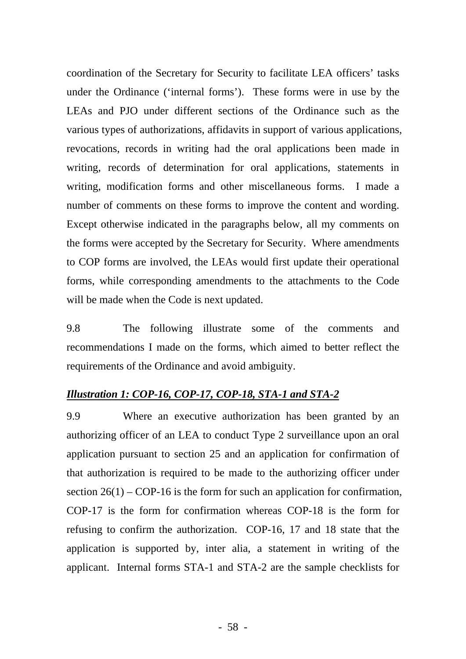coordination of the Secretary for Security to facilitate LEA officers' tasks under the Ordinance ('internal forms'). These forms were in use by the LEAs and PJO under different sections of the Ordinance such as the various types of authorizations, affidavits in support of various applications, revocations, records in writing had the oral applications been made in writing, records of determination for oral applications, statements in writing, modification forms and other miscellaneous forms. I made a number of comments on these forms to improve the content and wording. Except otherwise indicated in the paragraphs below, all my comments on the forms were accepted by the Secretary for Security. Where amendments to COP forms are involved, the LEAs would first update their operational forms, while corresponding amendments to the attachments to the Code will be made when the Code is next updated.

9.8 The following illustrate some of the comments and recommendations I made on the forms, which aimed to better reflect the requirements of the Ordinance and avoid ambiguity.

### *Illustration 1: COP-16, COP-17, COP-18, STA-1 and STA-2*

9.9 Where an executive authorization has been granted by an authorizing officer of an LEA to conduct Type 2 surveillance upon an oral application pursuant to section 25 and an application for confirmation of that authorization is required to be made to the authorizing officer under section  $26(1) - COP-16$  is the form for such an application for confirmation, COP-17 is the form for confirmation whereas COP-18 is the form for refusing to confirm the authorization. COP-16, 17 and 18 state that the application is supported by, inter alia, a statement in writing of the applicant. Internal forms STA-1 and STA-2 are the sample checklists for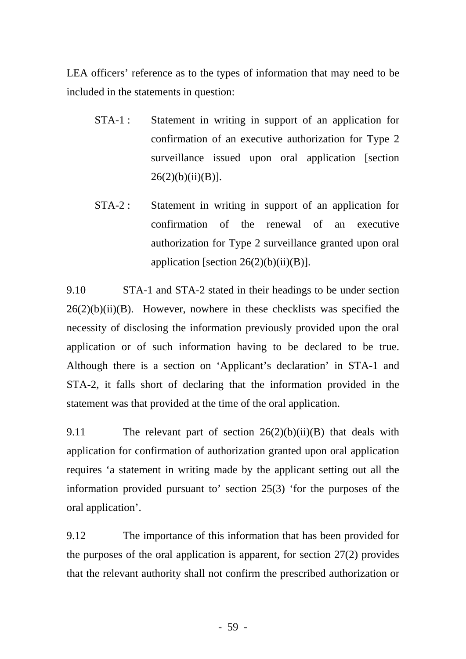LEA officers' reference as to the types of information that may need to be included in the statements in question:

- STA-1 : Statement in writing in support of an application for confirmation of an executive authorization for Type 2 surveillance issued upon oral application [section  $26(2)(b)(ii)(B)$ ].
- STA-2 : Statement in writing in support of an application for confirmation of the renewal of an executive authorization for Type 2 surveillance granted upon oral application [section  $26(2)(b)(ii)(B)$ ].

9.10 STA-1 and STA-2 stated in their headings to be under section  $26(2)(b)(ii)(B)$ . However, nowhere in these checklists was specified the necessity of disclosing the information previously provided upon the oral application or of such information having to be declared to be true. Although there is a section on 'Applicant's declaration' in STA-1 and STA-2, it falls short of declaring that the information provided in the statement was that provided at the time of the oral application.

9.11 The relevant part of section  $26(2)(b)(ii)(B)$  that deals with application for confirmation of authorization granted upon oral application requires 'a statement in writing made by the applicant setting out all the information provided pursuant to' section 25(3) 'for the purposes of the oral application'.

9.12 The importance of this information that has been provided for the purposes of the oral application is apparent, for section 27(2) provides that the relevant authority shall not confirm the prescribed authorization or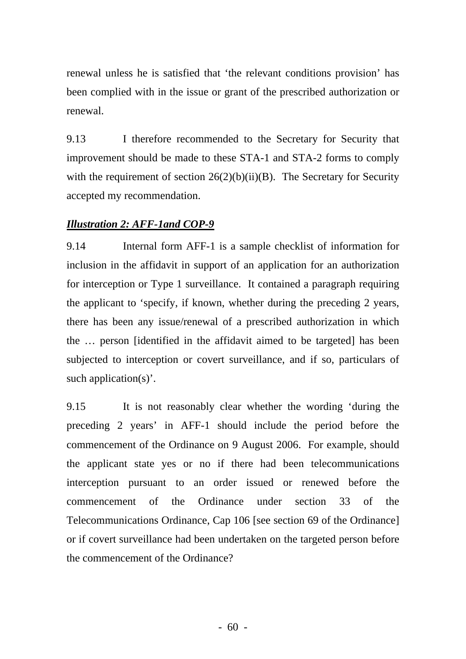renewal unless he is satisfied that 'the relevant conditions provision' has been complied with in the issue or grant of the prescribed authorization or renewal.

9.13 I therefore recommended to the Secretary for Security that improvement should be made to these STA-1 and STA-2 forms to comply with the requirement of section  $26(2)(b)(ii)(B)$ . The Secretary for Security accepted my recommendation.

# *Illustration 2: AFF-1and COP-9*

9.14 Internal form AFF-1 is a sample checklist of information for inclusion in the affidavit in support of an application for an authorization for interception or Type 1 surveillance. It contained a paragraph requiring the applicant to 'specify, if known, whether during the preceding 2 years, there has been any issue/renewal of a prescribed authorization in which the … person [identified in the affidavit aimed to be targeted] has been subjected to interception or covert surveillance, and if so, particulars of such application(s)'.

9.15 It is not reasonably clear whether the wording 'during the preceding 2 years' in AFF-1 should include the period before the commencement of the Ordinance on 9 August 2006. For example, should the applicant state yes or no if there had been telecommunications interception pursuant to an order issued or renewed before the commencement of the Ordinance under section 33 of the Telecommunications Ordinance, Cap 106 [see section 69 of the Ordinance] or if covert surveillance had been undertaken on the targeted person before the commencement of the Ordinance?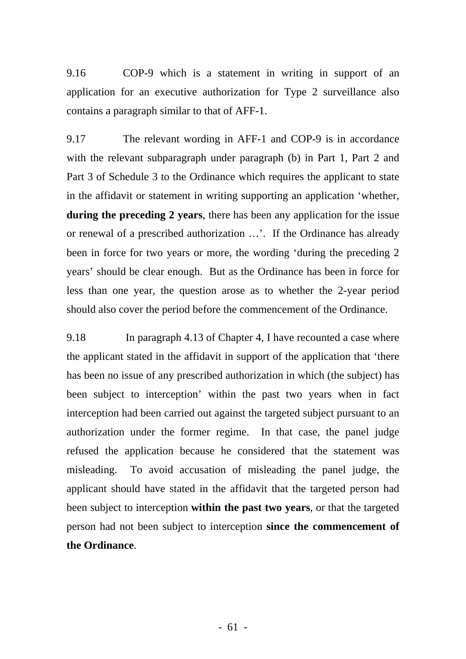9.16 COP-9 which is a statement in writing in support of an application for an executive authorization for Type 2 surveillance also contains a paragraph similar to that of AFF-1.

9.17 The relevant wording in AFF-1 and COP-9 is in accordance with the relevant subparagraph under paragraph (b) in Part 1, Part 2 and Part 3 of Schedule 3 to the Ordinance which requires the applicant to state in the affidavit or statement in writing supporting an application 'whether, **during the preceding 2 years**, there has been any application for the issue or renewal of a prescribed authorization …'. If the Ordinance has already been in force for two years or more, the wording 'during the preceding 2 years' should be clear enough. But as the Ordinance has been in force for less than one year, the question arose as to whether the 2-year period should also cover the period before the commencement of the Ordinance.

9.18 In paragraph 4.13 of Chapter 4, I have recounted a case where the applicant stated in the affidavit in support of the application that 'there has been no issue of any prescribed authorization in which (the subject) has been subject to interception' within the past two years when in fact interception had been carried out against the targeted subject pursuant to an authorization under the former regime. In that case, the panel judge refused the application because he considered that the statement was misleading. To avoid accusation of misleading the panel judge, the applicant should have stated in the affidavit that the targeted person had been subject to interception **within the past two years**, or that the targeted person had not been subject to interception **since the commencement of the Ordinance**.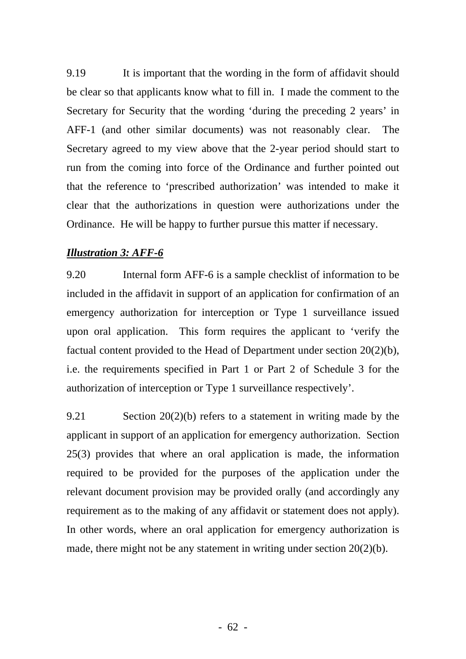9.19 It is important that the wording in the form of affidavit should be clear so that applicants know what to fill in. I made the comment to the Secretary for Security that the wording 'during the preceding 2 years' in AFF-1 (and other similar documents) was not reasonably clear. The Secretary agreed to my view above that the 2-year period should start to run from the coming into force of the Ordinance and further pointed out that the reference to 'prescribed authorization' was intended to make it clear that the authorizations in question were authorizations under the Ordinance. He will be happy to further pursue this matter if necessary.

### *Illustration 3: AFF-6*

9.20 Internal form AFF-6 is a sample checklist of information to be included in the affidavit in support of an application for confirmation of an emergency authorization for interception or Type 1 surveillance issued upon oral application. This form requires the applicant to 'verify the factual content provided to the Head of Department under section 20(2)(b), i.e. the requirements specified in Part 1 or Part 2 of Schedule 3 for the authorization of interception or Type 1 surveillance respectively'.

9.21 Section 20(2)(b) refers to a statement in writing made by the applicant in support of an application for emergency authorization. Section 25(3) provides that where an oral application is made, the information required to be provided for the purposes of the application under the relevant document provision may be provided orally (and accordingly any requirement as to the making of any affidavit or statement does not apply). In other words, where an oral application for emergency authorization is made, there might not be any statement in writing under section 20(2)(b).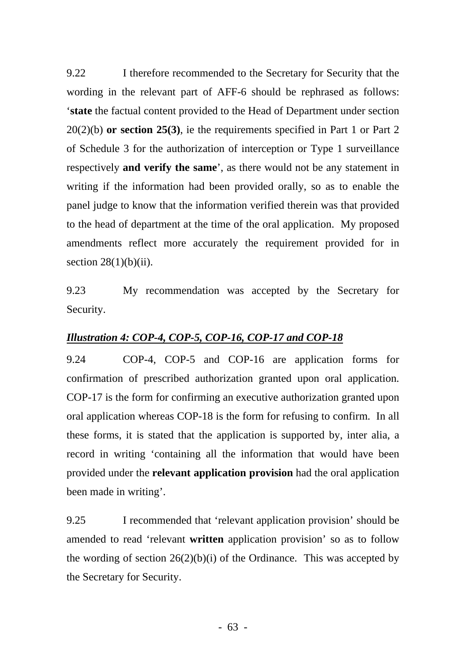9.22 I therefore recommended to the Secretary for Security that the wording in the relevant part of AFF-6 should be rephrased as follows: '**state** the factual content provided to the Head of Department under section 20(2)(b) **or section 25(3)**, ie the requirements specified in Part 1 or Part 2 of Schedule 3 for the authorization of interception or Type 1 surveillance respectively **and verify the same**', as there would not be any statement in writing if the information had been provided orally, so as to enable the panel judge to know that the information verified therein was that provided to the head of department at the time of the oral application. My proposed amendments reflect more accurately the requirement provided for in section  $28(1)(b)(ii)$ .

9.23 My recommendation was accepted by the Secretary for Security.

### *Illustration 4: COP-4, COP-5, COP-16, COP-17 and COP-18*

9.24 COP-4, COP-5 and COP-16 are application forms for confirmation of prescribed authorization granted upon oral application. COP-17 is the form for confirming an executive authorization granted upon oral application whereas COP-18 is the form for refusing to confirm. In all these forms, it is stated that the application is supported by, inter alia, a record in writing 'containing all the information that would have been provided under the **relevant application provision** had the oral application been made in writing'.

9.25 I recommended that 'relevant application provision' should be amended to read 'relevant **written** application provision' so as to follow the wording of section  $26(2)(b)(i)$  of the Ordinance. This was accepted by the Secretary for Security.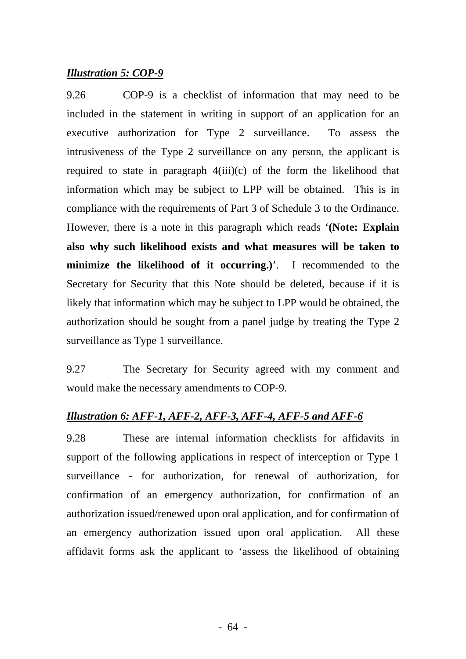#### *Illustration 5: COP-9*

9.26 COP-9 is a checklist of information that may need to be included in the statement in writing in support of an application for an executive authorization for Type 2 surveillance. To assess the intrusiveness of the Type 2 surveillance on any person, the applicant is required to state in paragraph  $4(iii)(c)$  of the form the likelihood that information which may be subject to LPP will be obtained. This is in compliance with the requirements of Part 3 of Schedule 3 to the Ordinance. However, there is a note in this paragraph which reads '**(Note: Explain also why such likelihood exists and what measures will be taken to minimize the likelihood of it occurring.)**'. I recommended to the Secretary for Security that this Note should be deleted, because if it is likely that information which may be subject to LPP would be obtained, the authorization should be sought from a panel judge by treating the Type 2 surveillance as Type 1 surveillance.

9.27 The Secretary for Security agreed with my comment and would make the necessary amendments to COP-9.

#### *Illustration 6: AFF-1, AFF-2, AFF-3, AFF-4, AFF-5 and AFF-6*

9.28 These are internal information checklists for affidavits in support of the following applications in respect of interception or Type 1 surveillance - for authorization, for renewal of authorization, for confirmation of an emergency authorization, for confirmation of an authorization issued/renewed upon oral application, and for confirmation of an emergency authorization issued upon oral application. All these affidavit forms ask the applicant to 'assess the likelihood of obtaining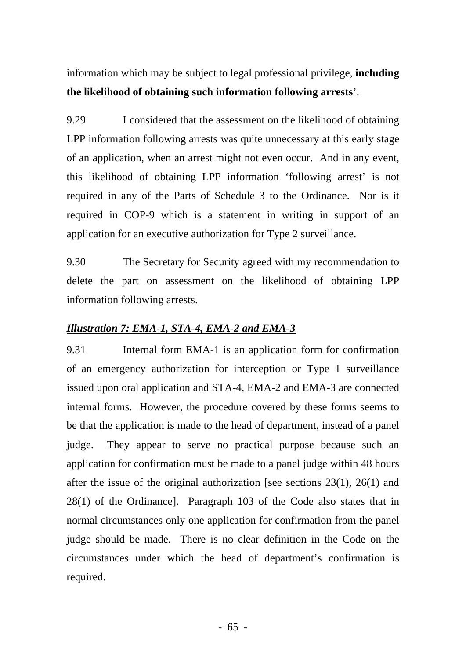information which may be subject to legal professional privilege, **including the likelihood of obtaining such information following arrests**'.

9.29 I considered that the assessment on the likelihood of obtaining LPP information following arrests was quite unnecessary at this early stage of an application, when an arrest might not even occur. And in any event, this likelihood of obtaining LPP information 'following arrest' is not required in any of the Parts of Schedule 3 to the Ordinance. Nor is it required in COP-9 which is a statement in writing in support of an application for an executive authorization for Type 2 surveillance.

9.30 The Secretary for Security agreed with my recommendation to delete the part on assessment on the likelihood of obtaining LPP information following arrests.

# *Illustration 7: EMA-1, STA-4, EMA-2 and EMA-3*

9.31 Internal form EMA-1 is an application form for confirmation of an emergency authorization for interception or Type 1 surveillance issued upon oral application and STA-4, EMA-2 and EMA-3 are connected internal forms. However, the procedure covered by these forms seems to be that the application is made to the head of department, instead of a panel judge. They appear to serve no practical purpose because such an application for confirmation must be made to a panel judge within 48 hours after the issue of the original authorization [see sections  $23(1)$ ,  $26(1)$  and 28(1) of the Ordinance]. Paragraph 103 of the Code also states that in normal circumstances only one application for confirmation from the panel judge should be made. There is no clear definition in the Code on the circumstances under which the head of department's confirmation is required.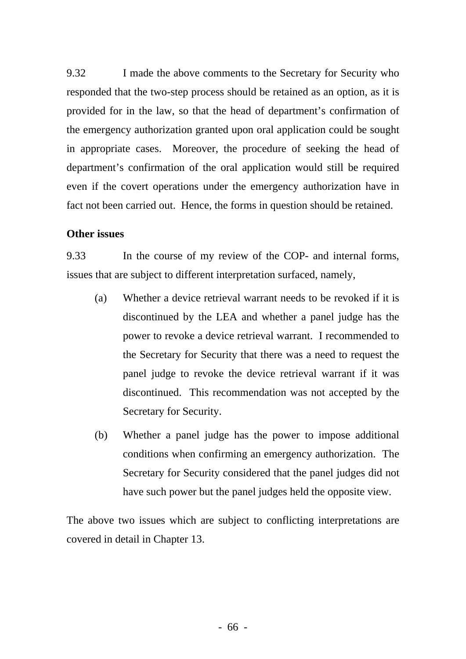9.32 I made the above comments to the Secretary for Security who responded that the two-step process should be retained as an option, as it is provided for in the law, so that the head of department's confirmation of the emergency authorization granted upon oral application could be sought in appropriate cases. Moreover, the procedure of seeking the head of department's confirmation of the oral application would still be required even if the covert operations under the emergency authorization have in fact not been carried out. Hence, the forms in question should be retained.

### **Other issues**

9.33 In the course of my review of the COP- and internal forms, issues that are subject to different interpretation surfaced, namely,

- (a) Whether a device retrieval warrant needs to be revoked if it is discontinued by the LEA and whether a panel judge has the power to revoke a device retrieval warrant. I recommended to the Secretary for Security that there was a need to request the panel judge to revoke the device retrieval warrant if it was discontinued. This recommendation was not accepted by the Secretary for Security.
- (b) Whether a panel judge has the power to impose additional conditions when confirming an emergency authorization. The Secretary for Security considered that the panel judges did not have such power but the panel judges held the opposite view.

The above two issues which are subject to conflicting interpretations are covered in detail in Chapter 13.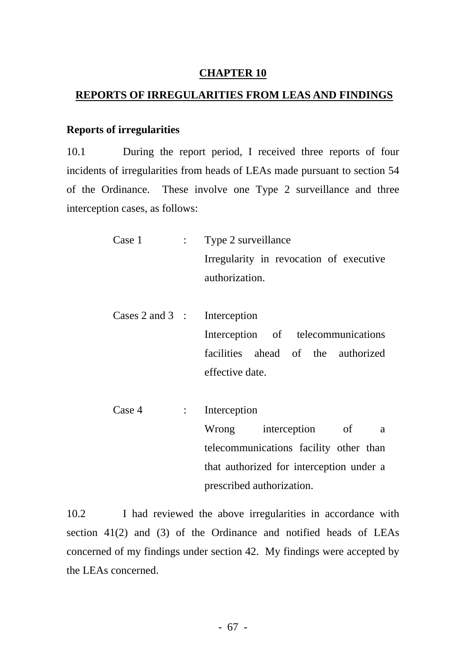### **CHAPTER 10**

### **REPORTS OF IRREGULARITIES FROM LEAS AND FINDINGS**

#### **Reports of irregularities**

10.1 During the report period, I received three reports of four incidents of irregularities from heads of LEAs made pursuant to section 54 of the Ordinance. These involve one Type 2 surveillance and three interception cases, as follows:

- Irregularity in revocation of executive authorization. Case 1 : Type 2 surveillance
- Cases 2 and 3 : Interception Interception of telecommunications facilities ahead of the authorized effective date.
- Case 4 : Interception Wrong interception of a telecommunications facility other than that authorized for interception under a prescribed authorization.

section 41(2) and (3) of the Ordinance and notified heads of LEAs concerned of my findings under section 42. My findings were accepted by the LEAs concerned. 10.2 I had reviewed the above irregularities in accordance with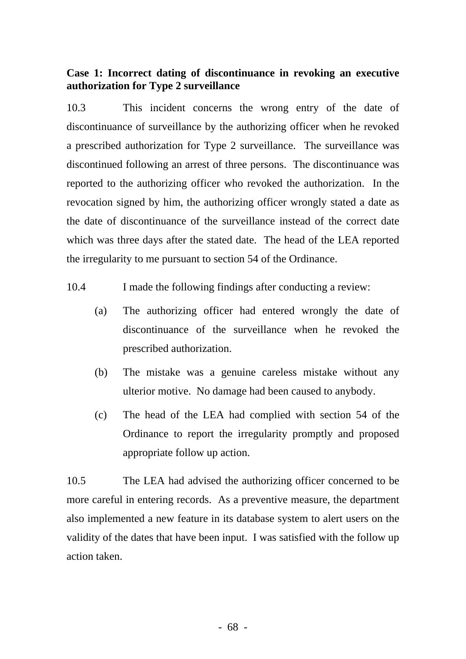### **Case 1: Incorrect dating of discontinuance in revoking an executive authorization for Type 2 surveillance**

10.3 This incident concerns the wrong entry of the date of discontinuance of surveillance by the authorizing officer when he revoked a prescribed authorization for Type 2 surveillance. The surveillance was discontinued following an arrest of three persons. The discontinuance was reported to the authorizing officer who revoked the authorization. In the revocation signed by him, the authorizing officer wrongly stated a date as the date of discontinuance of the surveillance instead of the correct date which was three days after the stated date. The head of the LEA reported the irregularity to me pursuant to section 54 of the Ordinance.

- 10.4 I made the following findings after conducting a review:
	- (a) The authorizing officer had entered wrongly the date of discontinuance of the surveillance when he revoked the prescribed authorization.
	- (b) The mistake was a genuine careless mistake without any ulterior motive. No damage had been caused to anybody.
	- (c) The head of the LEA had complied with section 54 of the Ordinance to report the irregularity promptly and proposed appropriate follow up action.

10.5 The LEA had advised the authorizing officer concerned to be more careful in entering records. As a preventive measure, the department also implemented a new feature in its database system to alert users on the validity of the dates that have been input. I was satisfied with the follow up action taken.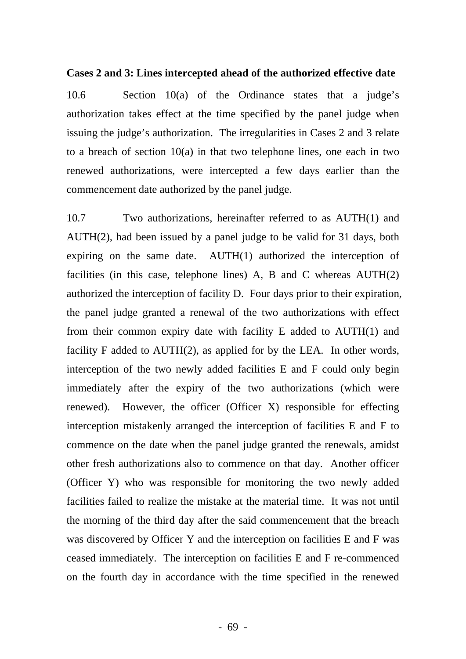#### **Cases 2 and 3: Lines intercepted ahead of the authorized effective date**

10.6 Section 10(a) of the Ordinance states that a judge's authorization takes effect at the time specified by the panel judge when issuing the judge's authorization. The irregularities in Cases 2 and 3 relate to a breach of section 10(a) in that two telephone lines, one each in two renewed authorizations, were intercepted a few days earlier than the commencement date authorized by the panel judge.

10.7 Two authorizations, hereinafter referred to as AUTH(1) and AUTH(2), had been issued by a panel judge to be valid for 31 days, both expiring on the same date. AUTH(1) authorized the interception of facilities (in this case, telephone lines) A, B and C whereas AUTH(2) authorized the interception of facility D. Four days prior to their expiration, the panel judge granted a renewal of the two authorizations with effect from their common expiry date with facility E added to AUTH(1) and facility F added to AUTH(2), as applied for by the LEA. In other words, interception of the two newly added facilities E and F could only begin immediately after the expiry of the two authorizations (which were renewed). However, the officer (Officer X) responsible for effecting interception mistakenly arranged the interception of facilities E and F to commence on the date when the panel judge granted the renewals, amidst other fresh authorizations also to commence on that day. Another officer (Officer Y) who was responsible for monitoring the two newly added facilities failed to realize the mistake at the material time. It was not until the morning of the third day after the said commencement that the breach was discovered by Officer Y and the interception on facilities E and F was ceased immediately. The interception on facilities E and F re-commenced on the fourth day in accordance with the time specified in the renewed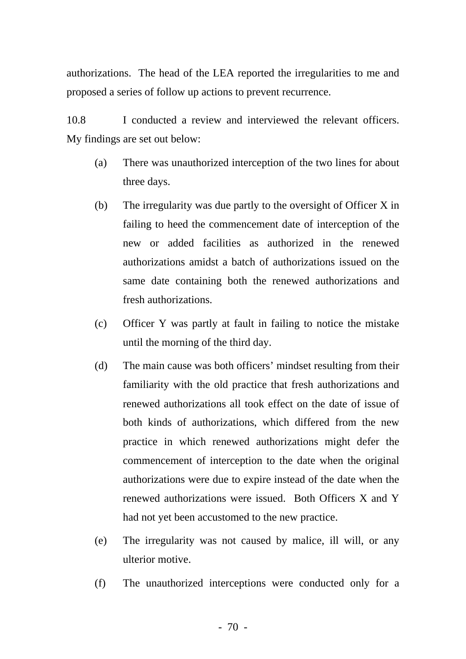authorizations. The head of the LEA reported the irregularities to me and proposed a series of follow up actions to prevent recurrence.

10.8 I conducted a review and interviewed the relevant officers. My findings are set out below:

- (a) There was unauthorized interception of the two lines for about three days.
- (b) The irregularity was due partly to the oversight of Officer X in failing to heed the commencement date of interception of the new or added facilities as authorized in the renewed authorizations amidst a batch of authorizations issued on the same date containing both the renewed authorizations and fresh authorizations.
- (c) Officer Y was partly at fault in failing to notice the mistake until the morning of the third day.
- (d) The main cause was both officers' mindset resulting from their familiarity with the old practice that fresh authorizations and renewed authorizations all took effect on the date of issue of both kinds of authorizations, which differed from the new practice in which renewed authorizations might defer the commencement of interception to the date when the original authorizations were due to expire instead of the date when the renewed authorizations were issued. Both Officers X and Y had not yet been accustomed to the new practice.
- (e) The irregularity was not caused by malice, ill will, or any ulterior motive.
- (f) The unauthorized interceptions were conducted only for a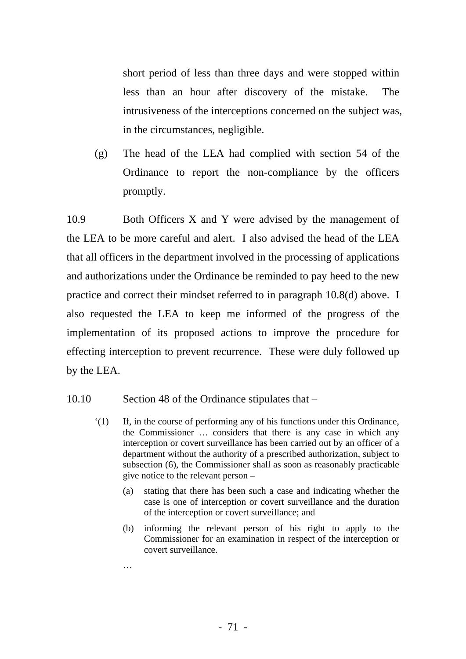short period of less than three days and were stopped within less than an hour after discovery of the mistake. The intrusiveness of the interceptions concerned on the subject was, in the circumstances, negligible.

(g) The head of the LEA had complied with section 54 of the Ordinance to report the non-compliance by the officers promptly.

10.9 Both Officers X and Y were advised by the management of the LEA to be more careful and alert. I also advised the head of the LEA that all officers in the department involved in the processing of applications and authorizations under the Ordinance be reminded to pay heed to the new practice and correct their mindset referred to in paragraph 10.8(d) above. I also requested the LEA to keep me informed of the progress of the implementation of its proposed actions to improve the procedure for effecting interception to prevent recurrence. These were duly followed up by the LEA.

- 10.10 Section 48 of the Ordinance stipulates that
	- '(1) If, in the course of performing any of his functions under this Ordinance, the Commissioner … considers that there is any case in which any interception or covert surveillance has been carried out by an officer of a department without the authority of a prescribed authorization, subject to subsection (6), the Commissioner shall as soon as reasonably practicable give notice to the relevant person –
		- (a) stating that there has been such a case and indicating whether the case is one of interception or covert surveillance and the duration of the interception or covert surveillance; and
		- (b) informing the relevant person of his right to apply to the Commissioner for an examination in respect of the interception or covert surveillance.
		- …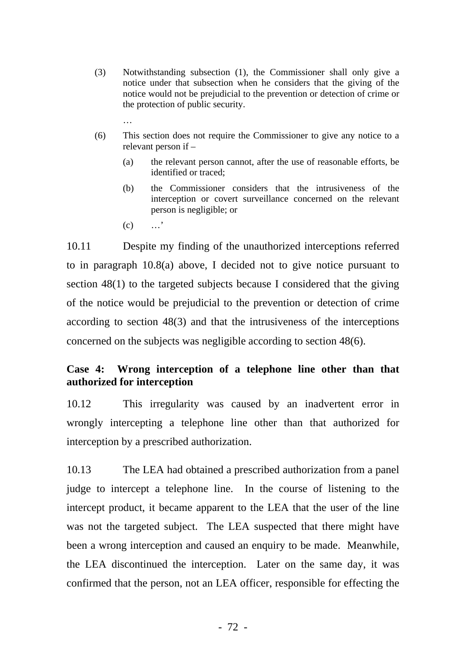- (3) Notwithstanding subsection (1), the Commissioner shall only give a notice under that subsection when he considers that the giving of the notice would not be prejudicial to the prevention or detection of crime or the protection of public security.
- (6) This section does not require the Commissioner to give any notice to a relevant person if –
	- (a) the relevant person cannot, after the use of reasonable efforts, be identified or traced;
	- (b) the Commissioner considers that the intrusiveness of the interception or covert surveillance concerned on the relevant person is negligible; or
	- $(c)$  …'

…

10.11 Despite my finding of the unauthorized interceptions referred to in paragraph 10.8(a) above, I decided not to give notice pursuant to section 48(1) to the targeted subjects because I considered that the giving of the notice would be prejudicial to the prevention or detection of crime according to section 48(3) and that the intrusiveness of the interceptions concerned on the subjects was negligible according to section 48(6).

# **Case 4: Wrong interception of a telephone line other than that authorized for interception**

10.12 This irregularity was caused by an inadvertent error in wrongly intercepting a telephone line other than that authorized for interception by a prescribed authorization.

10.13 The LEA had obtained a prescribed authorization from a panel judge to intercept a telephone line. In the course of listening to the intercept product, it became apparent to the LEA that the user of the line was not the targeted subject. The LEA suspected that there might have been a wrong interception and caused an enquiry to be made. Meanwhile, the LEA discontinued the interception. Later on the same day, it was confirmed that the person, not an LEA officer, responsible for effecting the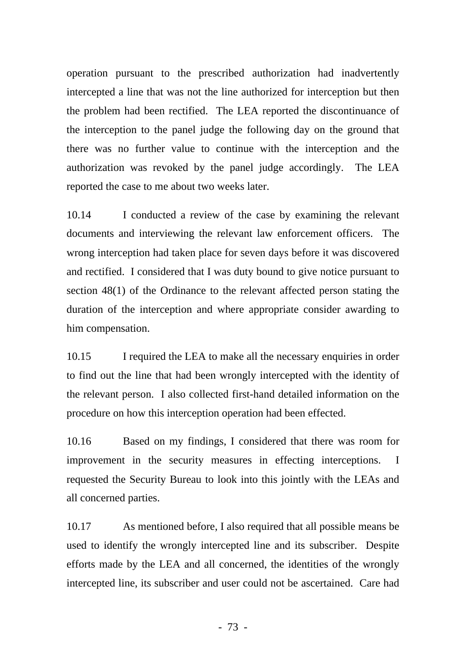operation pursuant to the prescribed authorization had inadvertently intercepted a line that was not the line authorized for interception but then the problem had been rectified. The LEA reported the discontinuance of the interception to the panel judge the following day on the ground that there was no further value to continue with the interception and the authorization was revoked by the panel judge accordingly. The LEA reported the case to me about two weeks later.

10.14 I conducted a review of the case by examining the relevant documents and interviewing the relevant law enforcement officers. The wrong interception had taken place for seven days before it was discovered and rectified. I considered that I was duty bound to give notice pursuant to section 48(1) of the Ordinance to the relevant affected person stating the duration of the interception and where appropriate consider awarding to him compensation.

10.15 I required the LEA to make all the necessary enquiries in order to find out the line that had been wrongly intercepted with the identity of the relevant person. I also collected first-hand detailed information on the procedure on how this interception operation had been effected.

10.16 Based on my findings, I considered that there was room for improvement in the security measures in effecting interceptions. I requested the Security Bureau to look into this jointly with the LEAs and all concerned parties.

10.17 As mentioned before, I also required that all possible means be used to identify the wrongly intercepted line and its subscriber. Despite efforts made by the LEA and all concerned, the identities of the wrongly intercepted line, its subscriber and user could not be ascertained. Care had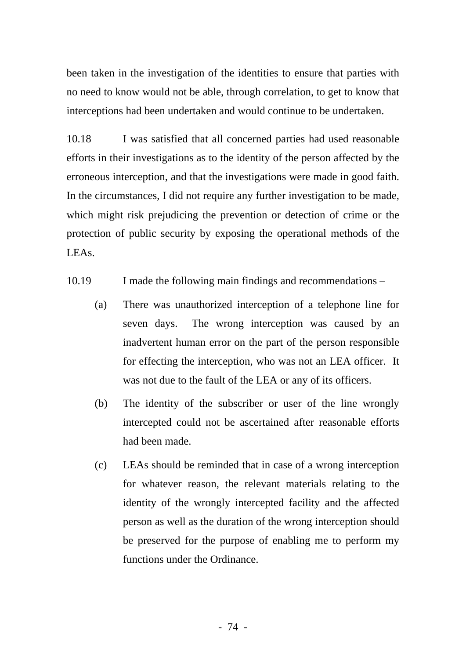been taken in the investigation of the identities to ensure that parties with no need to know would not be able, through correlation, to get to know that interceptions had been undertaken and would continue to be undertaken.

10.18 I was satisfied that all concerned parties had used reasonable efforts in their investigations as to the identity of the person affected by the erroneous interception, and that the investigations were made in good faith. In the circumstances, I did not require any further investigation to be made, which might risk prejudicing the prevention or detection of crime or the protection of public security by exposing the operational methods of the LEAs.

- 10.19 I made the following main findings and recommendations
	- (a) There was unauthorized interception of a telephone line for seven days. The wrong interception was caused by an inadvertent human error on the part of the person responsible for effecting the interception, who was not an LEA officer. It was not due to the fault of the LEA or any of its officers.
	- (b) The identity of the subscriber or user of the line wrongly intercepted could not be ascertained after reasonable efforts had been made.
	- (c) LEAs should be reminded that in case of a wrong interception for whatever reason, the relevant materials relating to the identity of the wrongly intercepted facility and the affected person as well as the duration of the wrong interception should be preserved for the purpose of enabling me to perform my functions under the Ordinance.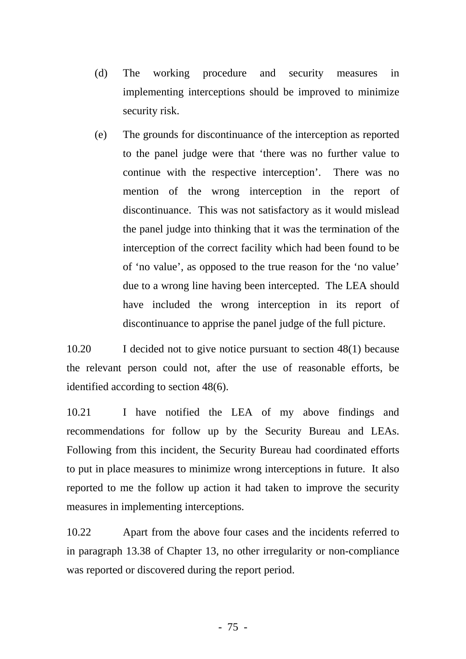- (d) The working procedure and security measures in implementing interceptions should be improved to minimize security risk.
- (e) The grounds for discontinuance of the interception as reported to the panel judge were that 'there was no further value to continue with the respective interception'. There was no mention of the wrong interception in the report of discontinuance. This was not satisfactory as it would mislead the panel judge into thinking that it was the termination of the interception of the correct facility which had been found to be of 'no value', as opposed to the true reason for the 'no value' due to a wrong line having been intercepted. The LEA should have included the wrong interception in its report of discontinuance to apprise the panel judge of the full picture.

10.20 I decided not to give notice pursuant to section 48(1) because the relevant person could not, after the use of reasonable efforts, be identified according to section 48(6).

10.21 I have notified the LEA of my above findings and recommendations for follow up by the Security Bureau and LEAs. Following from this incident, the Security Bureau had coordinated efforts to put in place measures to minimize wrong interceptions in future. It also reported to me the follow up action it had taken to improve the security measures in implementing interceptions.

10.22 Apart from the above four cases and the incidents referred to in paragraph 13.38 of Chapter 13, no other irregularity or non-compliance was reported or discovered during the report period.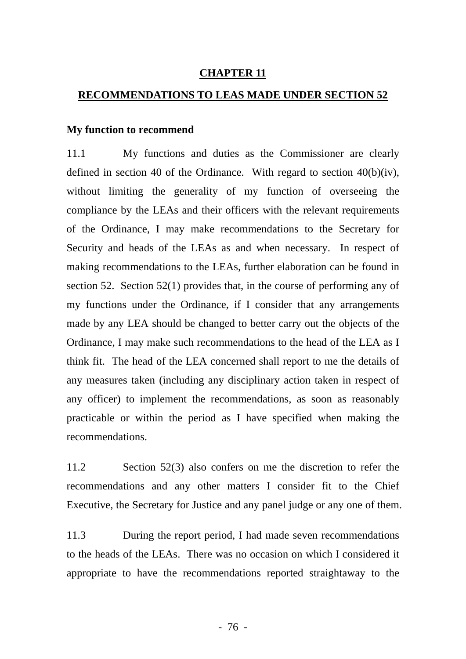### **CHAPTER 11**

#### **RECOMMENDATIONS TO LEAS MADE UNDER SECTION 52**

#### **My function to recommend**

11.1 My functions and duties as the Commissioner are clearly defined in section 40 of the Ordinance. With regard to section 40(b)(iv), without limiting the generality of my function of overseeing the compliance by the LEAs and their officers with the relevant requirements of the Ordinance, I may make recommendations to the Secretary for Security and heads of the LEAs as and when necessary. In respect of making recommendations to the LEAs, further elaboration can be found in section 52. Section 52(1) provides that, in the course of performing any of my functions under the Ordinance, if I consider that any arrangements made by any LEA should be changed to better carry out the objects of the Ordinance, I may make such recommendations to the head of the LEA as I think fit. The head of the LEA concerned shall report to me the details of any measures taken (including any disciplinary action taken in respect of any officer) to implement the recommendations, as soon as reasonably practicable or within the period as I have specified when making the recommendations.

11.2 Section 52(3) also confers on me the discretion to refer the recommendations and any other matters I consider fit to the Chief Executive, the Secretary for Justice and any panel judge or any one of them.

11.3 During the report period, I had made seven recommendations to the heads of the LEAs. There was no occasion on which I considered it appropriate to have the recommendations reported straightaway to the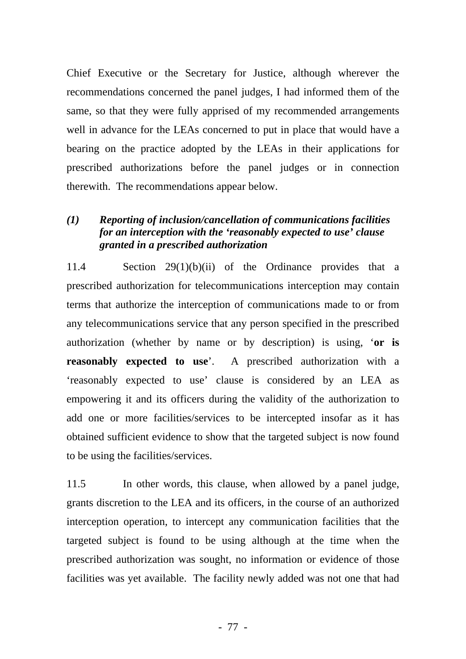Chief Executive or the Secretary for Justice, although wherever the recommendations concerned the panel judges, I had informed them of the same, so that they were fully apprised of my recommended arrangements well in advance for the LEAs concerned to put in place that would have a bearing on the practice adopted by the LEAs in their applications for prescribed authorizations before the panel judges or in connection therewith. The recommendations appear below.

# *(1) Reporting of inclusion/cancellation of communications facilities for an interception with the 'reasonably expected to use' clause granted in a prescribed authorization*

11.4 Section 29(1)(b)(ii) of the Ordinance provides that a prescribed authorization for telecommunications interception may contain terms that authorize the interception of communications made to or from any telecommunications service that any person specified in the prescribed authorization (whether by name or by description) is using, '**or is reasonably expected to use**'. A prescribed authorization with a 'reasonably expected to use' clause is considered by an LEA as empowering it and its officers during the validity of the authorization to add one or more facilities/services to be intercepted insofar as it has obtained sufficient evidence to show that the targeted subject is now found to be using the facilities/services.

11.5 In other words, this clause, when allowed by a panel judge, grants discretion to the LEA and its officers, in the course of an authorized interception operation, to intercept any communication facilities that the targeted subject is found to be using although at the time when the prescribed authorization was sought, no information or evidence of those facilities was yet available. The facility newly added was not one that had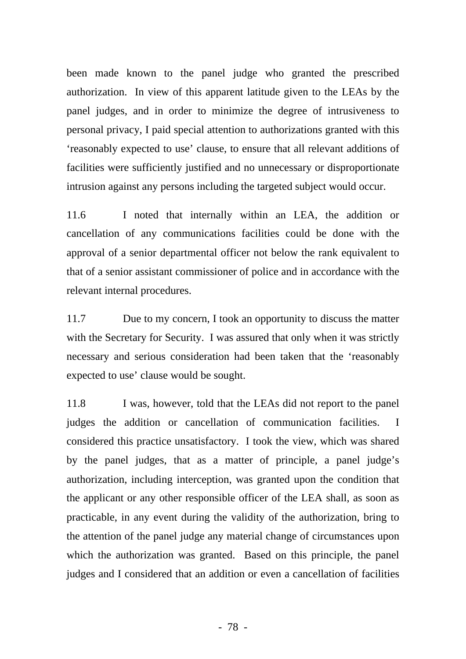been made known to the panel judge who granted the prescribed authorization. In view of this apparent latitude given to the LEAs by the panel judges, and in order to minimize the degree of intrusiveness to personal privacy, I paid special attention to authorizations granted with this 'reasonably expected to use' clause, to ensure that all relevant additions of facilities were sufficiently justified and no unnecessary or disproportionate intrusion against any persons including the targeted subject would occur.

11.6 I noted that internally within an LEA, the addition or cancellation of any communications facilities could be done with the approval of a senior departmental officer not below the rank equivalent to that of a senior assistant commissioner of police and in accordance with the relevant internal procedures.

11.7 Due to my concern, I took an opportunity to discuss the matter with the Secretary for Security. I was assured that only when it was strictly necessary and serious consideration had been taken that the 'reasonably expected to use' clause would be sought.

11.8 I was, however, told that the LEAs did not report to the panel judges the addition or cancellation of communication facilities. I considered this practice unsatisfactory. I took the view, which was shared by the panel judges, that as a matter of principle, a panel judge's authorization, including interception, was granted upon the condition that the applicant or any other responsible officer of the LEA shall, as soon as practicable, in any event during the validity of the authorization, bring to the attention of the panel judge any material change of circumstances upon which the authorization was granted. Based on this principle, the panel judges and I considered that an addition or even a cancellation of facilities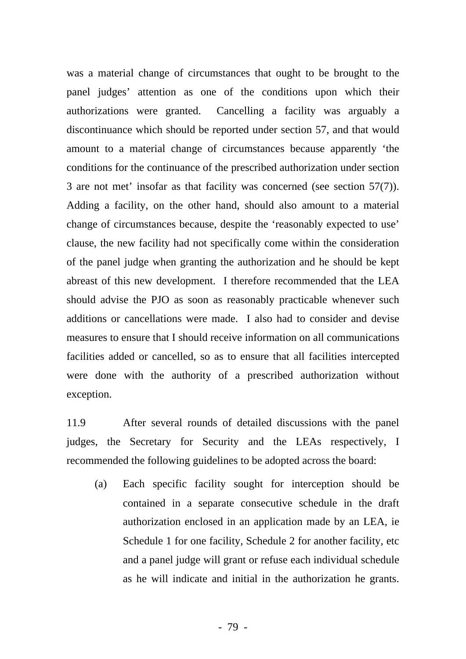was a material change of circumstances that ought to be brought to the panel judges' attention as one of the conditions upon which their authorizations were granted. Cancelling a facility was arguably a discontinuance which should be reported under section 57, and that would amount to a material change of circumstances because apparently 'the conditions for the continuance of the prescribed authorization under section 3 are not met' insofar as that facility was concerned (see section 57(7)). Adding a facility, on the other hand, should also amount to a material change of circumstances because, despite the 'reasonably expected to use' clause, the new facility had not specifically come within the consideration of the panel judge when granting the authorization and he should be kept abreast of this new development. I therefore recommended that the LEA should advise the PJO as soon as reasonably practicable whenever such additions or cancellations were made. I also had to consider and devise measures to ensure that I should receive information on all communications facilities added or cancelled, so as to ensure that all facilities intercepted were done with the authority of a prescribed authorization without exception.

11.9 After several rounds of detailed discussions with the panel judges, the Secretary for Security and the LEAs respectively, I recommended the following guidelines to be adopted across the board:

(a) Each specific facility sought for interception should be contained in a separate consecutive schedule in the draft authorization enclosed in an application made by an LEA, ie Schedule 1 for one facility, Schedule 2 for another facility, etc and a panel judge will grant or refuse each individual schedule as he will indicate and initial in the authorization he grants.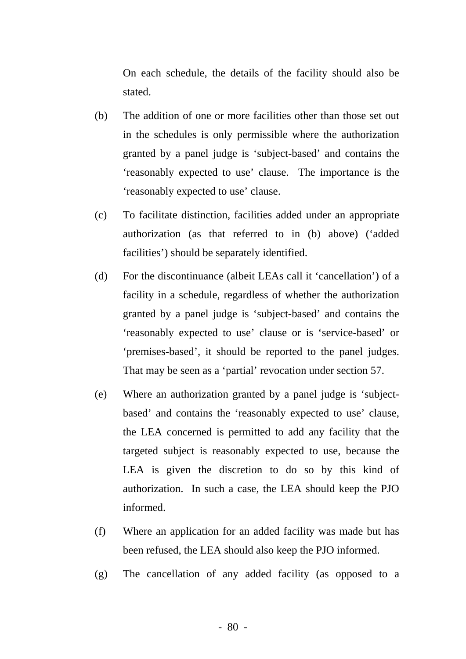On each schedule, the details of the facility should also be stated.

- (b) The addition of one or more facilities other than those set out in the schedules is only permissible where the authorization granted by a panel judge is 'subject-based' and contains the 'reasonably expected to use' clause. The importance is the 'reasonably expected to use' clause.
- (c) To facilitate distinction, facilities added under an appropriate authorization (as that referred to in (b) above) ('added facilities') should be separately identified.
- (d) For the discontinuance (albeit LEAs call it 'cancellation') of a facility in a schedule, regardless of whether the authorization granted by a panel judge is 'subject-based' and contains the 'reasonably expected to use' clause or is 'service-based' or 'premises-based', it should be reported to the panel judges. That may be seen as a 'partial' revocation under section 57.
- (e) Where an authorization granted by a panel judge is 'subjectbased' and contains the 'reasonably expected to use' clause, the LEA concerned is permitted to add any facility that the targeted subject is reasonably expected to use, because the LEA is given the discretion to do so by this kind of authorization. In such a case, the LEA should keep the PJO informed.
- (f) Where an application for an added facility was made but has been refused, the LEA should also keep the PJO informed.
- (g) The cancellation of any added facility (as opposed to a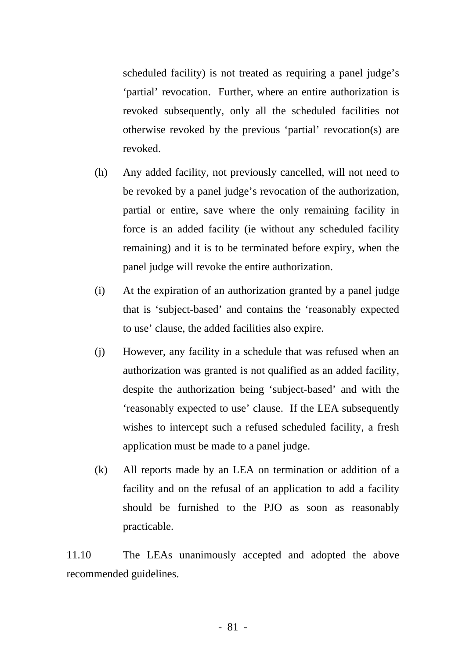scheduled facility) is not treated as requiring a panel judge's 'partial' revocation. Further, where an entire authorization is revoked subsequently, only all the scheduled facilities not otherwise revoked by the previous 'partial' revocation(s) are revoked.

- (h) Any added facility, not previously cancelled, will not need to be revoked by a panel judge's revocation of the authorization, partial or entire, save where the only remaining facility in force is an added facility (ie without any scheduled facility remaining) and it is to be terminated before expiry, when the panel judge will revoke the entire authorization.
- (i) At the expiration of an authorization granted by a panel judge that is 'subject-based' and contains the 'reasonably expected to use' clause, the added facilities also expire.
- (j) However, any facility in a schedule that was refused when an authorization was granted is not qualified as an added facility, despite the authorization being 'subject-based' and with the 'reasonably expected to use' clause. If the LEA subsequently wishes to intercept such a refused scheduled facility, a fresh application must be made to a panel judge.
- (k) All reports made by an LEA on termination or addition of a facility and on the refusal of an application to add a facility should be furnished to the PJO as soon as reasonably practicable.

11.10 The LEAs unanimously accepted and adopted the above recommended guidelines.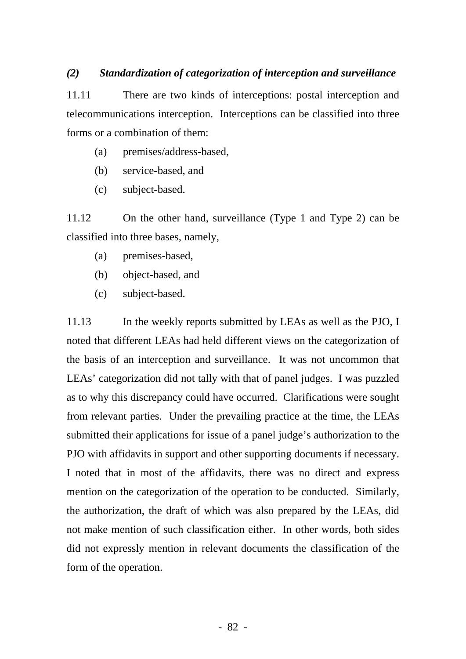### *(2) Standardization of categorization of interception and surveillance*

11.11 There are two kinds of interceptions: postal interception and telecommunications interception. Interceptions can be classified into three forms or a combination of them:

- (a) premises/address-based,
- (b) service-based, and
- (c) subject-based.

11.12 On the other hand, surveillance (Type 1 and Type 2) can be classified into three bases, namely,

- (a) premises-based,
- (b) object-based, and
- (c) subject-based.

11.13 In the weekly reports submitted by LEAs as well as the PJO, I noted that different LEAs had held different views on the categorization of the basis of an interception and surveillance. It was not uncommon that LEAs' categorization did not tally with that of panel judges. I was puzzled as to why this discrepancy could have occurred. Clarifications were sought from relevant parties. Under the prevailing practice at the time, the LEAs submitted their applications for issue of a panel judge's authorization to the PJO with affidavits in support and other supporting documents if necessary. I noted that in most of the affidavits, there was no direct and express mention on the categorization of the operation to be conducted. Similarly, the authorization, the draft of which was also prepared by the LEAs, did not make mention of such classification either. In other words, both sides did not expressly mention in relevant documents the classification of the form of the operation.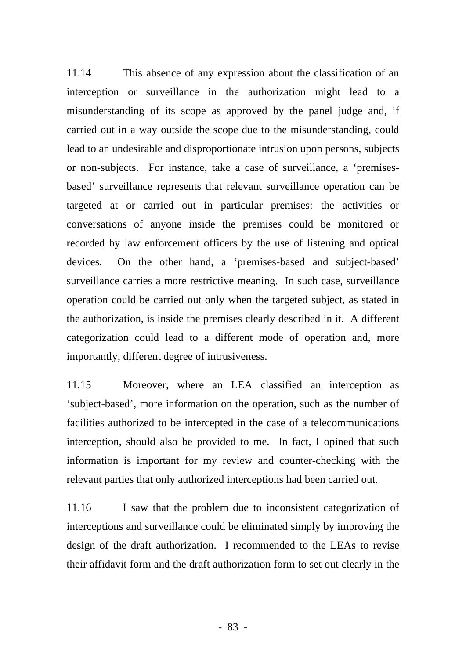11.14 This absence of any expression about the classification of an interception or surveillance in the authorization might lead to a misunderstanding of its scope as approved by the panel judge and, if carried out in a way outside the scope due to the misunderstanding, could lead to an undesirable and disproportionate intrusion upon persons, subjects or non-subjects. For instance, take a case of surveillance, a 'premisesbased' surveillance represents that relevant surveillance operation can be targeted at or carried out in particular premises: the activities or conversations of anyone inside the premises could be monitored or recorded by law enforcement officers by the use of listening and optical devices. On the other hand, a 'premises-based and subject-based' surveillance carries a more restrictive meaning. In such case, surveillance operation could be carried out only when the targeted subject, as stated in the authorization, is inside the premises clearly described in it. A different categorization could lead to a different mode of operation and, more importantly, different degree of intrusiveness.

11.15 Moreover, where an LEA classified an interception as 'subject-based', more information on the operation, such as the number of facilities authorized to be intercepted in the case of a telecommunications interception, should also be provided to me. In fact, I opined that such information is important for my review and counter-checking with the relevant parties that only authorized interceptions had been carried out.

11.16 I saw that the problem due to inconsistent categorization of interceptions and surveillance could be eliminated simply by improving the design of the draft authorization. I recommended to the LEAs to revise their affidavit form and the draft authorization form to set out clearly in the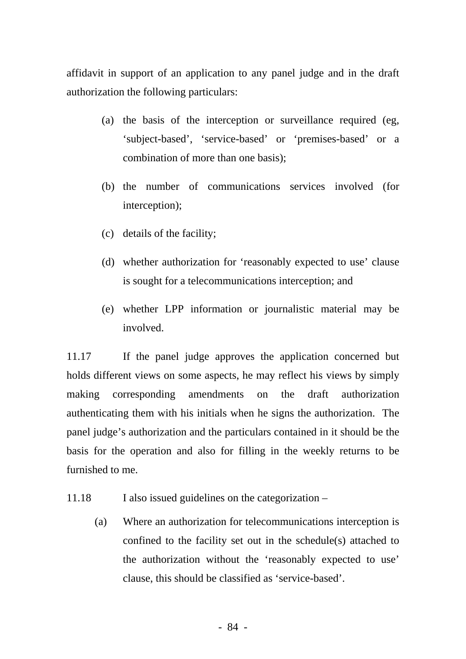affidavit in support of an application to any panel judge and in the draft authorization the following particulars:

- (a) the basis of the interception or surveillance required (eg, 'subject-based', 'service-based' or 'premises-based' or a combination of more than one basis);
- (b) the number of communications services involved (for interception);
- (c) details of the facility;
- (d) whether authorization for 'reasonably expected to use' clause is sought for a telecommunications interception; and
- (e) whether LPP information or journalistic material may be involved.

11.17 If the panel judge approves the application concerned but holds different views on some aspects, he may reflect his views by simply making corresponding amendments on the draft authorization authenticating them with his initials when he signs the authorization. The panel judge's authorization and the particulars contained in it should be the basis for the operation and also for filling in the weekly returns to be furnished to me.

- 11.18 I also issued guidelines on the categorization
	- (a) Where an authorization for telecommunications interception is confined to the facility set out in the schedule(s) attached to the authorization without the 'reasonably expected to use' clause, this should be classified as 'service-based'.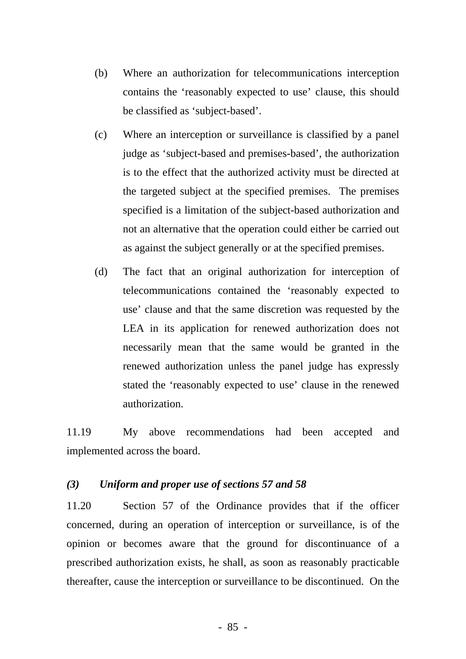- (b) Where an authorization for telecommunications interception contains the 'reasonably expected to use' clause, this should be classified as 'subject-based'.
- (c) Where an interception or surveillance is classified by a panel judge as 'subject-based and premises-based', the authorization is to the effect that the authorized activity must be directed at the targeted subject at the specified premises. The premises specified is a limitation of the subject-based authorization and not an alternative that the operation could either be carried out as against the subject generally or at the specified premises.
- (d) The fact that an original authorization for interception of telecommunications contained the 'reasonably expected to use' clause and that the same discretion was requested by the LEA in its application for renewed authorization does not necessarily mean that the same would be granted in the renewed authorization unless the panel judge has expressly stated the 'reasonably expected to use' clause in the renewed authorization.

11.19 My above recommendations had been accepted and implemented across the board.

### *(3) Uniform and proper use of sections 57 and 58*

11.20 Section 57 of the Ordinance provides that if the officer concerned, during an operation of interception or surveillance, is of the opinion or becomes aware that the ground for discontinuance of a prescribed authorization exists, he shall, as soon as reasonably practicable thereafter, cause the interception or surveillance to be discontinued. On the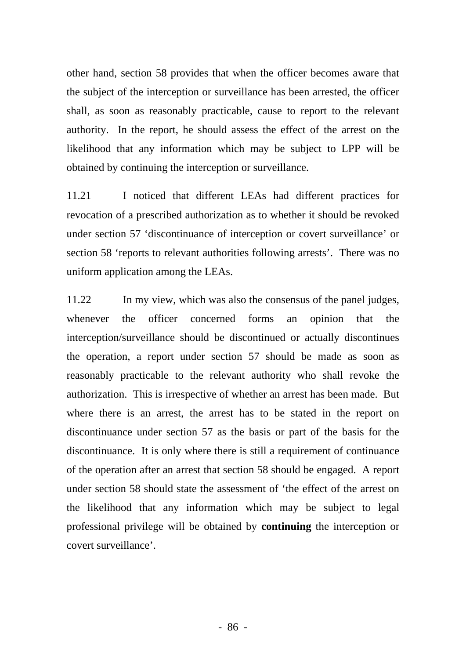other hand, section 58 provides that when the officer becomes aware that the subject of the interception or surveillance has been arrested, the officer shall, as soon as reasonably practicable, cause to report to the relevant authority. In the report, he should assess the effect of the arrest on the likelihood that any information which may be subject to LPP will be obtained by continuing the interception or surveillance.

11.21 I noticed that different LEAs had different practices for revocation of a prescribed authorization as to whether it should be revoked under section 57 'discontinuance of interception or covert surveillance' or section 58 'reports to relevant authorities following arrests'. There was no uniform application among the LEAs.

11.22 In my view, which was also the consensus of the panel judges, whenever the officer concerned forms an opinion that the interception/surveillance should be discontinued or actually discontinues the operation, a report under section 57 should be made as soon as reasonably practicable to the relevant authority who shall revoke the authorization. This is irrespective of whether an arrest has been made. But where there is an arrest, the arrest has to be stated in the report on discontinuance under section 57 as the basis or part of the basis for the discontinuance. It is only where there is still a requirement of continuance of the operation after an arrest that section 58 should be engaged. A report under section 58 should state the assessment of 'the effect of the arrest on the likelihood that any information which may be subject to legal professional privilege will be obtained by **continuing** the interception or covert surveillance'.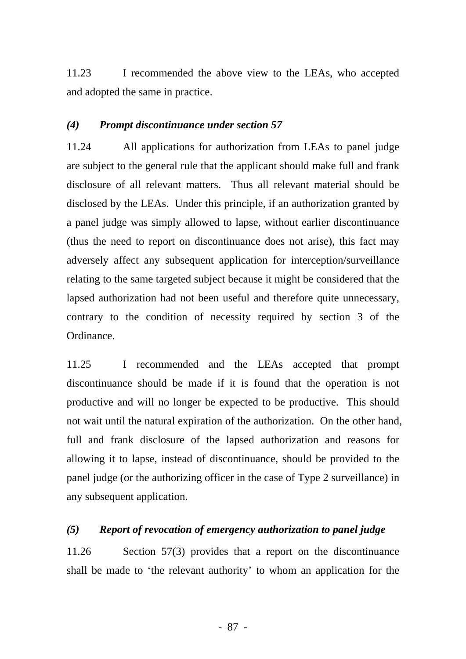11.23 I recommended the above view to the LEAs, who accepted and adopted the same in practice.

### *(4) Prompt discontinuance under section 57*

11.24 All applications for authorization from LEAs to panel judge are subject to the general rule that the applicant should make full and frank disclosure of all relevant matters. Thus all relevant material should be disclosed by the LEAs. Under this principle, if an authorization granted by a panel judge was simply allowed to lapse, without earlier discontinuance (thus the need to report on discontinuance does not arise), this fact may adversely affect any subsequent application for interception/surveillance relating to the same targeted subject because it might be considered that the lapsed authorization had not been useful and therefore quite unnecessary, contrary to the condition of necessity required by section 3 of the Ordinance.

11.25 I recommended and the LEAs accepted that prompt discontinuance should be made if it is found that the operation is not productive and will no longer be expected to be productive. This should not wait until the natural expiration of the authorization. On the other hand, full and frank disclosure of the lapsed authorization and reasons for allowing it to lapse, instead of discontinuance, should be provided to the panel judge (or the authorizing officer in the case of Type 2 surveillance) in any subsequent application.

# *(5) Report of revocation of emergency authorization to panel judge*

11.26 Section 57(3) provides that a report on the discontinuance shall be made to 'the relevant authority' to whom an application for the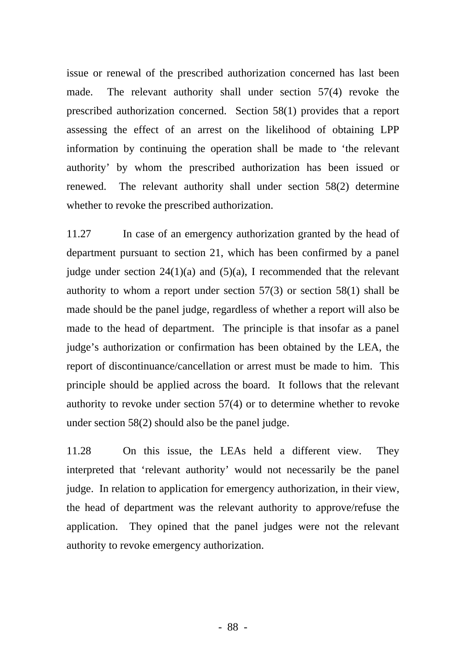issue or renewal of the prescribed authorization concerned has last been made. The relevant authority shall under section 57(4) revoke the prescribed authorization concerned. Section 58(1) provides that a report assessing the effect of an arrest on the likelihood of obtaining LPP information by continuing the operation shall be made to 'the relevant authority' by whom the prescribed authorization has been issued or renewed. The relevant authority shall under section 58(2) determine whether to revoke the prescribed authorization.

11.27 In case of an emergency authorization granted by the head of department pursuant to section 21, which has been confirmed by a panel judge under section  $24(1)(a)$  and  $(5)(a)$ , I recommended that the relevant authority to whom a report under section 57(3) or section 58(1) shall be made should be the panel judge, regardless of whether a report will also be made to the head of department. The principle is that insofar as a panel judge's authorization or confirmation has been obtained by the LEA, the report of discontinuance/cancellation or arrest must be made to him. This principle should be applied across the board. It follows that the relevant authority to revoke under section 57(4) or to determine whether to revoke under section 58(2) should also be the panel judge.

11.28 On this issue, the LEAs held a different view. They interpreted that 'relevant authority' would not necessarily be the panel judge. In relation to application for emergency authorization, in their view, the head of department was the relevant authority to approve/refuse the application. They opined that the panel judges were not the relevant authority to revoke emergency authorization.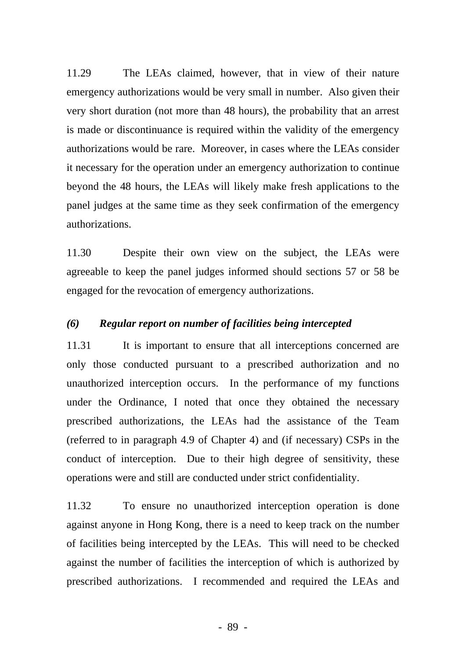11.29 The LEAs claimed, however, that in view of their nature emergency authorizations would be very small in number. Also given their very short duration (not more than 48 hours), the probability that an arrest is made or discontinuance is required within the validity of the emergency authorizations would be rare. Moreover, in cases where the LEAs consider it necessary for the operation under an emergency authorization to continue beyond the 48 hours, the LEAs will likely make fresh applications to the panel judges at the same time as they seek confirmation of the emergency authorizations.

11.30 Despite their own view on the subject, the LEAs were agreeable to keep the panel judges informed should sections 57 or 58 be engaged for the revocation of emergency authorizations.

### *(6) Regular report on number of facilities being intercepted*

11.31 It is important to ensure that all interceptions concerned are only those conducted pursuant to a prescribed authorization and no unauthorized interception occurs. In the performance of my functions under the Ordinance, I noted that once they obtained the necessary prescribed authorizations, the LEAs had the assistance of the Team (referred to in paragraph 4.9 of Chapter 4) and (if necessary) CSPs in the conduct of interception. Due to their high degree of sensitivity, these operations were and still are conducted under strict confidentiality.

11.32 To ensure no unauthorized interception operation is done against anyone in Hong Kong, there is a need to keep track on the number of facilities being intercepted by the LEAs. This will need to be checked against the number of facilities the interception of which is authorized by prescribed authorizations. I recommended and required the LEAs and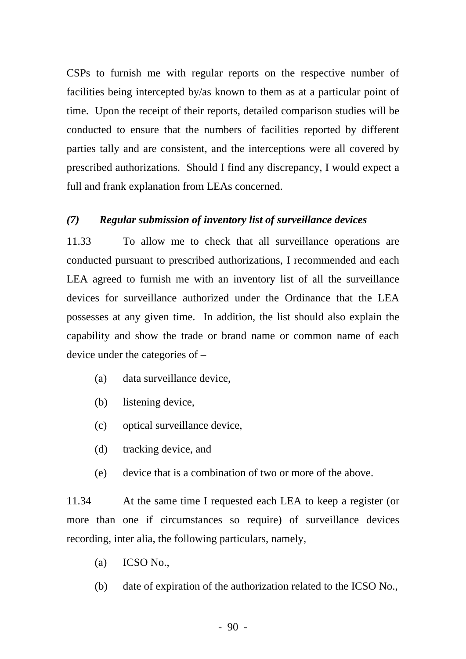CSPs to furnish me with regular reports on the respective number of facilities being intercepted by/as known to them as at a particular point of time. Upon the receipt of their reports, detailed comparison studies will be conducted to ensure that the numbers of facilities reported by different parties tally and are consistent, and the interceptions were all covered by prescribed authorizations. Should I find any discrepancy, I would expect a full and frank explanation from LEAs concerned.

### *(7) Regular submission of inventory list of surveillance devices*

11.33 To allow me to check that all surveillance operations are conducted pursuant to prescribed authorizations, I recommended and each LEA agreed to furnish me with an inventory list of all the surveillance devices for surveillance authorized under the Ordinance that the LEA possesses at any given time. In addition, the list should also explain the capability and show the trade or brand name or common name of each device under the categories of –

- (a) data surveillance device,
- (b) listening device,
- (c) optical surveillance device,
- (d) tracking device, and
- (e) device that is a combination of two or more of the above.

11.34 At the same time I requested each LEA to keep a register (or more than one if circumstances so require) of surveillance devices recording, inter alia, the following particulars, namely,

- (a) ICSO No.,
- (b) date of expiration of the authorization related to the ICSO No.,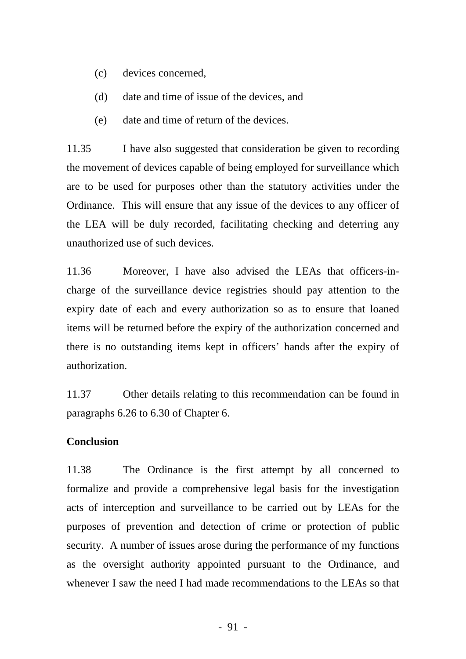- (c) devices concerned,
- (d) date and time of issue of the devices, and
- (e) date and time of return of the devices.

11.35 I have also suggested that consideration be given to recording the movement of devices capable of being employed for surveillance which are to be used for purposes other than the statutory activities under the Ordinance. This will ensure that any issue of the devices to any officer of the LEA will be duly recorded, facilitating checking and deterring any unauthorized use of such devices.

11.36 Moreover, I have also advised the LEAs that officers-incharge of the surveillance device registries should pay attention to the expiry date of each and every authorization so as to ensure that loaned items will be returned before the expiry of the authorization concerned and there is no outstanding items kept in officers' hands after the expiry of authorization.

11.37 Other details relating to this recommendation can be found in paragraphs 6.26 to 6.30 of Chapter 6.

### **Conclusion**

11.38 The Ordinance is the first attempt by all concerned to formalize and provide a comprehensive legal basis for the investigation acts of interception and surveillance to be carried out by LEAs for the purposes of prevention and detection of crime or protection of public security. A number of issues arose during the performance of my functions as the oversight authority appointed pursuant to the Ordinance, and whenever I saw the need I had made recommendations to the LEAs so that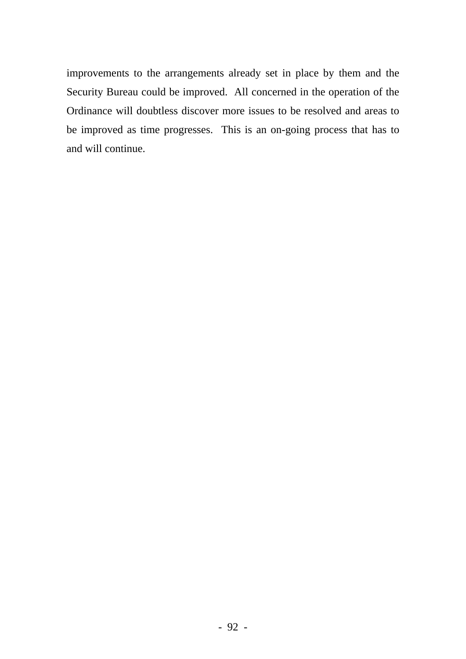improvements to the arrangements already set in place by them and the Security Bureau could be improved. All concerned in the operation of the Ordinance will doubtless discover more issues to be resolved and areas to be improved as time progresses. This is an on-going process that has to and will continue.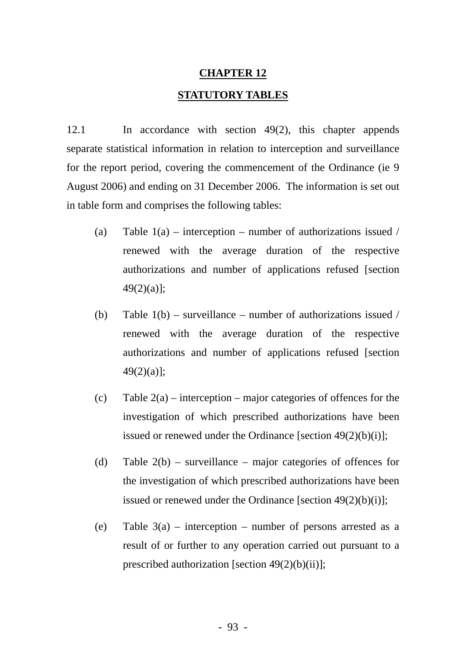### **CHAPTER 12**

### **STATUTORY TABLES**

12.1 In accordance with section 49(2), this chapter appends separate statistical information in relation to interception and surveillance for the report period, covering the commencement of the Ordinance (ie 9 August 2006) and ending on 31 December 2006. The information is set out in table form and comprises the following tables:

- (a) Table  $1(a)$  interception number of authorizations issued / renewed with the average duration of the respective authorizations and number of applications refused [section 49(2)(a)];
- (b) Table  $1(b)$  surveillance number of authorizations issued / authorizations and number of applications refused [section 49(2)(a)]; renewed with the average duration of the respective
- investigation of which prescribed authorizations have been issued or renewed under the Ordinance [section  $49(2)(b)(i)$ ]; (c) Table  $2(a)$  – interception – major categories of offences for the
- the investigation of which prescribed authorizations have been issued or renewed under the Ordinance [section  $49(2)(b)(i)$ ]; (d) Table  $2(b)$  – surveillance – major categories of offences for
- result of or further to any operation carried out pursuant to a prescribed authorization [section  $49(2)(b)(ii)$ ]; (e) Table  $3(a)$  – interception – number of persons arrested as a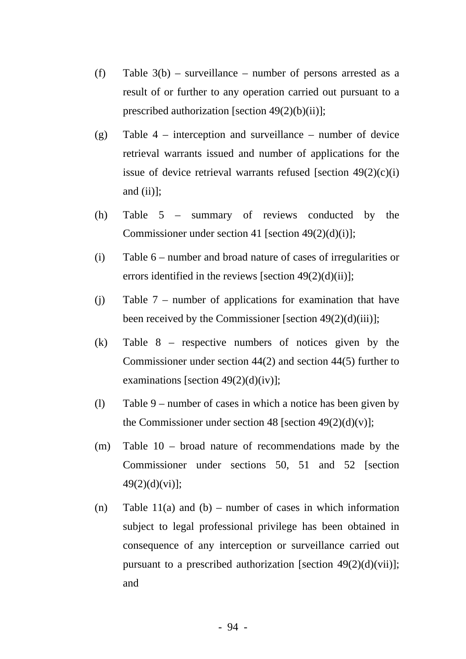- (f) Table  $3(b)$  surveillance number of persons arrested as a result of or further to any operation carried out pursuant to a prescribed authorization [section  $49(2)(b)(ii)$ ];
- (g) Table 4 interception and surveillance number of device retrieval warrants issued and number of applications for the issue of device retrieval warrants refused [section  $49(2)(c)(i)$ ] and  $(ii)$ ];
- (h) Table 5 summary of reviews conducted by the Commissioner under section 41 [section 49 $(2)(d)(i)$ ];
- (i) Table 6 number and broad nature of cases of irregularities or errors identified in the reviews [section  $49(2)(d)(ii)$ ];
- (j) Table 7 number of applications for examination that have been received by the Commissioner [section  $49(2)(d)(iii)$ ];
- (k) Table 8 respective numbers of notices given by the Commissioner under section 44(2) and section 44(5) further to examinations [section  $49(2)(d)(iv)$ ];
- (l) Table 9 number of cases in which a notice has been given by the Commissioner under section 48 [section  $49(2)(d)(v)$ ];
- (m) Table 10 broad nature of recommendations made by the Commissioner under sections 50, 51 and 52 [section 49(2)(d)(vi)];
- (n) Table 11(a) and (b) number of cases in which information subject to legal professional privilege has been obtained in consequence of any interception or surveillance carried out pursuant to a prescribed authorization [section  $49(2)(d)(vii)$ ]; and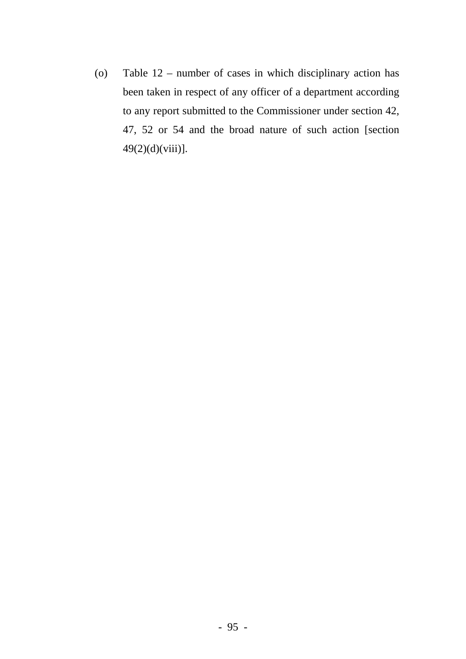(o) Table 12 – number of cases in which disciplinary action has been taken in respect of any officer of a department according to any report submitted to the Commissioner under section 42, 47, 52 or 54 and the broad nature of such action [section  $49(2)(d)(viii)$ ].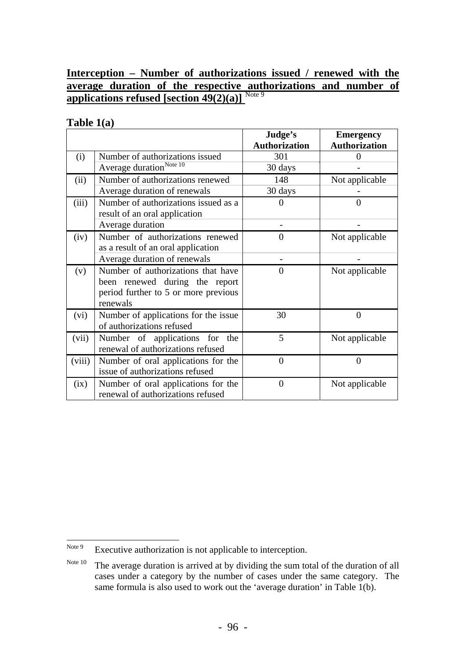## **Interception – Number of authorizations issued / renewed with the average duration of t[h](#page-102-0)e respective authorizations and number of applications refused [section 49(2)(a)]** [Note 9](#page-102-0)

### **Table 1(a)**

|        |                                                                                                                          | Judge's<br><b>Authorization</b> | <b>Emergency</b><br><b>Authorization</b> |
|--------|--------------------------------------------------------------------------------------------------------------------------|---------------------------------|------------------------------------------|
| (i)    | Number of authorizations issued                                                                                          | 301                             |                                          |
|        | Average duration <sup>Note 10</sup>                                                                                      | 30 days                         |                                          |
| (ii)   | Number of authorizations renewed                                                                                         | 148                             | Not applicable                           |
|        | Average duration of renewals                                                                                             | 30 days                         |                                          |
| (iii)  | Number of authorizations issued as a<br>result of an oral application                                                    | $\Omega$                        | $\theta$                                 |
|        | Average duration                                                                                                         |                                 |                                          |
| (iv)   | Number of authorizations renewed<br>as a result of an oral application                                                   | $\overline{0}$                  | Not applicable                           |
|        | Average duration of renewals                                                                                             |                                 |                                          |
| (v)    | Number of authorizations that have<br>been renewed during the report<br>period further to 5 or more previous<br>renewals | $\overline{0}$                  | Not applicable                           |
| (vi)   | Number of applications for the issue<br>of authorizations refused                                                        | 30                              | $\boldsymbol{0}$                         |
| (vii)  | Number of applications for the<br>renewal of authorizations refused                                                      | 5                               | Not applicable                           |
| (viii) | Number of oral applications for the<br>issue of authorizations refused                                                   | $\overline{0}$                  | $\overline{0}$                           |
| (ix)   | Number of oral applications for the<br>renewal of authorizations refused                                                 | $\overline{0}$                  | Not applicable                           |

<span id="page-102-0"></span>Note 9 Executive authorization is not applicable to interception.

<span id="page-102-1"></span>Note 10 The average duration is arrived at by dividing the sum total of the duration of all cases under a category by the number of cases under the same category. The same formula is also used to work out the 'average duration' in Table 1(b).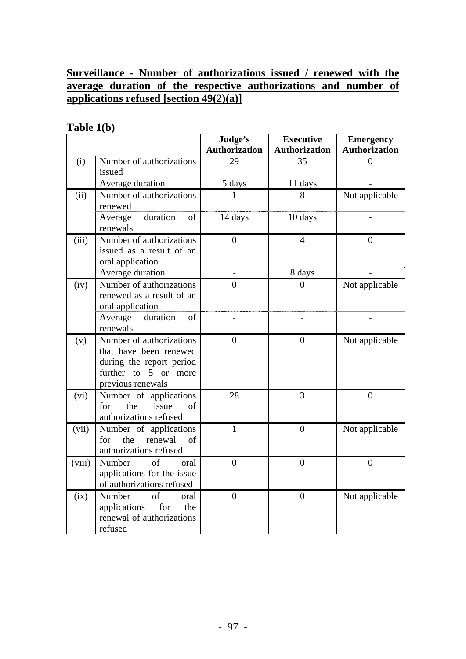# **Surveillance - Number of authorizations issued / renewed with the average duration of the respective authorizations and number of applications refused [section 49(2)(a)]**

# **Table 1(b)**

|        |                                                                                                                             | Judge's<br><b>Authorization</b> | <b>Executive</b><br><b>Authorization</b> | <b>Emergency</b><br><b>Authorization</b> |
|--------|-----------------------------------------------------------------------------------------------------------------------------|---------------------------------|------------------------------------------|------------------------------------------|
| (i)    | Number of authorizations<br>issued                                                                                          | 29                              | 35                                       | 0                                        |
|        | Average duration                                                                                                            | 5 days                          | 11 days                                  |                                          |
| (ii)   | Number of authorizations<br>renewed                                                                                         | 1                               | 8                                        | Not applicable                           |
|        | duration<br>of<br>Average<br>renewals                                                                                       | 14 days                         | 10 days                                  |                                          |
| (iii)  | Number of authorizations<br>issued as a result of an<br>oral application                                                    | $\overline{0}$                  | $\overline{4}$                           | $\overline{0}$                           |
|        | Average duration                                                                                                            |                                 | 8 days                                   |                                          |
| (iv)   | Number of authorizations<br>renewed as a result of an<br>oral application                                                   | $\overline{0}$                  | $\Omega$                                 | Not applicable                           |
|        | duration<br>of<br>Average<br>renewals                                                                                       | $\overline{a}$                  |                                          | $\overline{a}$                           |
| (v)    | Number of authorizations<br>that have been renewed<br>during the report period<br>further to 5 or more<br>previous renewals | $\overline{0}$                  | $\theta$                                 | Not applicable                           |
| (vi)   | Number of applications<br>the<br>for<br>issue<br>of<br>authorizations refused                                               | 28                              | 3                                        | $\overline{0}$                           |
| (vii)  | Number of applications<br>the<br>renewal<br>for<br>of<br>authorizations refused                                             | $\mathbf{1}$                    | $\overline{0}$                           | Not applicable                           |
| (viii) | Number<br>of<br>oral<br>applications for the issue<br>of authorizations refused                                             | $\overline{0}$                  | $\boldsymbol{0}$                         | $\overline{0}$                           |
| (ix)   | of<br>Number<br>oral<br>applications<br>for<br>the<br>renewal of authorizations<br>refused                                  | $\overline{0}$                  | $\overline{0}$                           | Not applicable                           |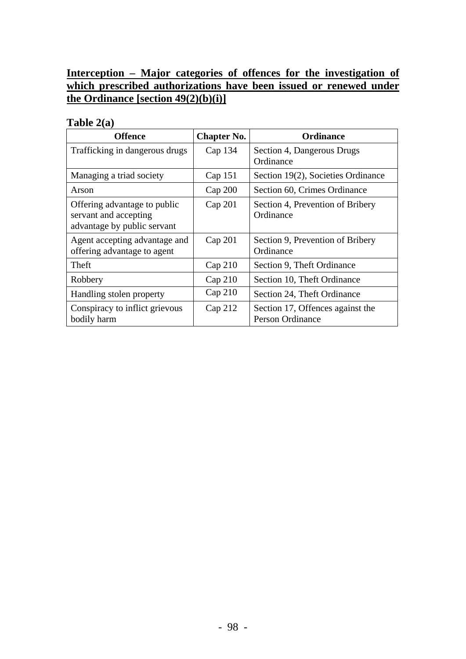# **Interception – Major categories of offences for the investigation of which prescribed authorizations have been issued or renewed under the Ordinance [section 49(2)(b)(i)]**

### **Table 2(a)**

| <b>Offence</b>                                                                       | <b>Chapter No.</b> | <b>Ordinance</b>                                            |
|--------------------------------------------------------------------------------------|--------------------|-------------------------------------------------------------|
| Trafficking in dangerous drugs                                                       | Cap 134            | Section 4, Dangerous Drugs<br>Ordinance                     |
| Managing a triad society                                                             | Cap 151            | Section 19(2), Societies Ordinance                          |
| Arson                                                                                | Cap 200            | Section 60, Crimes Ordinance                                |
| Offering advantage to public<br>servant and accepting<br>advantage by public servant | Cap 201            | Section 4, Prevention of Bribery<br>Ordinance               |
| Agent accepting advantage and<br>offering advantage to agent                         | Cap 201            | Section 9, Prevention of Bribery<br>Ordinance               |
| Theft                                                                                | Cap 210            | Section 9, Theft Ordinance                                  |
| Robbery                                                                              | Cap 210            | Section 10, Theft Ordinance                                 |
| Handling stolen property                                                             | Cap 210            | Section 24, Theft Ordinance                                 |
| Conspiracy to inflict grievous<br>bodily harm                                        | Cap 212            | Section 17, Offences against the<br><b>Person Ordinance</b> |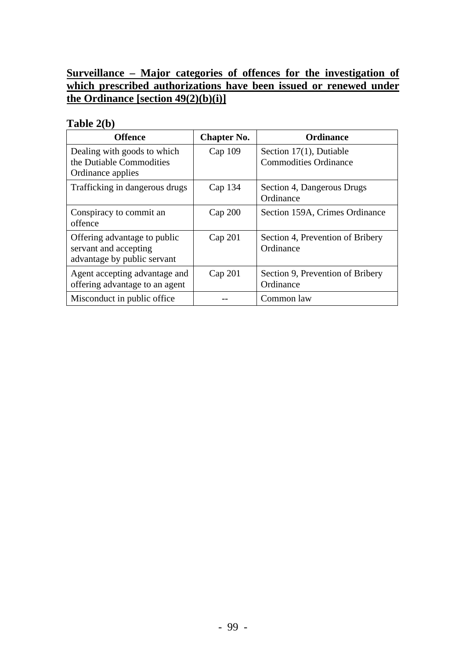# **Surveillance – Major categories of offences for the investigation of which prescribed authorizations have been issued or renewed under the Ordinance [section 49(2)(b)(i)]**

# **Table 2(b)**

| <b>Offence</b>                                                                       | <b>Chapter No.</b> | <b>Ordinance</b>                                           |
|--------------------------------------------------------------------------------------|--------------------|------------------------------------------------------------|
| Dealing with goods to which<br>the Dutiable Commodities<br>Ordinance applies         | $Cap$ 109          | Section $17(1)$ , Dutiable<br><b>Commodities Ordinance</b> |
| Trafficking in dangerous drugs                                                       | Cap 134            | Section 4, Dangerous Drugs<br>Ordinance                    |
| Conspiracy to commit an<br>offence                                                   | Cap 200            | Section 159A, Crimes Ordinance                             |
| Offering advantage to public<br>servant and accepting<br>advantage by public servant | Cap 201            | Section 4, Prevention of Bribery<br>Ordinance              |
| Agent accepting advantage and<br>offering advantage to an agent                      | Cap 201            | Section 9, Prevention of Bribery<br>Ordinance              |
| Misconduct in public office.                                                         |                    | Common law                                                 |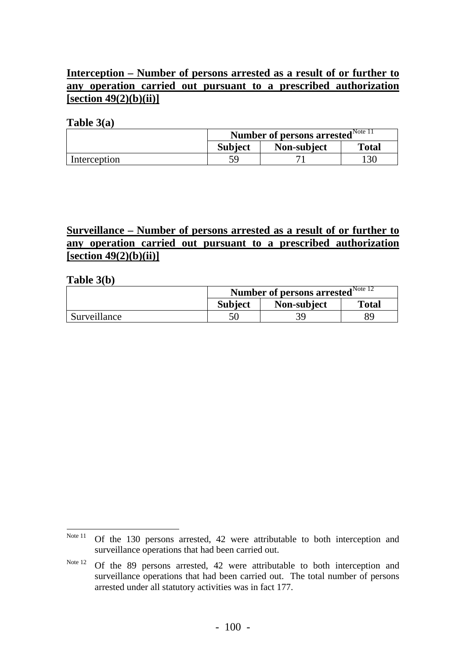# **Interception – Number of persons arrested as a result of or further to any operation carried out pursuant to a prescribed authorization [section 49(2)(b)(ii)]**

### **Table 3(a)**

|              | <b>Number of persons arrested</b> Note $\overline{11}$ |             |       |
|--------------|--------------------------------------------------------|-------------|-------|
|              | <b>Subject</b>                                         | Non-subject | Total |
| Interception |                                                        |             | 130   |

# **Surveillance – Number of persons arrested as a result of or further to any operation carried out pursuant to a prescribed authorization [section 49(2)(b)(ii)]**

#### **Table 3(b)**

|              | <b>Number of persons arrested</b> Note 12 |             |              |
|--------------|-------------------------------------------|-------------|--------------|
|              | <b>Subject</b>                            | Non-subject | <b>Total</b> |
| Surveillance |                                           |             | 89           |

<span id="page-106-0"></span>Note 11 Of the 130 persons arrested, 42 were attributable to both interception and surveillance operations that had been carried out.

<span id="page-106-1"></span>Note 12 Of the 89 persons arrested, 42 were attributable to both interception and surveillance operations that had been carried out. The total number of persons arrested under all statutory activities was in fact 177.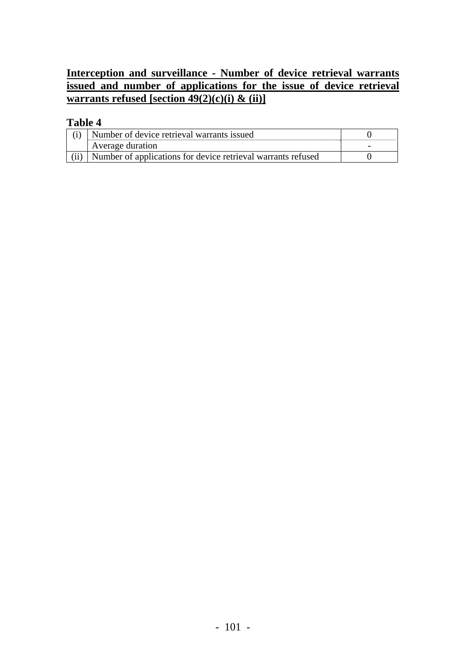# **Interception and surveillance - Number of device retrieval warrants issued and number of applications for the issue of device retrieval warrants refused [section 49(2)(c)(i) & (ii)]**

# **Table 4**

| Number of device retrieval warrants issued                   |  |
|--------------------------------------------------------------|--|
| Average duration                                             |  |
| Number of applications for device retrieval warrants refused |  |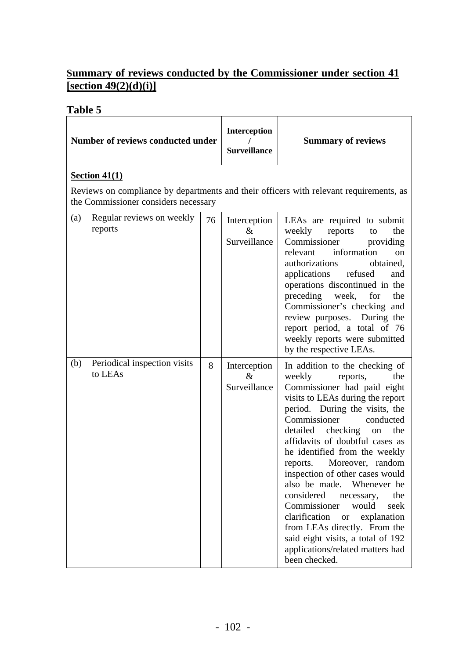## **Summary of reviews conducted by the Commissioner under section 41 [section 49(2)(d)(i)]**

| raviv J |                                         |    |                                      |                                                                                                                                                                                                                                                                                                                                                                                                                                                                                                                                                                                                                                             |  |  |  |
|---------|-----------------------------------------|----|--------------------------------------|---------------------------------------------------------------------------------------------------------------------------------------------------------------------------------------------------------------------------------------------------------------------------------------------------------------------------------------------------------------------------------------------------------------------------------------------------------------------------------------------------------------------------------------------------------------------------------------------------------------------------------------------|--|--|--|
|         | Number of reviews conducted under       |    | Interception<br><b>Surveillance</b>  | <b>Summary of reviews</b>                                                                                                                                                                                                                                                                                                                                                                                                                                                                                                                                                                                                                   |  |  |  |
|         | Section $41(1)$                         |    |                                      |                                                                                                                                                                                                                                                                                                                                                                                                                                                                                                                                                                                                                                             |  |  |  |
|         | the Commissioner considers necessary    |    |                                      | Reviews on compliance by departments and their officers with relevant requirements, as                                                                                                                                                                                                                                                                                                                                                                                                                                                                                                                                                      |  |  |  |
| (a)     | Regular reviews on weekly<br>reports    | 76 | Interception<br>$\&$<br>Surveillance | LEAs are required to submit<br>reports<br>weekly<br>to<br>the<br>Commissioner<br>providing<br>relevant information<br><sub>on</sub><br>authorizations<br>obtained,<br>applications refused<br>and<br>operations discontinued in the<br>preceding<br>week,<br>for<br>the<br>Commissioner's checking and<br>review purposes. During the<br>report period, a total of 76<br>weekly reports were submitted<br>by the respective LEAs.                                                                                                                                                                                                           |  |  |  |
| (b)     | Periodical inspection visits<br>to LEAs | 8  | Interception<br>$\&$<br>Surveillance | In addition to the checking of<br>weekly<br>the<br>reports,<br>Commissioner had paid eight<br>visits to LEAs during the report<br>period. During the visits, the<br>Commissioner<br>conducted<br>detailed checking<br>the<br>on<br>affidavits of doubtful cases as<br>he identified from the weekly<br>reports. Moreover, random<br>inspection of other cases would<br>also be made. Whenever he<br>considered<br>the<br>necessary,<br>Commissioner<br>would<br>seek<br>clarification<br>explanation<br><b>or</b><br>from LEAs directly. From the<br>said eight visits, a total of 192<br>applications/related matters had<br>been checked. |  |  |  |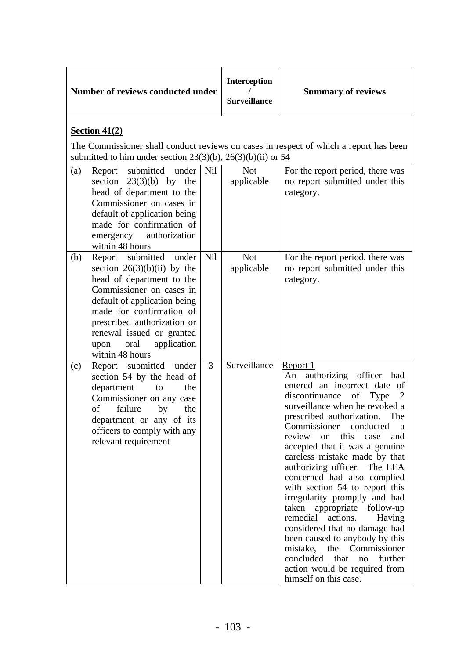| Number of reviews conducted under                          |                                                                                                                                                                                                                                        |            | Interception<br><b>Surveillance</b> | <b>Summary of reviews</b>                                                                                                                                                                                                                                                                                                                                                                                                                                                                                                                                                                                                                                                                                                                 |
|------------------------------------------------------------|----------------------------------------------------------------------------------------------------------------------------------------------------------------------------------------------------------------------------------------|------------|-------------------------------------|-------------------------------------------------------------------------------------------------------------------------------------------------------------------------------------------------------------------------------------------------------------------------------------------------------------------------------------------------------------------------------------------------------------------------------------------------------------------------------------------------------------------------------------------------------------------------------------------------------------------------------------------------------------------------------------------------------------------------------------------|
| Section $41(2)$                                            | submitted to him under section $23(3)(b)$ , $26(3)(b)(ii)$ or 54                                                                                                                                                                       |            |                                     | The Commissioner shall conduct reviews on cases in respect of which a report has been                                                                                                                                                                                                                                                                                                                                                                                                                                                                                                                                                                                                                                                     |
| (a)<br>emergency<br>within 48 hours                        | Report submitted under<br>section $23(3)(b)$ by the<br>head of department to the<br>Commissioner on cases in<br>default of application being<br>made for confirmation of<br>authorization                                              | <b>Nil</b> | <b>Not</b><br>applicable            | For the report period, there was<br>no report submitted under this<br>category.                                                                                                                                                                                                                                                                                                                                                                                                                                                                                                                                                                                                                                                           |
| Report submitted<br>(b)<br>oral<br>upon<br>within 48 hours | under<br>section $26(3)(b)(ii)$ by the<br>head of department to the<br>Commissioner on cases in<br>default of application being<br>made for confirmation of<br>prescribed authorization or<br>renewal issued or granted<br>application | Nil        | <b>Not</b><br>applicable            | For the report period, there was<br>no report submitted under this<br>category.                                                                                                                                                                                                                                                                                                                                                                                                                                                                                                                                                                                                                                                           |
| (c)<br>department<br>failure<br>of<br>relevant requirement | Report submitted under<br>section 54 by the head of<br>the<br>to<br>Commissioner on any case<br>by<br>the<br>department or any of its<br>officers to comply with any                                                                   | 3          | Surveillance                        | Report 1<br>authorizing officer<br>had<br>An<br>entered an incorrect date of<br>discontinuance<br>of Type<br>2<br>surveillance when he revoked a<br>prescribed authorization.<br>The<br>Commissioner<br>conducted<br>a<br>review<br>this<br>on<br>and<br>case<br>accepted that it was a genuine<br>careless mistake made by that<br>authorizing officer. The LEA<br>concerned had also complied<br>with section 54 to report this<br>irregularity promptly and had<br>taken appropriate follow-up<br>remedial<br>actions.<br>Having<br>considered that no damage had<br>been caused to anybody by this<br>mistake,<br>Commissioner<br>the<br>concluded<br>further<br>that<br>no<br>action would be required from<br>himself on this case. |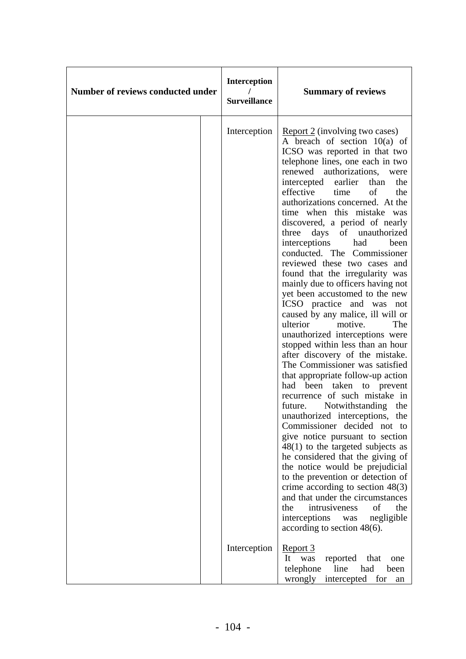| Number of reviews conducted under | <b>Interception</b><br><b>Surveillance</b> | <b>Summary of reviews</b>                                                                                                                                                                                                                                                                                                                                                                                                                                                                                                                                                                                                                                                                                                                                                                                                                                                                                                                                                                                                                                                                                                                                                                                                                                                                                                                                                                                       |
|-----------------------------------|--------------------------------------------|-----------------------------------------------------------------------------------------------------------------------------------------------------------------------------------------------------------------------------------------------------------------------------------------------------------------------------------------------------------------------------------------------------------------------------------------------------------------------------------------------------------------------------------------------------------------------------------------------------------------------------------------------------------------------------------------------------------------------------------------------------------------------------------------------------------------------------------------------------------------------------------------------------------------------------------------------------------------------------------------------------------------------------------------------------------------------------------------------------------------------------------------------------------------------------------------------------------------------------------------------------------------------------------------------------------------------------------------------------------------------------------------------------------------|
|                                   | Interception                               | Report 2 (involving two cases)<br>A breach of section $10(a)$ of<br>ICSO was reported in that two<br>telephone lines, one each in two<br>renewed authorizations, were<br>intercepted earlier<br>the<br>than<br>effective time<br>the<br>of<br>authorizations concerned. At the<br>time when this mistake was<br>discovered, a period of nearly<br>days of unauthorized<br>three<br>interceptions had<br>been<br>conducted. The Commissioner<br>reviewed these two cases and<br>found that the irregularity was<br>mainly due to officers having not<br>yet been accustomed to the new<br>ICSO practice and was not<br>caused by any malice, ill will or<br>ulterior<br>motive.<br>The<br>unauthorized interceptions were<br>stopped within less than an hour<br>after discovery of the mistake.<br>The Commissioner was satisfied<br>that appropriate follow-up action<br>had been taken to prevent<br>recurrence of such mistake in<br>future. Notwithstanding the<br>unauthorized interceptions, the<br>Commissioner decided not to<br>give notice pursuant to section<br>$48(1)$ to the targeted subjects as<br>he considered that the giving of<br>the notice would be prejudicial<br>to the prevention or detection of<br>crime according to section $48(3)$<br>and that under the circumstances<br>the<br>of<br>the<br>intrusiveness<br>interceptions was<br>negligible<br>according to section $48(6)$ . |
|                                   | Interception                               | <u>Report 3</u><br>reported<br>that<br>It<br>was<br>one<br>telephone<br>line<br>had<br>been<br>wrongly<br>intercepted for<br>an                                                                                                                                                                                                                                                                                                                                                                                                                                                                                                                                                                                                                                                                                                                                                                                                                                                                                                                                                                                                                                                                                                                                                                                                                                                                                 |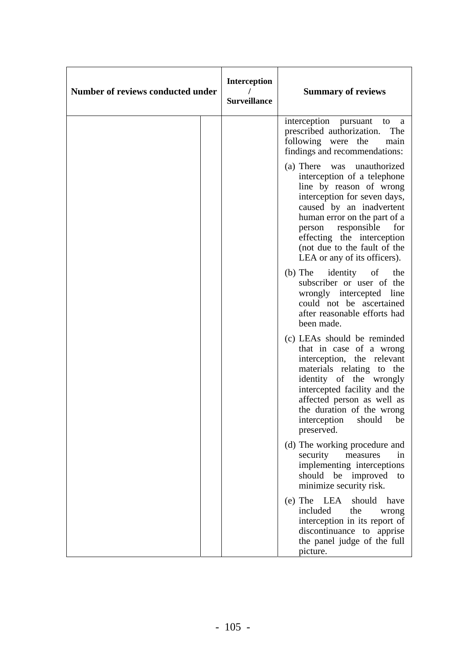| Number of reviews conducted under | <b>Interception</b><br><b>Surveillance</b> | <b>Summary of reviews</b>                                                                                                                                                                                                                                                                                      |
|-----------------------------------|--------------------------------------------|----------------------------------------------------------------------------------------------------------------------------------------------------------------------------------------------------------------------------------------------------------------------------------------------------------------|
|                                   |                                            | interception pursuant<br>to<br>a<br>prescribed authorization.<br>The<br>following were the<br>main<br>findings and recommendations:                                                                                                                                                                            |
|                                   |                                            | (a) There was<br>unauthorized<br>interception of a telephone<br>line by reason of wrong<br>interception for seven days,<br>caused by an inadvertent<br>human error on the part of a<br>person responsible<br>for<br>effecting the interception<br>(not due to the fault of the<br>LEA or any of its officers). |
|                                   |                                            | (b) The identity of<br>the<br>subscriber or user of the<br>wrongly intercepted line<br>could not be ascertained<br>after reasonable efforts had<br>been made.                                                                                                                                                  |
|                                   |                                            | (c) LEAs should be reminded<br>that in case of a wrong<br>interception, the relevant<br>materials relating to the<br>identity of the wrongly<br>intercepted facility and the<br>affected person as well as<br>the duration of the wrong<br>interception<br>should<br>be<br>preserved.                          |
|                                   |                                            | (d) The working procedure and<br>security<br>measures<br>in<br>implementing interceptions<br>should be improved<br>to<br>minimize security risk.                                                                                                                                                               |
|                                   |                                            | $(e)$ The LEA<br>should<br>have<br>included<br>the<br>wrong<br>interception in its report of<br>discontinuance to apprise<br>the panel judge of the full<br>picture.                                                                                                                                           |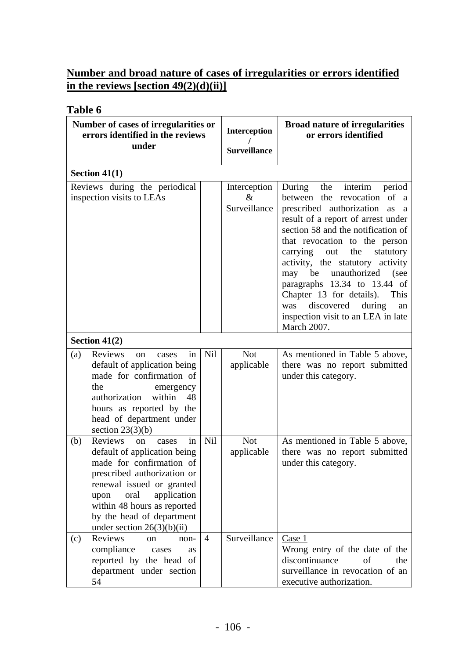## **Number and broad nature of cases of irregularities or errors identified in the reviews [section 49(2)(d)(ii)]**

| Number of cases of irregularities or<br>errors identified in the reviews<br>under                                                                                                                                                                                                                 |            | <b>Interception</b><br><b>Surveillance</b>                                                           | <b>Broad nature of irregularities</b><br>or errors identified                                                                                                                                                                                                                                                                                                                                                                 |
|---------------------------------------------------------------------------------------------------------------------------------------------------------------------------------------------------------------------------------------------------------------------------------------------------|------------|------------------------------------------------------------------------------------------------------|-------------------------------------------------------------------------------------------------------------------------------------------------------------------------------------------------------------------------------------------------------------------------------------------------------------------------------------------------------------------------------------------------------------------------------|
| Section $41(1)$                                                                                                                                                                                                                                                                                   |            |                                                                                                      |                                                                                                                                                                                                                                                                                                                                                                                                                               |
| Reviews during the periodical<br>inspection visits to LEAs                                                                                                                                                                                                                                        |            | Interception<br>During<br>the<br>$\&$<br>Surveillance<br>carrying<br>the<br>out<br>discovered<br>was | interim<br>period<br>between the revocation of a<br>prescribed authorization<br>as a<br>result of a report of arrest under<br>section 58 and the notification of<br>that revocation to the person<br>statutory<br>activity, the statutory<br>activity<br>may be unauthorized<br>(see<br>paragraphs 13.34 to 13.44 of<br>Chapter 13 for details).<br>This<br>during<br>an<br>inspection visit to an LEA in late<br>March 2007. |
| Section $41(2)$                                                                                                                                                                                                                                                                                   |            |                                                                                                      |                                                                                                                                                                                                                                                                                                                                                                                                                               |
| Reviews<br>(a)<br>in<br>cases<br><sub>on</sub><br>default of application being<br>made for confirmation of<br>the<br>emergency<br>within<br>authorization<br>48<br>hours as reported by the<br>head of department under<br>section $23(3)(b)$                                                     | <b>Nil</b> | <b>Not</b><br>applicable                                                                             | As mentioned in Table 5 above,<br>there was no report submitted<br>under this category.                                                                                                                                                                                                                                                                                                                                       |
| Reviews<br>in<br>(b)<br><sub>on</sub><br>cases<br>default of application being<br>made for confirmation of<br>prescribed authorization or<br>renewal issued or granted<br>oral<br>application<br>upon<br>within 48 hours as reported<br>by the head of department<br>under section $26(3)(b)(ii)$ | Nil        | <b>Not</b><br>applicable                                                                             | As mentioned in Table 5 above,<br>there was no report submitted<br>under this category.                                                                                                                                                                                                                                                                                                                                       |
| Reviews<br>(c)<br><sub>on</sub><br>$non-$<br>compliance<br>cases<br><b>as</b><br>reported by the head of<br>department under section<br>54                                                                                                                                                        | 4          | Surveillance                                                                                         | Case 1<br>Wrong entry of the date of the<br>discontinuance<br>of<br>the<br>surveillance in revocation of an<br>executive authorization.                                                                                                                                                                                                                                                                                       |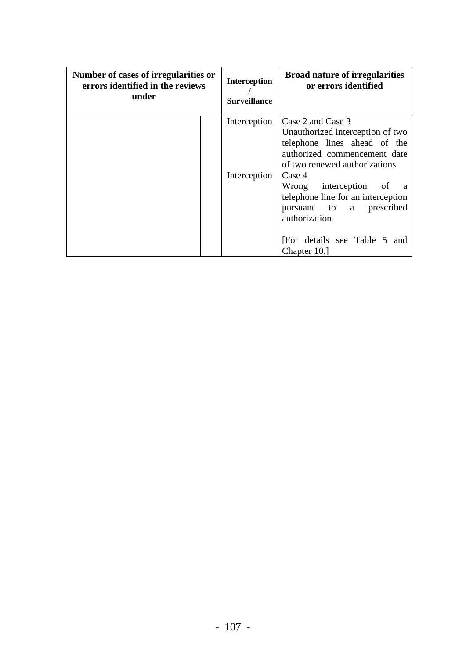| Number of cases of irregularities or<br>errors identified in the reviews<br>under | <b>Interception</b><br><b>Surveillance</b> | <b>Broad nature of irregularities</b><br>or errors identified                                                                                                                                                                                                                                                                   |
|-----------------------------------------------------------------------------------|--------------------------------------------|---------------------------------------------------------------------------------------------------------------------------------------------------------------------------------------------------------------------------------------------------------------------------------------------------------------------------------|
|                                                                                   | Interception<br>Interception               | Case 2 and Case 3<br>Unauthorized interception of two<br>telephone lines ahead of the<br>authorized commencement date<br>of two renewed authorizations.<br>Case 4<br>Wrong interception of a<br>telephone line for an interception<br>pursuant to a prescribed<br>authorization.<br>[For details see Table 5 and<br>Chapter 10. |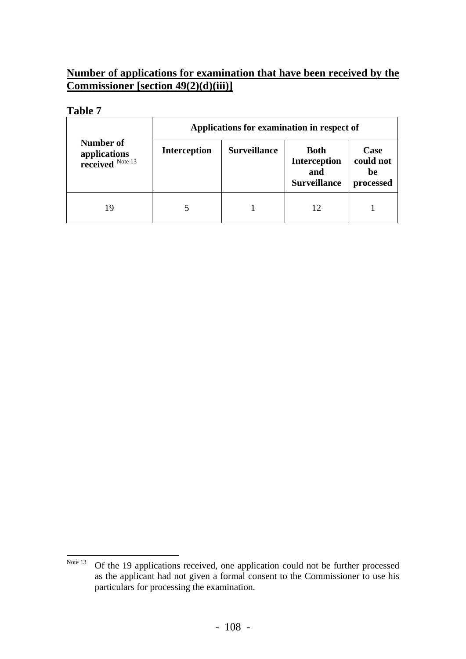## **Number of applications for examination that have been received by the Commissioner [section 49(2)(d)(iii)]**

| <b>Number of</b><br>applications<br>received $\frac{\text{Note 13}}{\text{Note 13}}$ |    | Applications for examination in respect of |                     |                                                                  |                                             |  |  |  |
|--------------------------------------------------------------------------------------|----|--------------------------------------------|---------------------|------------------------------------------------------------------|---------------------------------------------|--|--|--|
|                                                                                      |    | <b>Interception</b>                        | <b>Surveillance</b> | <b>Both</b><br><b>Interception</b><br>and<br><b>Surveillance</b> | <b>Case</b><br>could not<br>be<br>processed |  |  |  |
|                                                                                      | 19 |                                            |                     | 12                                                               |                                             |  |  |  |

<span id="page-114-0"></span>Note 13 Of the 19 applications received, one application could not be further processed as the applicant had not given a formal consent to the Commissioner to use his particulars for processing the examination.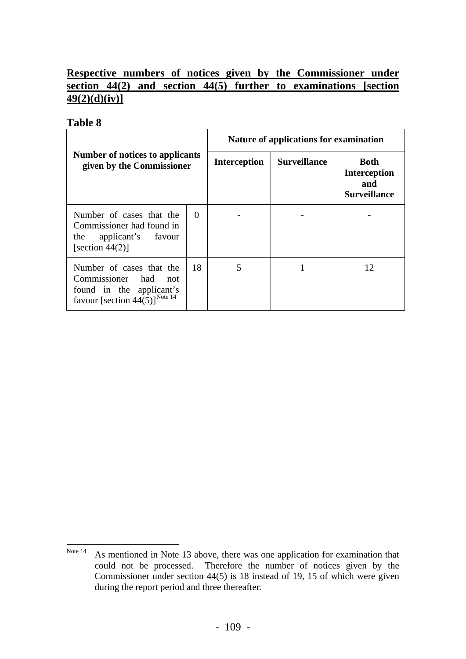## **Respective numbers of notices given by the Commissioner under section 44(2) and section 44(5) further to examinations [section 49(2)(d)(iv)]**

| Number of notices to applicants<br>given by the Commissioner                                                                    |          | Nature of applications for examination |                     |                                                                  |  |
|---------------------------------------------------------------------------------------------------------------------------------|----------|----------------------------------------|---------------------|------------------------------------------------------------------|--|
|                                                                                                                                 |          | <b>Interception</b>                    | <b>Surveillance</b> | <b>Both</b><br><b>Interception</b><br>and<br><b>Surveillance</b> |  |
| Number of cases that the<br>Commissioner had found in<br>applicant's favour<br>the<br>[section $44(2)$ ]                        | $\Omega$ |                                        |                     |                                                                  |  |
| Number of cases that the<br>Commissioner had<br>not<br>found in the applicant's<br>favour [section $44(5)$ ] <sup>Note 14</sup> | 18       | 5                                      |                     | 12                                                               |  |

<span id="page-115-0"></span>Note 14 As mentioned in Note 13 above, there was one application for examination that could not be processed. Therefore the number of notices given by the Commissioner under section 44(5) is 18 instead of 19, 15 of which were given during the report period and three thereafter.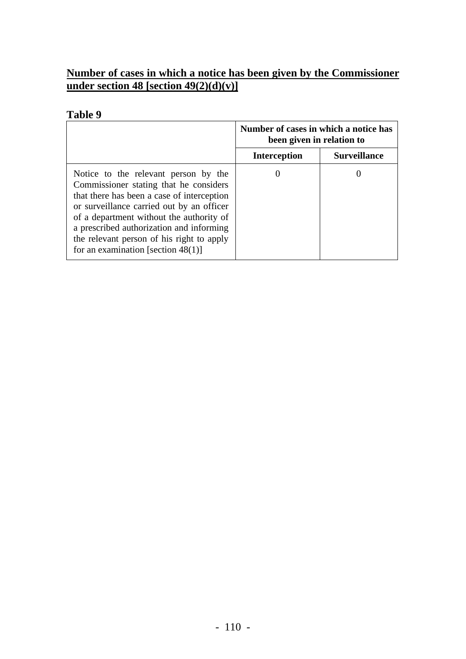## **Number of cases in which a notice has been given by the Commissioner under section 48 [section 49(2)(d)(v)]**

|                                                                                                                                                                                                                                                                                                                                                         | Number of cases in which a notice has<br>been given in relation to |                     |
|---------------------------------------------------------------------------------------------------------------------------------------------------------------------------------------------------------------------------------------------------------------------------------------------------------------------------------------------------------|--------------------------------------------------------------------|---------------------|
|                                                                                                                                                                                                                                                                                                                                                         | <b>Interception</b>                                                | <b>Surveillance</b> |
| Notice to the relevant person by the<br>Commissioner stating that he considers<br>that there has been a case of interception<br>or surveillance carried out by an officer<br>of a department without the authority of<br>a prescribed authorization and informing<br>the relevant person of his right to apply<br>for an examination [section $48(1)$ ] |                                                                    |                     |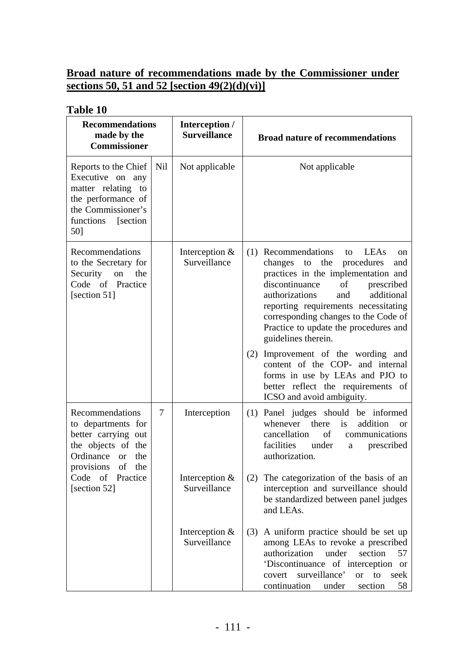## **Broad nature of recommendations made by the Commissioner under sections 50, 51 and 52 [section 49(2)(d)(vi)]**

| made by the<br><b>Commissioner</b>                                                                                                          | Interception /<br><b>Surveillance</b> |                                  | <b>Recommendations</b>                                                                                                                                                                                                                                                                                                                             |  | <b>Broad nature of recommendations</b> |
|---------------------------------------------------------------------------------------------------------------------------------------------|---------------------------------------|----------------------------------|----------------------------------------------------------------------------------------------------------------------------------------------------------------------------------------------------------------------------------------------------------------------------------------------------------------------------------------------------|--|----------------------------------------|
| Reports to the Chief<br>Executive on any<br>matter relating to<br>the performance of<br>the Commissioner's<br>functions<br>[section]<br>50] | Nil                                   | Not applicable                   | Not applicable                                                                                                                                                                                                                                                                                                                                     |  |                                        |
| Recommendations<br>to the Secretary for<br>Security on<br>the<br>Code of Practice<br>[section 51]                                           |                                       | Interception $&$<br>Surveillance | (1) Recommendations<br>to LEAs<br>on<br>the<br>changes to<br>procedures<br>and<br>practices in the implementation and<br>discontinuance<br>of<br>prescribed<br>authorizations<br>additional<br>and<br>reporting requirements necessitating<br>corresponding changes to the Code of<br>Practice to update the procedures and<br>guidelines therein. |  |                                        |
|                                                                                                                                             |                                       |                                  | Improvement of the wording and<br>(2)<br>content of the COP- and internal<br>forms in use by LEAs and PJO to<br>better reflect the requirements of<br>ICSO and avoid ambiguity.                                                                                                                                                                    |  |                                        |
| Recommendations<br>to departments for<br>better carrying out<br>the objects of the<br>Ordinance or<br>the<br>provisions of the              | 7                                     | Interception                     | (1) Panel judges should be informed<br>whenever there is<br>addition<br><sub>or</sub><br>cancellation<br>of<br>communications<br>facilities<br>under<br>prescribed<br>a<br>authorization.                                                                                                                                                          |  |                                        |
| Code of<br>Practice<br>[section 52]                                                                                                         |                                       | Interception &<br>Surveillance   | (2) The categorization of the basis of an<br>interception and surveillance should<br>be standardized between panel judges<br>and LEAs.                                                                                                                                                                                                             |  |                                        |
|                                                                                                                                             |                                       | Interception $&$<br>Surveillance | A uniform practice should be set up<br>(3)<br>among LEAs to revoke a prescribed<br>authorization<br>under<br>section<br>57<br>'Discontinuance of interception or<br>covert surveillance'<br><b>or</b><br>to<br>seek<br>continuation<br>section<br>58<br>under                                                                                      |  |                                        |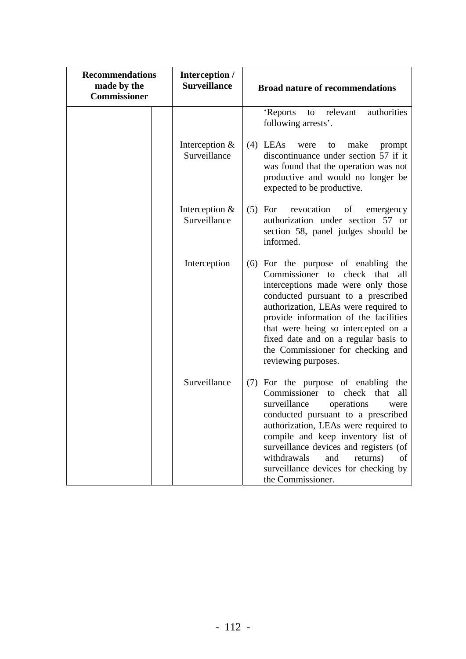| <b>Recommendations</b><br>made by the<br><b>Commissioner</b> | Interception /<br><b>Surveillance</b> | <b>Broad nature of recommendations</b>                                                                                                                                                                                                                                                                                                                                                     |
|--------------------------------------------------------------|---------------------------------------|--------------------------------------------------------------------------------------------------------------------------------------------------------------------------------------------------------------------------------------------------------------------------------------------------------------------------------------------------------------------------------------------|
|                                                              |                                       | authorities<br>'Reports<br>relevant<br>to<br>following arrests'.                                                                                                                                                                                                                                                                                                                           |
|                                                              | Interception &<br>Surveillance        | $(4)$ LEAs<br>make<br>were<br>to<br>prompt<br>discontinuance under section 57 if it<br>was found that the operation was not<br>productive and would no longer be<br>expected to be productive.                                                                                                                                                                                             |
|                                                              | Interception &<br>Surveillance        | $(5)$ For<br>revocation<br>of<br>emergency<br>authorization under section 57 or<br>section 58, panel judges should be<br>informed.                                                                                                                                                                                                                                                         |
|                                                              | Interception                          | (6) For the purpose of enabling the<br>Commissioner to check that<br>all<br>interceptions made were only those<br>conducted pursuant to a prescribed<br>authorization, LEAs were required to<br>provide information of the facilities<br>that were being so intercepted on a<br>fixed date and on a regular basis to<br>the Commissioner for checking and<br>reviewing purposes.           |
|                                                              | Surveillance                          | (7) For the purpose of enabling the<br>Commissioner<br>that<br>check<br>to<br>all<br>surveillance<br>operations<br>were<br>conducted pursuant to a prescribed<br>authorization, LEAs were required to<br>compile and keep inventory list of<br>surveillance devices and registers (of<br>withdrawals<br>and<br>returns)<br>of<br>surveillance devices for checking by<br>the Commissioner. |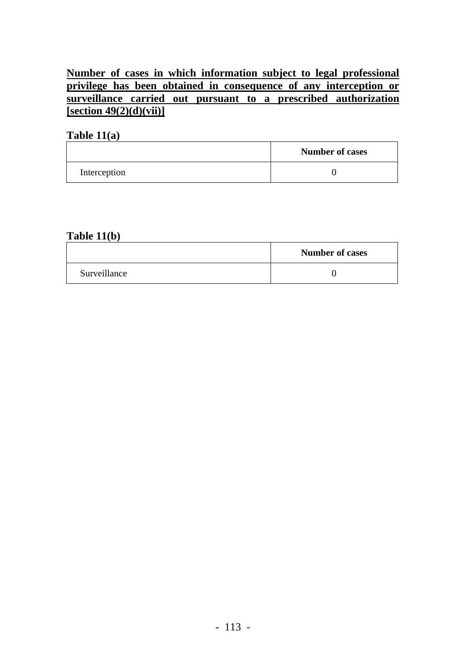## **Number of cases in which information subject to legal professional privilege has been obtained in consequence of any interception or surveillance carried out pursuant to a prescribed authorization [section 49(2)(d)(vii)]**

#### **Table 11(a)**

|              | <b>Number of cases</b> |
|--------------|------------------------|
| Interception |                        |

### **Table 11(b)**

|              | <b>Number of cases</b> |
|--------------|------------------------|
| Surveillance |                        |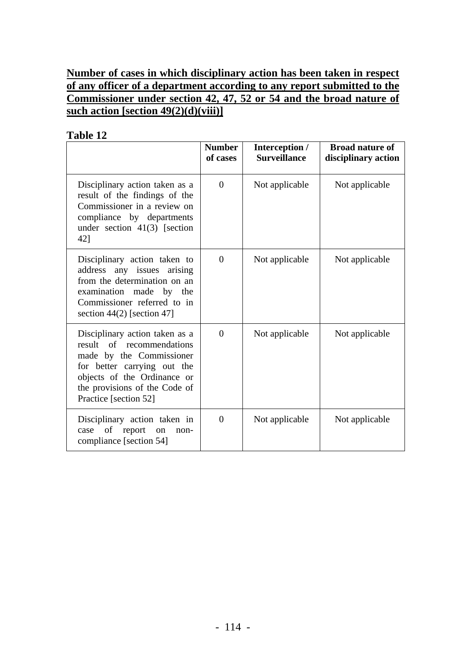## **Number of cases in which disciplinary action has been taken in respect of any officer of a department according to any report submitted to the Commissioner under section 42, 47, 52 or 54 and the broad nature of such action [section 49(2)(d)(viii)]**

|                                                                                                                                                                                                                 | <b>Number</b><br>of cases | Interception /<br><b>Surveillance</b> | <b>Broad nature of</b><br>disciplinary action |
|-----------------------------------------------------------------------------------------------------------------------------------------------------------------------------------------------------------------|---------------------------|---------------------------------------|-----------------------------------------------|
| Disciplinary action taken as a<br>result of the findings of the<br>Commissioner in a review on<br>compliance by departments<br>under section $41(3)$ [section<br>421                                            | $\overline{0}$            | Not applicable                        | Not applicable                                |
| Disciplinary action taken to<br>address any issues arising<br>from the determination on an<br>examination made by the<br>Commissioner referred to in<br>section $44(2)$ [section 47]                            | $\overline{0}$            | Not applicable                        | Not applicable                                |
| Disciplinary action taken as a<br>result of recommendations<br>made by the Commissioner<br>for better carrying out the<br>objects of the Ordinance or<br>the provisions of the Code of<br>Practice [section 52] | $\theta$                  | Not applicable                        | Not applicable                                |
| Disciplinary action taken in<br>case of<br>report<br>on<br>non-<br>compliance [section 54]                                                                                                                      | $\overline{0}$            | Not applicable                        | Not applicable                                |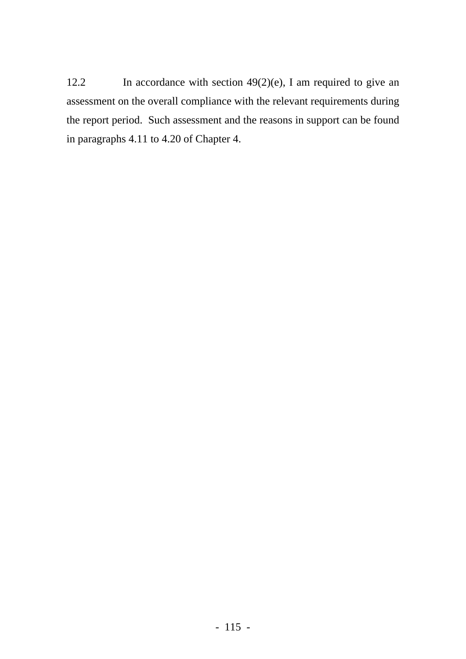12.2 In accordance with section 49(2)(e), I am required to give an assessment on the overall compliance with the relevant requirements during the report period. Such assessment and the reasons in support can be found in paragraphs 4.11 to 4.20 of Chapter 4.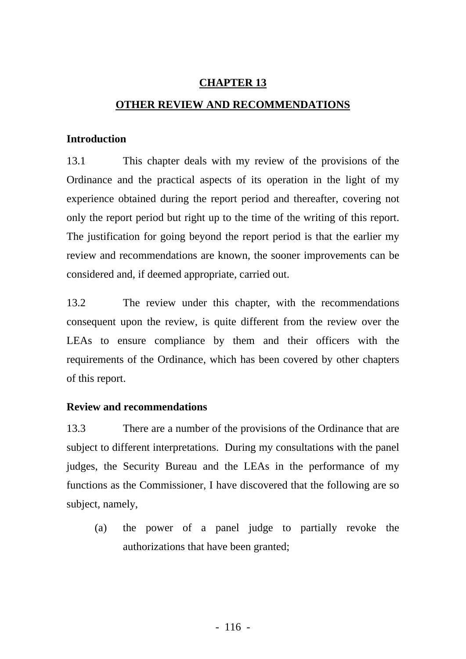### **CHAPTER 13**

### **OTHER REVIEW AND RECOMMENDATIONS**

#### **Introduction**

13.1 This chapter deals with my review of the provisions of the Ordinance and the practical aspects of its operation in the light of my experience obtained during the report period and thereafter, covering not only the report period but right up to the time of the writing of this report. The justification for going beyond the report period is that the earlier my review and recommendations are known, the sooner improvements can be considered and, if deemed appropriate, carried out.

13.2 The review under this chapter, with the recommendations consequent upon the review, is quite different from the review over the LEAs to ensure compliance by them and their officers with the requirements of the Ordinance, which has been covered by other chapters of this report.

### **Review and recommendations**

13.3 There are a number of the provisions of the Ordinance that are subject to different interpretations. During my consultations with the panel judges, the Security Bureau and the LEAs in the performance of my functions as the Commissioner, I have discovered that the following are so subject, namely,

(a) the power of a panel judge to partially revoke the authorizations that have been granted;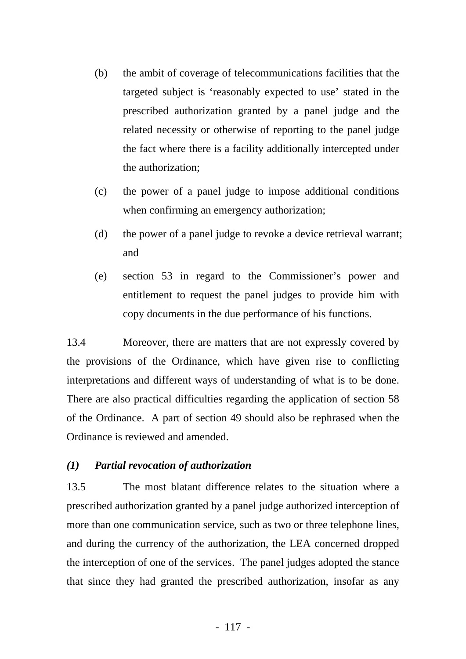- (b) the ambit of coverage of telecommunications facilities that the targeted subject is 'reasonably expected to use' stated in the prescribed authorization granted by a panel judge and the related necessity or otherwise of reporting to the panel judge the fact where there is a facility additionally intercepted under the authorization;
- (c) the power of a panel judge to impose additional conditions when confirming an emergency authorization;
- (d) the power of a panel judge to revoke a device retrieval warrant; and
- (e) section 53 in regard to the Commissioner's power and entitlement to request the panel judges to provide him with copy documents in the due performance of his functions.

13.4 Moreover, there are matters that are not expressly covered by the provisions of the Ordinance, which have given rise to conflicting interpretations and different ways of understanding of what is to be done. There are also practical difficulties regarding the application of section 58 of the Ordinance. A part of section 49 should also be rephrased when the Ordinance is reviewed and amended.

### *(1) Partial revocation of authorization*

13.5 The most blatant difference relates to the situation where a prescribed authorization granted by a panel judge authorized interception of more than one communication service, such as two or three telephone lines, and during the currency of the authorization, the LEA concerned dropped the interception of one of the services. The panel judges adopted the stance that since they had granted the prescribed authorization, insofar as any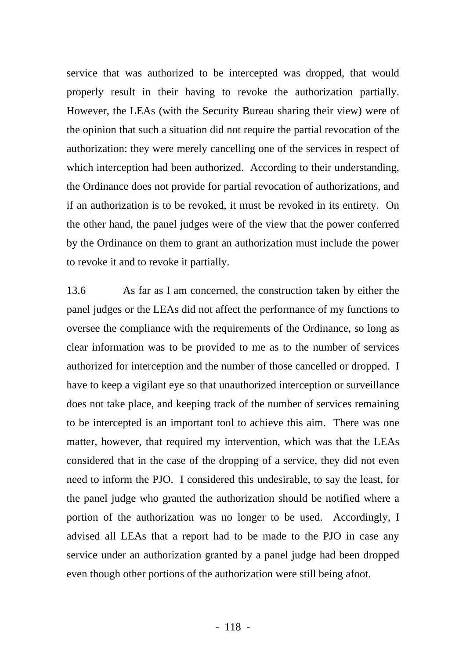service that was authorized to be intercepted was dropped, that would properly result in their having to revoke the authorization partially. However, the LEAs (with the Security Bureau sharing their view) were of the opinion that such a situation did not require the partial revocation of the authorization: they were merely cancelling one of the services in respect of which interception had been authorized. According to their understanding, the Ordinance does not provide for partial revocation of authorizations, and if an authorization is to be revoked, it must be revoked in its entirety. On the other hand, the panel judges were of the view that the power conferred by the Ordinance on them to grant an authorization must include the power to revoke it and to revoke it partially.

13.6 As far as I am concerned, the construction taken by either the panel judges or the LEAs did not affect the performance of my functions to oversee the compliance with the requirements of the Ordinance, so long as clear information was to be provided to me as to the number of services authorized for interception and the number of those cancelled or dropped. I have to keep a vigilant eye so that unauthorized interception or surveillance does not take place, and keeping track of the number of services remaining to be intercepted is an important tool to achieve this aim. There was one matter, however, that required my intervention, which was that the LEAs considered that in the case of the dropping of a service, they did not even need to inform the PJO. I considered this undesirable, to say the least, for the panel judge who granted the authorization should be notified where a portion of the authorization was no longer to be used. Accordingly, I advised all LEAs that a report had to be made to the PJO in case any service under an authorization granted by a panel judge had been dropped even though other portions of the authorization were still being afoot.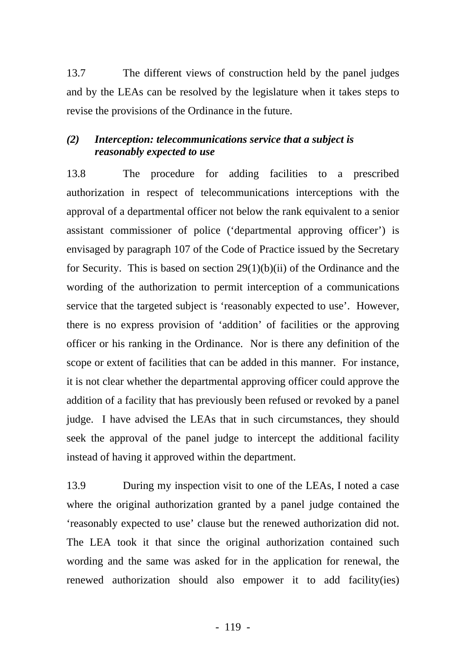13.7 The different views of construction held by the panel judges and by the LEAs can be resolved by the legislature when it takes steps to revise the provisions of the Ordinance in the future.

### *(2) Interception: telecommunications service that a subject is reasonably expected to use*

13.8 The procedure for adding facilities to a prescribed authorization in respect of telecommunications interceptions with the approval of a departmental officer not below the rank equivalent to a senior assistant commissioner of police ('departmental approving officer') is envisaged by paragraph 107 of the Code of Practice issued by the Secretary for Security. This is based on section  $29(1)(b)(ii)$  of the Ordinance and the wording of the authorization to permit interception of a communications service that the targeted subject is 'reasonably expected to use'. However, there is no express provision of 'addition' of facilities or the approving officer or his ranking in the Ordinance. Nor is there any definition of the scope or extent of facilities that can be added in this manner. For instance, it is not clear whether the departmental approving officer could approve the addition of a facility that has previously been refused or revoked by a panel judge. I have advised the LEAs that in such circumstances, they should seek the approval of the panel judge to intercept the additional facility instead of having it approved within the department.

13.9 During my inspection visit to one of the LEAs, I noted a case where the original authorization granted by a panel judge contained the 'reasonably expected to use' clause but the renewed authorization did not. The LEA took it that since the original authorization contained such wording and the same was asked for in the application for renewal, the renewed authorization should also empower it to add facility(ies)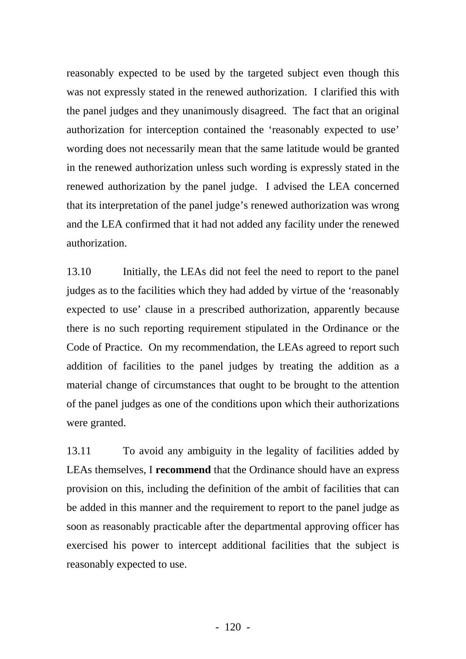reasonably expected to be used by the targeted subject even though this was not expressly stated in the renewed authorization. I clarified this with the panel judges and they unanimously disagreed. The fact that an original authorization for interception contained the 'reasonably expected to use' wording does not necessarily mean that the same latitude would be granted in the renewed authorization unless such wording is expressly stated in the renewed authorization by the panel judge. I advised the LEA concerned that its interpretation of the panel judge's renewed authorization was wrong and the LEA confirmed that it had not added any facility under the renewed authorization.

13.10 Initially, the LEAs did not feel the need to report to the panel judges as to the facilities which they had added by virtue of the 'reasonably expected to use' clause in a prescribed authorization, apparently because there is no such reporting requirement stipulated in the Ordinance or the Code of Practice. On my recommendation, the LEAs agreed to report such addition of facilities to the panel judges by treating the addition as a material change of circumstances that ought to be brought to the attention of the panel judges as one of the conditions upon which their authorizations were granted.

13.11 To avoid any ambiguity in the legality of facilities added by LEAs themselves, I **recommend** that the Ordinance should have an express provision on this, including the definition of the ambit of facilities that can be added in this manner and the requirement to report to the panel judge as soon as reasonably practicable after the departmental approving officer has exercised his power to intercept additional facilities that the subject is reasonably expected to use.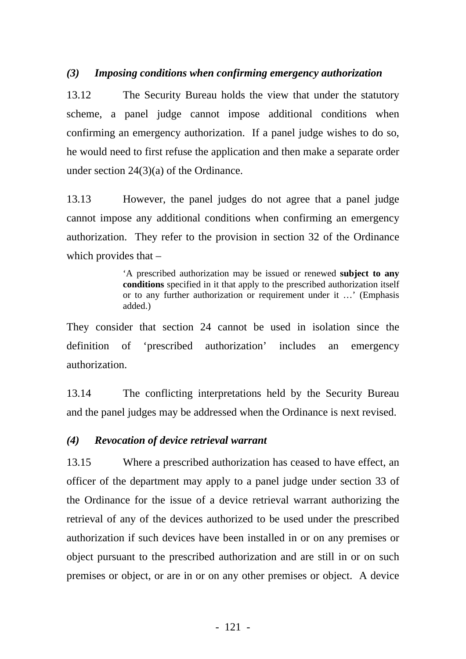#### *(3) Imposing conditions when confirming emergency authorization*

13.12 The Security Bureau holds the view that under the statutory scheme, a panel judge cannot impose additional conditions when confirming an emergency authorization. If a panel judge wishes to do so, he would need to first refuse the application and then make a separate order under section 24(3)(a) of the Ordinance.

13.13 However, the panel judges do not agree that a panel judge cannot impose any additional conditions when confirming an emergency authorization. They refer to the provision in section 32 of the Ordinance which provides that –

> 'A prescribed authorization may be issued or renewed **subject to any conditions** specified in it that apply to the prescribed authorization itself or to any further authorization or requirement under it …' (Emphasis added.)

They consider that section 24 cannot be used in isolation since the definition of 'prescribed authorization' includes an emergency authorization.

13.14 The conflicting interpretations held by the Security Bureau and the panel judges may be addressed when the Ordinance is next revised.

#### *(4) Revocation of device retrieval warrant*

13.15 Where a prescribed authorization has ceased to have effect, an officer of the department may apply to a panel judge under section 33 of the Ordinance for the issue of a device retrieval warrant authorizing the retrieval of any of the devices authorized to be used under the prescribed authorization if such devices have been installed in or on any premises or object pursuant to the prescribed authorization and are still in or on such premises or object, or are in or on any other premises or object. A device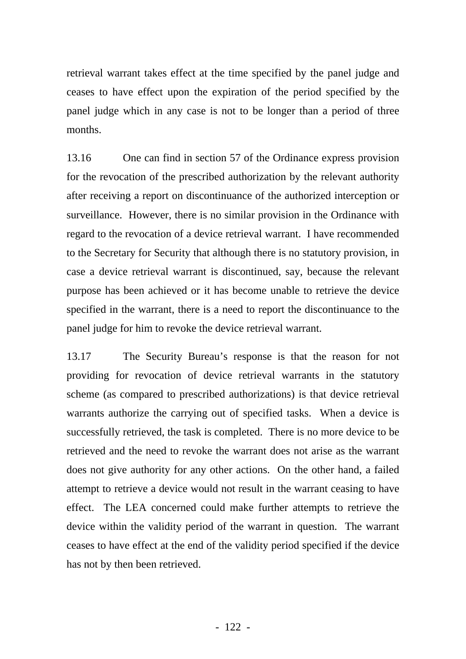retrieval warrant takes effect at the time specified by the panel judge and ceases to have effect upon the expiration of the period specified by the panel judge which in any case is not to be longer than a period of three months.

13.16 One can find in section 57 of the Ordinance express provision for the revocation of the prescribed authorization by the relevant authority after receiving a report on discontinuance of the authorized interception or surveillance. However, there is no similar provision in the Ordinance with regard to the revocation of a device retrieval warrant. I have recommended to the Secretary for Security that although there is no statutory provision, in case a device retrieval warrant is discontinued, say, because the relevant purpose has been achieved or it has become unable to retrieve the device specified in the warrant, there is a need to report the discontinuance to the panel judge for him to revoke the device retrieval warrant.

13.17 The Security Bureau's response is that the reason for not providing for revocation of device retrieval warrants in the statutory scheme (as compared to prescribed authorizations) is that device retrieval warrants authorize the carrying out of specified tasks. When a device is successfully retrieved, the task is completed. There is no more device to be retrieved and the need to revoke the warrant does not arise as the warrant does not give authority for any other actions. On the other hand, a failed attempt to retrieve a device would not result in the warrant ceasing to have effect. The LEA concerned could make further attempts to retrieve the device within the validity period of the warrant in question. The warrant ceases to have effect at the end of the validity period specified if the device has not by then been retrieved.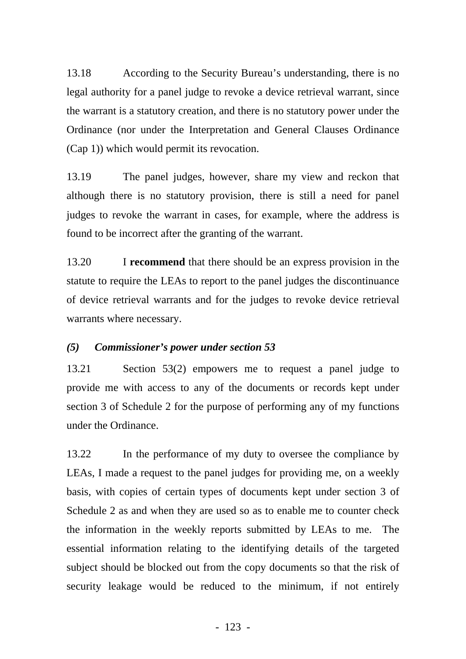13.18 According to the Security Bureau's understanding, there is no legal authority for a panel judge to revoke a device retrieval warrant, since the warrant is a statutory creation, and there is no statutory power under the Ordinance (nor under the Interpretation and General Clauses Ordinance (Cap 1)) which would permit its revocation.

13.19 The panel judges, however, share my view and reckon that although there is no statutory provision, there is still a need for panel judges to revoke the warrant in cases, for example, where the address is found to be incorrect after the granting of the warrant.

13.20 I **recommend** that there should be an express provision in the statute to require the LEAs to report to the panel judges the discontinuance of device retrieval warrants and for the judges to revoke device retrieval warrants where necessary.

### *(5) Commissioner's power under section 53*

13.21 Section 53(2) empowers me to request a panel judge to provide me with access to any of the documents or records kept under section 3 of Schedule 2 for the purpose of performing any of my functions under the Ordinance.

13.22 In the performance of my duty to oversee the compliance by LEAs, I made a request to the panel judges for providing me, on a weekly basis, with copies of certain types of documents kept under section 3 of Schedule 2 as and when they are used so as to enable me to counter check the information in the weekly reports submitted by LEAs to me. The essential information relating to the identifying details of the targeted subject should be blocked out from the copy documents so that the risk of security leakage would be reduced to the minimum, if not entirely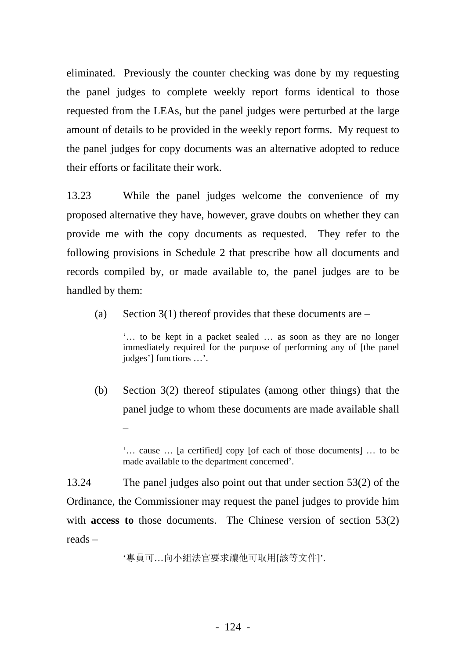eliminated. Previously the counter checking was done by my requesting the panel judges to complete weekly report forms identical to those requested from the LEAs, but the panel judges were perturbed at the large amount of details to be provided in the weekly report forms. My request to the panel judges for copy documents was an alternative adopted to reduce their efforts or facilitate their work.

13.23 While the panel judges welcome the convenience of my proposed alternative they have, however, grave doubts on whether they can provide me with the copy documents as requested. They refer to the following provisions in Schedule 2 that prescribe how all documents and records compiled by, or made available to, the panel judges are to be handled by them:

(a) Section 3(1) thereof provides that these documents are  $-$ 

'… to be kept in a packet sealed … as soon as they are no longer immediately required for the purpose of performing any of [the panel judges'] functions …'.

(b) Section 3(2) thereof stipulates (among other things) that the panel judge to whom these documents are made available shall –

'… cause … [a certified] copy [of each of those documents] … to be made available to the department concerned'.

13.24 The panel judges also point out that under section 53(2) of the Ordinance, the Commissioner may request the panel judges to provide him with **access to** those documents. The Chinese version of section 53(2) reads –

'專員可…向小組法官要求讓他可取用[該等文件]'.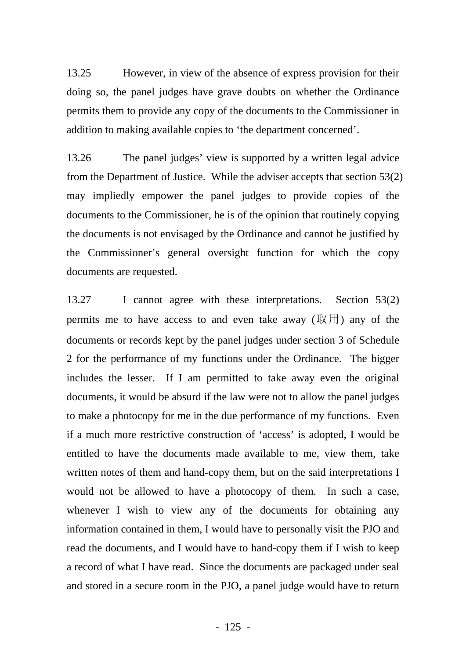13.25 However, in view of the absence of express provision for their doing so, the panel judges have grave doubts on whether the Ordinance permits them to provide any copy of the documents to the Commissioner in addition to making available copies to 'the department concerned'.

13.26 The panel judges' view is supported by a written legal advice from the Department of Justice. While the adviser accepts that section 53(2) may impliedly empower the panel judges to provide copies of the documents to the Commissioner, he is of the opinion that routinely copying the documents is not envisaged by the Ordinance and cannot be justified by the Commissioner's general oversight function for which the copy documents are requested.

13.27 I cannot agree with these interpretations. Section 53(2) permits me to have access to and even take away  $(\mathbb{R})$  any of the documents or records kept by the panel judges under section 3 of Schedule 2 for the performance of my functions under the Ordinance. The bigger includes the lesser. If I am permitted to take away even the original documents, it would be absurd if the law were not to allow the panel judges to make a photocopy for me in the due performance of my functions. Even if a much more restrictive construction of 'access' is adopted, I would be entitled to have the documents made available to me, view them, take written notes of them and hand-copy them, but on the said interpretations I would not be allowed to have a photocopy of them. In such a case, whenever I wish to view any of the documents for obtaining any information contained in them, I would have to personally visit the PJO and read the documents, and I would have to hand-copy them if I wish to keep a record of what I have read. Since the documents are packaged under seal and stored in a secure room in the PJO, a panel judge would have to return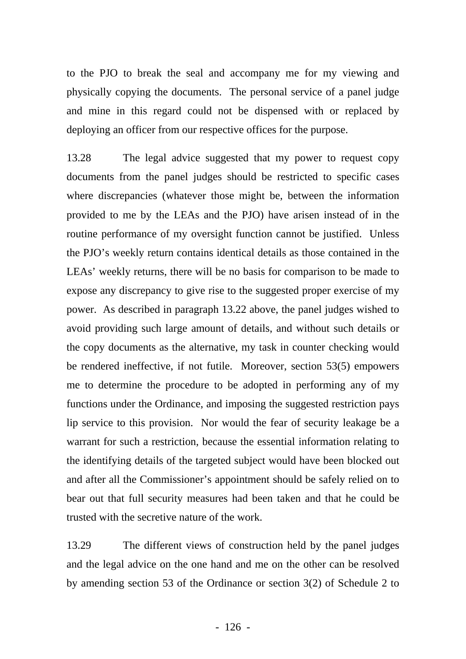to the PJO to break the seal and accompany me for my viewing and physically copying the documents. The personal service of a panel judge and mine in this regard could not be dispensed with or replaced by deploying an officer from our respective offices for the purpose.

13.28 The legal advice suggested that my power to request copy documents from the panel judges should be restricted to specific cases where discrepancies (whatever those might be, between the information provided to me by the LEAs and the PJO) have arisen instead of in the routine performance of my oversight function cannot be justified. Unless the PJO's weekly return contains identical details as those contained in the LEAs' weekly returns, there will be no basis for comparison to be made to expose any discrepancy to give rise to the suggested proper exercise of my power. As described in paragraph 13.22 above, the panel judges wished to avoid providing such large amount of details, and without such details or the copy documents as the alternative, my task in counter checking would be rendered ineffective, if not futile. Moreover, section 53(5) empowers me to determine the procedure to be adopted in performing any of my functions under the Ordinance, and imposing the suggested restriction pays lip service to this provision. Nor would the fear of security leakage be a warrant for such a restriction, because the essential information relating to the identifying details of the targeted subject would have been blocked out and after all the Commissioner's appointment should be safely relied on to bear out that full security measures had been taken and that he could be trusted with the secretive nature of the work.

13.29 The different views of construction held by the panel judges and the legal advice on the one hand and me on the other can be resolved by amending section 53 of the Ordinance or section 3(2) of Schedule 2 to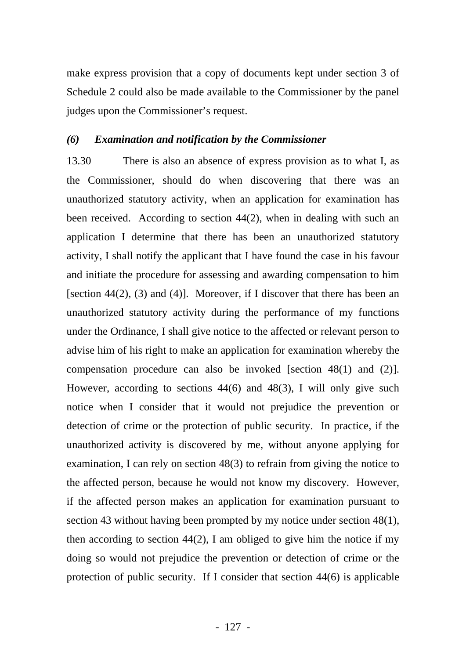make express provision that a copy of documents kept under section 3 of Schedule 2 could also be made available to the Commissioner by the panel judges upon the Commissioner's request.

#### *(6) Examination and notification by the Commissioner*

13.30 There is also an absence of express provision as to what I, as the Commissioner, should do when discovering that there was an unauthorized statutory activity, when an application for examination has been received. According to section 44(2), when in dealing with such an application I determine that there has been an unauthorized statutory activity, I shall notify the applicant that I have found the case in his favour and initiate the procedure for assessing and awarding compensation to him [section 44(2), (3) and (4)]. Moreover, if I discover that there has been an unauthorized statutory activity during the performance of my functions under the Ordinance, I shall give notice to the affected or relevant person to advise him of his right to make an application for examination whereby the compensation procedure can also be invoked [section 48(1) and (2)]. However, according to sections 44(6) and 48(3), I will only give such notice when I consider that it would not prejudice the prevention or detection of crime or the protection of public security. In practice, if the unauthorized activity is discovered by me, without anyone applying for examination, I can rely on section 48(3) to refrain from giving the notice to the affected person, because he would not know my discovery. However, if the affected person makes an application for examination pursuant to section 43 without having been prompted by my notice under section 48(1), then according to section 44(2), I am obliged to give him the notice if my doing so would not prejudice the prevention or detection of crime or the protection of public security. If I consider that section 44(6) is applicable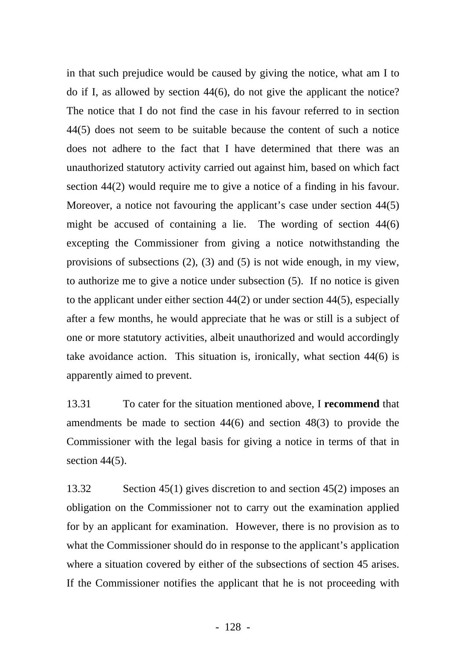in that such prejudice would be caused by giving the notice, what am I to do if I, as allowed by section 44(6), do not give the applicant the notice? The notice that I do not find the case in his favour referred to in section 44(5) does not seem to be suitable because the content of such a notice does not adhere to the fact that I have determined that there was an unauthorized statutory activity carried out against him, based on which fact section 44(2) would require me to give a notice of a finding in his favour. Moreover, a notice not favouring the applicant's case under section 44(5) might be accused of containing a lie. The wording of section 44(6) excepting the Commissioner from giving a notice notwithstanding the provisions of subsections (2), (3) and (5) is not wide enough, in my view, to authorize me to give a notice under subsection (5). If no notice is given to the applicant under either section 44(2) or under section 44(5), especially after a few months, he would appreciate that he was or still is a subject of one or more statutory activities, albeit unauthorized and would accordingly take avoidance action. This situation is, ironically, what section 44(6) is apparently aimed to prevent.

13.31 To cater for the situation mentioned above, I **recommend** that amendments be made to section 44(6) and section 48(3) to provide the Commissioner with the legal basis for giving a notice in terms of that in section  $44(5)$ .

13.32 Section 45(1) gives discretion to and section 45(2) imposes an obligation on the Commissioner not to carry out the examination applied for by an applicant for examination. However, there is no provision as to what the Commissioner should do in response to the applicant's application where a situation covered by either of the subsections of section 45 arises. If the Commissioner notifies the applicant that he is not proceeding with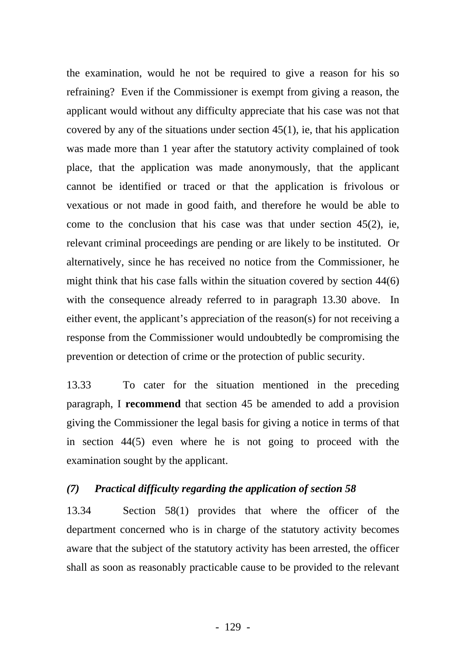the examination, would he not be required to give a reason for his so refraining? Even if the Commissioner is exempt from giving a reason, the applicant would without any difficulty appreciate that his case was not that covered by any of the situations under section 45(1), ie, that his application was made more than 1 year after the statutory activity complained of took place, that the application was made anonymously, that the applicant cannot be identified or traced or that the application is frivolous or vexatious or not made in good faith, and therefore he would be able to come to the conclusion that his case was that under section 45(2), ie, relevant criminal proceedings are pending or are likely to be instituted. Or alternatively, since he has received no notice from the Commissioner, he might think that his case falls within the situation covered by section 44(6) with the consequence already referred to in paragraph 13.30 above. In either event, the applicant's appreciation of the reason(s) for not receiving a response from the Commissioner would undoubtedly be compromising the prevention or detection of crime or the protection of public security.

13.33 To cater for the situation mentioned in the preceding paragraph, I **recommend** that section 45 be amended to add a provision giving the Commissioner the legal basis for giving a notice in terms of that in section 44(5) even where he is not going to proceed with the examination sought by the applicant.

#### *(7) Practical difficulty regarding the application of section 58*

13.34 Section 58(1) provides that where the officer of the department concerned who is in charge of the statutory activity becomes aware that the subject of the statutory activity has been arrested, the officer shall as soon as reasonably practicable cause to be provided to the relevant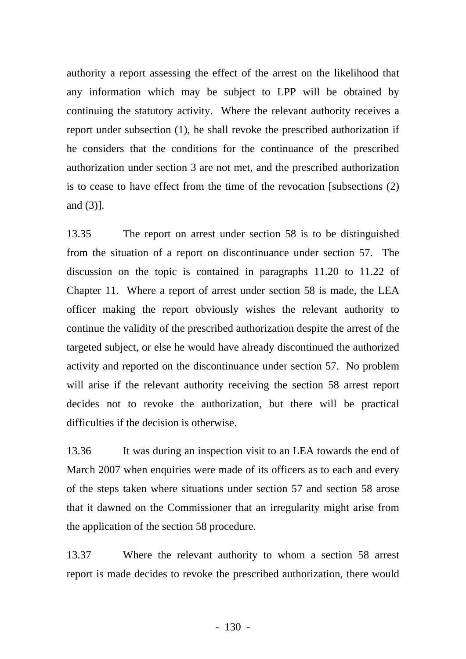authority a report assessing the effect of the arrest on the likelihood that any information which may be subject to LPP will be obtained by continuing the statutory activity. Where the relevant authority receives a report under subsection (1), he shall revoke the prescribed authorization if he considers that the conditions for the continuance of the prescribed authorization under section 3 are not met, and the prescribed authorization is to cease to have effect from the time of the revocation [subsections (2) and (3)].

13.35 The report on arrest under section 58 is to be distinguished from the situation of a report on discontinuance under section 57. The discussion on the topic is contained in paragraphs 11.20 to 11.22 of Chapter 11. Where a report of arrest under section 58 is made, the LEA officer making the report obviously wishes the relevant authority to continue the validity of the prescribed authorization despite the arrest of the targeted subject, or else he would have already discontinued the authorized activity and reported on the discontinuance under section 57. No problem will arise if the relevant authority receiving the section 58 arrest report decides not to revoke the authorization, but there will be practical difficulties if the decision is otherwise.

13.36 It was during an inspection visit to an LEA towards the end of March 2007 when enquiries were made of its officers as to each and every of the steps taken where situations under section 57 and section 58 arose that it dawned on the Commissioner that an irregularity might arise from the application of the section 58 procedure.

13.37 Where the relevant authority to whom a section 58 arrest report is made decides to revoke the prescribed authorization, there would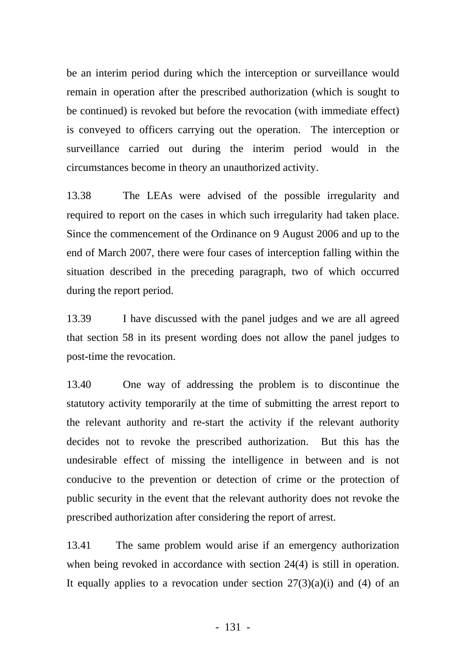be an interim period during which the interception or surveillance would remain in operation after the prescribed authorization (which is sought to be continued) is revoked but before the revocation (with immediate effect) is conveyed to officers carrying out the operation. The interception or surveillance carried out during the interim period would in the circumstances become in theory an unauthorized activity.

13.38 The LEAs were advised of the possible irregularity and required to report on the cases in which such irregularity had taken place. Since the commencement of the Ordinance on 9 August 2006 and up to the end of March 2007, there were four cases of interception falling within the situation described in the preceding paragraph, two of which occurred during the report period.

13.39 I have discussed with the panel judges and we are all agreed that section 58 in its present wording does not allow the panel judges to post-time the revocation.

13.40 One way of addressing the problem is to discontinue the statutory activity temporarily at the time of submitting the arrest report to the relevant authority and re-start the activity if the relevant authority decides not to revoke the prescribed authorization. But this has the undesirable effect of missing the intelligence in between and is not conducive to the prevention or detection of crime or the protection of public security in the event that the relevant authority does not revoke the prescribed authorization after considering the report of arrest.

13.41 The same problem would arise if an emergency authorization when being revoked in accordance with section 24(4) is still in operation. It equally applies to a revocation under section  $27(3)(a)(i)$  and (4) of an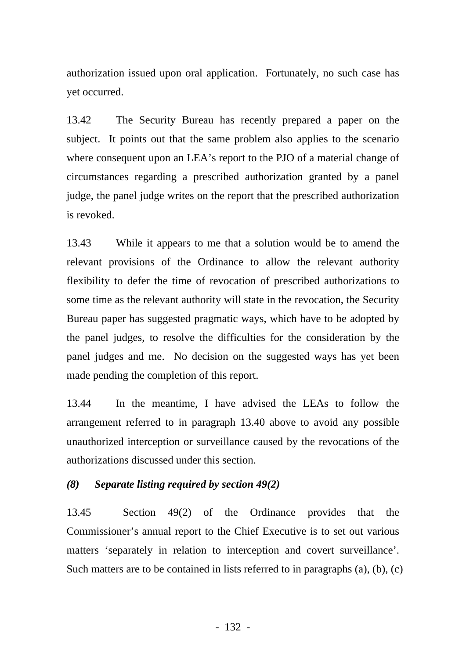authorization issued upon oral application. Fortunately, no such case has yet occurred.

13.42 The Security Bureau has recently prepared a paper on the subject. It points out that the same problem also applies to the scenario where consequent upon an LEA's report to the PJO of a material change of circumstances regarding a prescribed authorization granted by a panel judge, the panel judge writes on the report that the prescribed authorization is revoked.

13.43 While it appears to me that a solution would be to amend the relevant provisions of the Ordinance to allow the relevant authority flexibility to defer the time of revocation of prescribed authorizations to some time as the relevant authority will state in the revocation, the Security Bureau paper has suggested pragmatic ways, which have to be adopted by the panel judges, to resolve the difficulties for the consideration by the panel judges and me. No decision on the suggested ways has yet been made pending the completion of this report.

13.44 In the meantime, I have advised the LEAs to follow the arrangement referred to in paragraph 13.40 above to avoid any possible unauthorized interception or surveillance caused by the revocations of the authorizations discussed under this section.

#### *(8) Separate listing required by section 49(2)*

13.45 Section 49(2) of the Ordinance provides that the Commissioner's annual report to the Chief Executive is to set out various matters 'separately in relation to interception and covert surveillance'. Such matters are to be contained in lists referred to in paragraphs (a), (b), (c)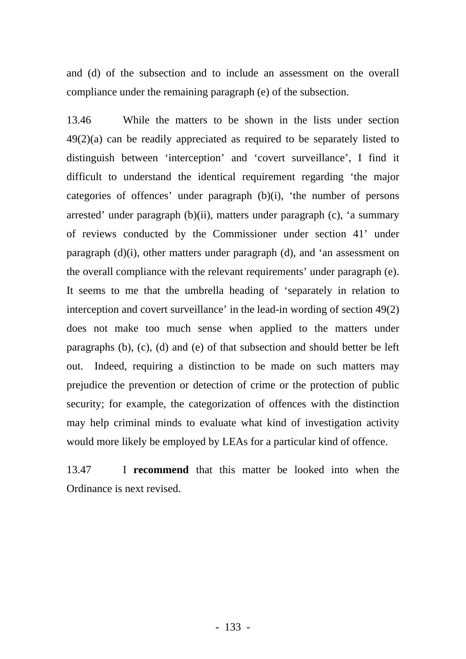and (d) of the subsection and to include an assessment on the overall compliance under the remaining paragraph (e) of the subsection.

13.46 While the matters to be shown in the lists under section 49(2)(a) can be readily appreciated as required to be separately listed to distinguish between 'interception' and 'covert surveillance', I find it difficult to understand the identical requirement regarding 'the major categories of offences' under paragraph (b)(i), 'the number of persons arrested' under paragraph (b)(ii), matters under paragraph (c), 'a summary of reviews conducted by the Commissioner under section 41' under paragraph (d)(i), other matters under paragraph (d), and 'an assessment on the overall compliance with the relevant requirements' under paragraph (e). It seems to me that the umbrella heading of 'separately in relation to interception and covert surveillance' in the lead-in wording of section 49(2) does not make too much sense when applied to the matters under paragraphs (b), (c), (d) and (e) of that subsection and should better be left out. Indeed, requiring a distinction to be made on such matters may prejudice the prevention or detection of crime or the protection of public security; for example, the categorization of offences with the distinction may help criminal minds to evaluate what kind of investigation activity would more likely be employed by LEAs for a particular kind of offence.

13.47 I **recommend** that this matter be looked into when the Ordinance is next revised.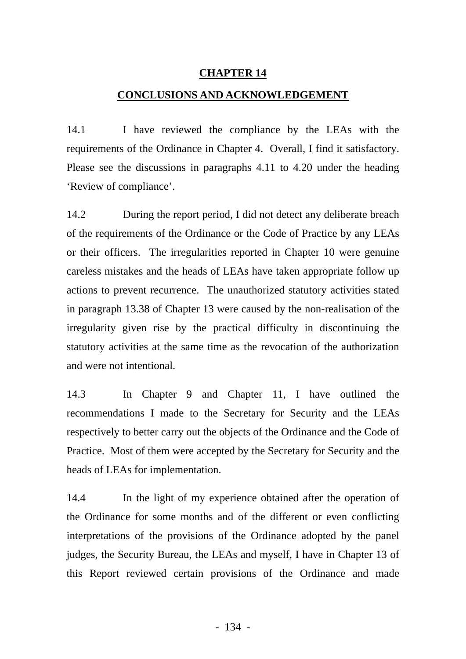#### **CHAPTER 14**

#### **CONCLUSIONS AND ACKNOWLEDGEMENT**

14.1 I have reviewed the compliance by the LEAs with the requirements of the Ordinance in Chapter 4. Overall, I find it satisfactory. Please see the discussions in paragraphs 4.11 to 4.20 under the heading 'Review of compliance'.

14.2 During the report period, I did not detect any deliberate breach or their officers. The irregularities reported in Chapter 10 were genuine careless mistakes and the heads of LEAs have taken appropriate follow up actions to prevent recurrence. The unauthorized statutory activities stated in paragraph 13.38 of Chapter 13 were caused by the non-realisation of the irregularity given rise by the practical difficulty in discontinuing the of the requirements of the Ordinance or the Code of Practice by any LEAs statutory activities at the same time as the revocation of the authorization and were not intentional.

14.3 In Chapter 9 and Chapter 11, I have outlined the recommendations I made to the Secretary for Security and the LEAs respectively to better carry out the objects of the Ordinance and the Code of Practice. Most of them were accepted by the Secretary for Security and the heads of LEAs for implementation.

interpretations of the provisions of the Ordinance adopted by the panel judges, the Security Bureau, the LEAs and myself, I have in Chapter 13 of this Report reviewed certain provisions of the Ordinance and made 14.4 In the light of my experience obtained after the operation of the Ordinance for some months and of the different or even conflicting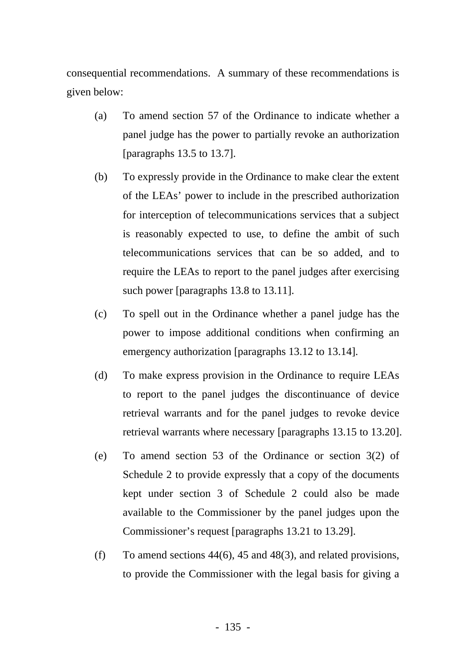consequential recommendations. A summary of these recommendations is given below:

- (a) To amend section 57 of the Ordinance to indicate whether a panel judge has the power to partially revoke an authorization [paragraphs 13.5 to 13.7].
- (b) To expressly provide in the Ordinance to make clear the extent of the LEAs' power to include in the prescribed authorization for interception of telecommunications services that a subject is reasonably expected to use, to define the ambit of such telecommunications services that can be so added, and to require the LEAs to report to the panel judges after exercising such power [paragraphs 13.8 to 13.11].
- (c) To spell out in the Ordinance whether a panel judge has the power to impose additional conditions when confirming an emergency authorization [paragraphs 13.12 to 13.14].
- (d) To make express provision in the Ordinance to require LEAs to report to the panel judges the discontinuance of device retrieval warrants and for the panel judges to revoke device retrieval warrants where necessary [paragraphs 13.15 to 13.20].
- (e) To amend section 53 of the Ordinance or section 3(2) of Schedule 2 to provide expressly that a copy of the documents kept under section 3 of Schedule 2 could also be made available to the Commissioner by the panel judges upon the Commissioner's request [paragraphs 13.21 to 13.29].
- (f) To amend sections  $44(6)$ ,  $45$  and  $48(3)$ , and related provisions, to provide the Commissioner with the legal basis for giving a